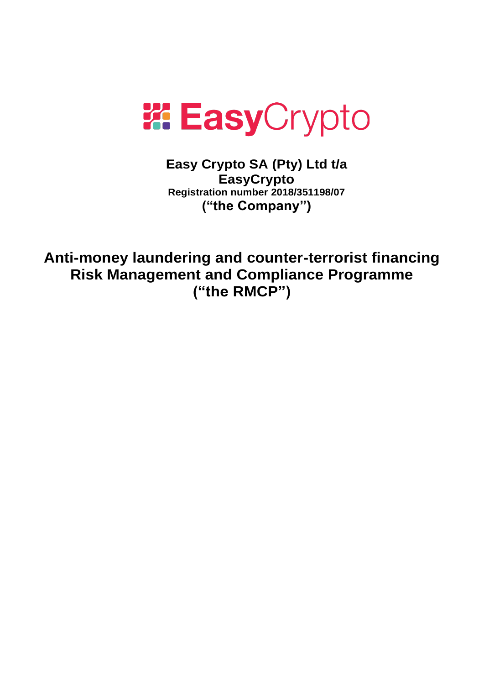

**Easy Crypto SA (Pty) Ltd t/a EasyCrypto Registration number 2018/351198/07 ("the Company")**

**Anti-money laundering and counter-terrorist financing Risk Management and Compliance Programme ("the RMCP")**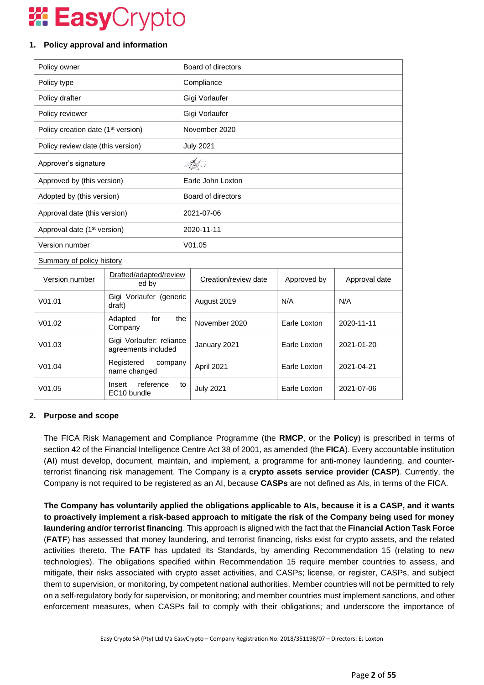### **1. Policy approval and information**

| Policy owner                                              |                                          | Board of directors |                      |              |                      |  |  |
|-----------------------------------------------------------|------------------------------------------|--------------------|----------------------|--------------|----------------------|--|--|
| Policy type                                               |                                          | Compliance         |                      |              |                      |  |  |
| Policy drafter                                            |                                          |                    | Gigi Vorlaufer       |              |                      |  |  |
| Policy reviewer                                           |                                          |                    | Gigi Vorlaufer       |              |                      |  |  |
| Policy creation date (1 <sup>st</sup> version)            |                                          |                    | November 2020        |              |                      |  |  |
| Policy review date (this version)                         |                                          |                    | <b>July 2021</b>     |              |                      |  |  |
| Approver's signature                                      |                                          |                    | Tetw                 |              |                      |  |  |
| Approved by (this version)                                |                                          |                    | Earle John Loxton    |              |                      |  |  |
| Adopted by (this version)                                 |                                          |                    | Board of directors   |              |                      |  |  |
| Approval date (this version)                              |                                          | 2021-07-06         |                      |              |                      |  |  |
| Approval date (1 <sup>st</sup> version)                   |                                          | 2020-11-11         |                      |              |                      |  |  |
| Version number                                            |                                          |                    | V01.05               |              |                      |  |  |
| <b>Summary of policy history</b>                          |                                          |                    |                      |              |                      |  |  |
| Drafted/adapted/review<br>Version number<br>ed by         |                                          |                    | Creation/review date | Approved by  | <b>Approval date</b> |  |  |
| V <sub>01.01</sub>                                        | Gigi Vorlaufer (generic<br>draft)        |                    | August 2019          | N/A          | N/A                  |  |  |
| V01.02                                                    | Adapted<br>for<br>the<br>Company         |                    | November 2020        | Earle Loxton | 2020-11-11           |  |  |
| Gigi Vorlaufer: reliance<br>V01.03<br>agreements included |                                          |                    | January 2021         | Earle Loxton | 2021-01-20           |  |  |
| Registered<br>company<br>V01.04<br>name changed           |                                          | April 2021         | Earle Loxton         | 2021-04-21   |                      |  |  |
| V01.05                                                    | reference<br>Insert<br>to<br>EC10 bundle |                    | <b>July 2021</b>     | Earle Loxton | 2021-07-06           |  |  |

### **2. Purpose and scope**

The FICA Risk Management and Compliance Programme (the **RMCP**, or the **Policy**) is prescribed in terms of section 42 of the Financial Intelligence Centre Act 38 of 2001, as amended (the **FICA**). Every accountable institution (**AI**) must develop, document, maintain, and implement, a programme for anti-money laundering, and counterterrorist financing risk management. The Company is a **crypto assets service provider (CASP)**. Currently, the Company is not required to be registered as an AI, because **CASPs** are not defined as AIs, in terms of the FICA.

**The Company has voluntarily applied the obligations applicable to AIs, because it is a CASP, and it wants to proactively implement a risk-based approach to mitigate the risk of the Company being used for money laundering and/or terrorist financing**. This approach is aligned with the fact that the **Financial Action Task Force** (**FATF**) has assessed that money laundering, and terrorist financing, risks exist for crypto assets, and the related activities thereto. The **FATF** has updated its Standards, by amending Recommendation 15 (relating to new technologies). The obligations specified within Recommendation 15 require member countries to assess, and mitigate, their risks associated with crypto asset activities, and CASPs; license, or register, CASPs, and subject them to supervision, or monitoring, by competent national authorities. Member countries will not be permitted to rely on a self-regulatory body for supervision, or monitoring; and member countries must implement sanctions, and other enforcement measures, when CASPs fail to comply with their obligations; and underscore the importance of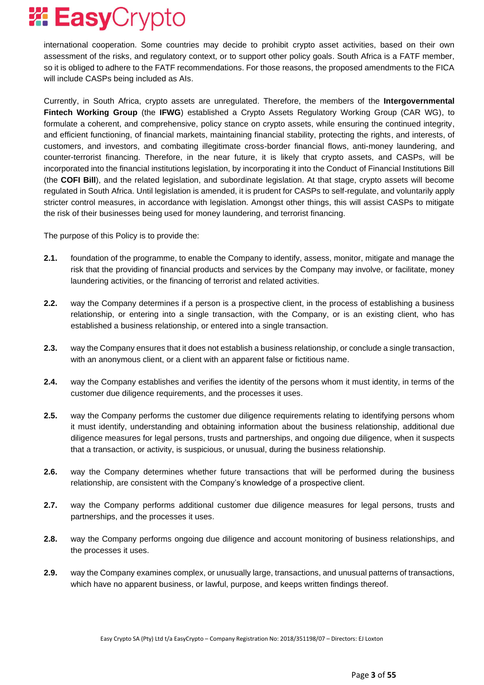international cooperation. Some countries may decide to prohibit crypto asset activities, based on their own assessment of the risks, and regulatory context, or to support other policy goals. South Africa is a FATF member, so it is obliged to adhere to the FATF recommendations. For those reasons, the proposed amendments to the FICA will include CASPs being included as AIs.

Currently, in South Africa, crypto assets are unregulated. Therefore, the members of the **Intergovernmental Fintech Working Group** (the **IFWG**) established a Crypto Assets Regulatory Working Group (CAR WG), to formulate a coherent, and comprehensive, policy stance on crypto assets, while ensuring the continued integrity, and efficient functioning, of financial markets, maintaining financial stability, protecting the rights, and interests, of customers, and investors, and combating illegitimate cross-border financial flows, anti-money laundering, and counter-terrorist financing. Therefore, in the near future, it is likely that crypto assets, and CASPs, will be incorporated into the financial institutions legislation, by incorporating it into the Conduct of Financial Institutions Bill (the **COFI Bill**), and the related legislation, and subordinate legislation. At that stage, crypto assets will become regulated in South Africa. Until legislation is amended, it is prudent for CASPs to self-regulate, and voluntarily apply stricter control measures, in accordance with legislation. Amongst other things, this will assist CASPs to mitigate the risk of their businesses being used for money laundering, and terrorist financing.

The purpose of this Policy is to provide the:

- **2.1.** foundation of the programme, to enable the Company to identify, assess, monitor, mitigate and manage the risk that the providing of financial products and services by the Company may involve, or facilitate, money laundering activities, or the financing of terrorist and related activities.
- **2.2.** way the Company determines if a person is a prospective client, in the process of establishing a business relationship, or entering into a single transaction, with the Company, or is an existing client, who has established a business relationship, or entered into a single transaction.
- **2.3.** way the Company ensures that it does not establish a business relationship, or conclude a single transaction, with an anonymous client, or a client with an apparent false or fictitious name.
- **2.4.** way the Company establishes and verifies the identity of the persons whom it must identity, in terms of the customer due diligence requirements, and the processes it uses.
- **2.5.** way the Company performs the customer due diligence requirements relating to identifying persons whom it must identify, understanding and obtaining information about the business relationship, additional due diligence measures for legal persons, trusts and partnerships, and ongoing due diligence, when it suspects that a transaction, or activity, is suspicious, or unusual, during the business relationship.
- **2.6.** way the Company determines whether future transactions that will be performed during the business relationship, are consistent with the Company's knowledge of a prospective client.
- **2.7.** way the Company performs additional customer due diligence measures for legal persons, trusts and partnerships, and the processes it uses.
- **2.8.** way the Company performs ongoing due diligence and account monitoring of business relationships, and the processes it uses.
- **2.9.** way the Company examines complex, or unusually large, transactions, and unusual patterns of transactions, which have no apparent business, or lawful, purpose, and keeps written findings thereof.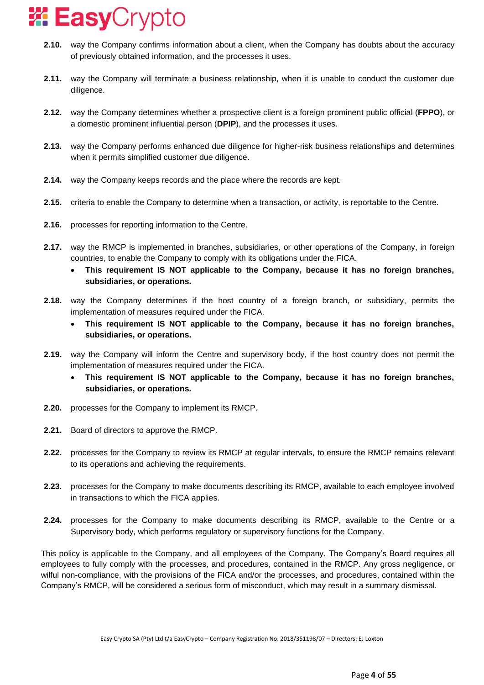- **2.10.** way the Company confirms information about a client, when the Company has doubts about the accuracy of previously obtained information, and the processes it uses.
- **2.11.** way the Company will terminate a business relationship, when it is unable to conduct the customer due diligence.
- **2.12.** way the Company determines whether a prospective client is a foreign prominent public official (**FPPO**), or a domestic prominent influential person (**DPIP**), and the processes it uses.
- **2.13.** way the Company performs enhanced due diligence for higher-risk business relationships and determines when it permits simplified customer due diligence.
- **2.14.** way the Company keeps records and the place where the records are kept.
- **2.15.** criteria to enable the Company to determine when a transaction, or activity, is reportable to the Centre.
- **2.16.** processes for reporting information to the Centre.
- **2.17.** way the RMCP is implemented in branches, subsidiaries, or other operations of the Company, in foreign countries, to enable the Company to comply with its obligations under the FICA.
	- **This requirement IS NOT applicable to the Company, because it has no foreign branches, subsidiaries, or operations.**
- **2.18.** way the Company determines if the host country of a foreign branch, or subsidiary, permits the implementation of measures required under the FICA.
	- **This requirement IS NOT applicable to the Company, because it has no foreign branches, subsidiaries, or operations.**
- **2.19.** way the Company will inform the Centre and supervisory body, if the host country does not permit the implementation of measures required under the FICA.
	- **This requirement IS NOT applicable to the Company, because it has no foreign branches, subsidiaries, or operations.**
- **2.20.** processes for the Company to implement its RMCP.
- **2.21.** Board of directors to approve the RMCP.
- **2.22.** processes for the Company to review its RMCP at regular intervals, to ensure the RMCP remains relevant to its operations and achieving the requirements.
- **2.23.** processes for the Company to make documents describing its RMCP, available to each employee involved in transactions to which the FICA applies.
- **2.24.** processes for the Company to make documents describing its RMCP, available to the Centre or a Supervisory body, which performs regulatory or supervisory functions for the Company.

This policy is applicable to the Company, and all employees of the Company. The Company's Board requires all employees to fully comply with the processes, and procedures, contained in the RMCP. Any gross negligence, or wilful non-compliance, with the provisions of the FICA and/or the processes, and procedures, contained within the Company's RMCP, will be considered a serious form of misconduct, which may result in a summary dismissal.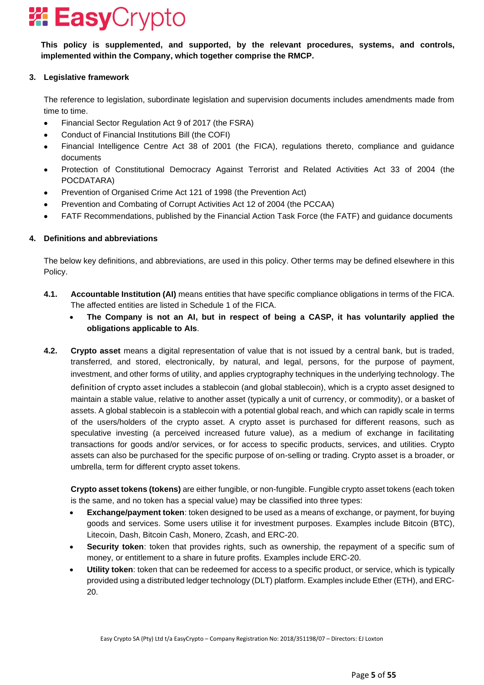**This policy is supplemented, and supported, by the relevant procedures, systems, and controls, implemented within the Company, which together comprise the RMCP.**

### **3. Legislative framework**

The reference to legislation, subordinate legislation and supervision documents includes amendments made from time to time.

- Financial Sector Regulation Act 9 of 2017 (the FSRA)
- Conduct of Financial Institutions Bill (the COFI)
- Financial Intelligence Centre Act 38 of 2001 (the FICA), regulations thereto, compliance and guidance documents
- Protection of Constitutional Democracy Against Terrorist and Related Activities Act 33 of 2004 (the POCDATARA)
- Prevention of Organised Crime Act 121 of 1998 (the Prevention Act)
- Prevention and Combating of Corrupt Activities Act 12 of 2004 (the PCCAA)
- FATF Recommendations, published by the Financial Action Task Force (the FATF) and guidance documents

### **4. Definitions and abbreviations**

The below key definitions, and abbreviations, are used in this policy. Other terms may be defined elsewhere in this Policy.

- **4.1. Accountable Institution (AI)** means entities that have specific compliance obligations in terms of the FICA. The affected entities are listed in Schedule 1 of the FICA.
	- **The Company is not an AI, but in respect of being a CASP, it has voluntarily applied the obligations applicable to AIs**.
- **4.2. Crypto asset** means a digital representation of value that is not issued by a central bank, but is traded, transferred, and stored, electronically, by natural, and legal, persons, for the purpose of payment, investment, and other forms of utility, and applies cryptography techniques in the underlying technology. The definition of crypto asset includes a stablecoin (and global stablecoin), which is a crypto asset designed to maintain a stable value, relative to another asset (typically a unit of currency, or commodity), or a basket of assets. A global stablecoin is a stablecoin with a potential global reach, and which can rapidly scale in terms of the users/holders of the crypto asset. A crypto asset is purchased for different reasons, such as speculative investing (a perceived increased future value), as a medium of exchange in facilitating transactions for goods and/or services, or for access to specific products, services, and utilities. Crypto assets can also be purchased for the specific purpose of on-selling or trading. Crypto asset is a broader, or umbrella, term for different crypto asset tokens.

**Crypto asset tokens (tokens)** are either fungible, or non-fungible. Fungible crypto asset tokens (each token is the same, and no token has a special value) may be classified into three types:

- **Exchange/payment token**: token designed to be used as a means of exchange, or payment, for buying goods and services. Some users utilise it for investment purposes. Examples include Bitcoin (BTC), Litecoin, Dash, Bitcoin Cash, Monero, Zcash, and ERC-20.
- **Security token**: token that provides rights, such as ownership, the repayment of a specific sum of money, or entitlement to a share in future profits. Examples include ERC-20.
- **Utility token**: token that can be redeemed for access to a specific product, or service, which is typically provided using a distributed ledger technology (DLT) platform. Examples include Ether (ETH), and ERC-20.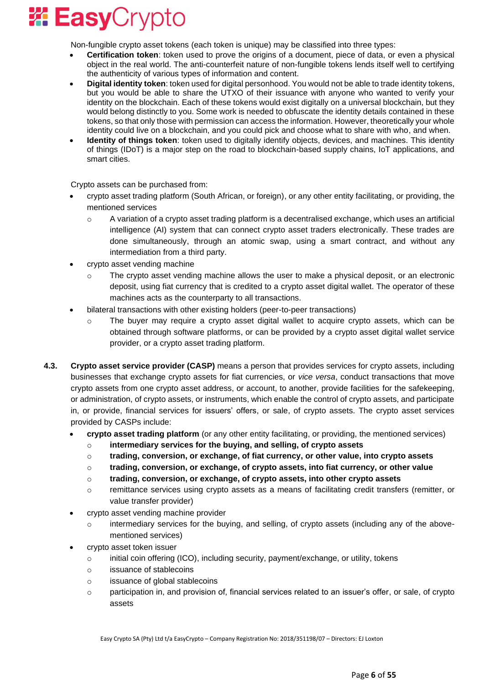

Non-fungible crypto asset tokens (each token is unique) may be classified into three types:

- **Certification token**: token used to prove the origins of a document, piece of data, or even a physical object in the real world. The anti-counterfeit nature of non-fungible tokens lends itself well to certifying the authenticity of various types of information and content.
- **Digital identity token**: token used for digital personhood. You would not be able to trade identity tokens, but you would be able to share the UTXO of their issuance with anyone who wanted to verify your identity on the blockchain. Each of these tokens would exist digitally on a universal blockchain, but they would belong distinctly to you. Some work is needed to obfuscate the identity details contained in these tokens, so that only those with permission can access the information. However, theoretically your whole identity could live on a blockchain, and you could pick and choose what to share with who, and when.
- **Identity of things token**: token used to digitally identify objects, devices, and machines. This identity of things (IDoT) is a major step on the road to blockchain-based supply chains, IoT applications, and smart cities.

Crypto assets can be purchased from:

- crypto asset trading platform (South African, or foreign), or any other entity facilitating, or providing, the mentioned services
	- $\circ$  A variation of a crypto asset trading platform is a decentralised exchange, which uses an artificial intelligence (AI) system that can connect crypto asset traders electronically. These trades are done simultaneously, through an atomic swap, using a smart contract, and without any intermediation from a third party.
- crypto asset vending machine
	- $\circ$  The crypto asset vending machine allows the user to make a physical deposit, or an electronic deposit, using fiat currency that is credited to a crypto asset digital wallet. The operator of these machines acts as the counterparty to all transactions.
- bilateral transactions with other existing holders (peer-to-peer transactions)
	- o The buyer may require a crypto asset digital wallet to acquire crypto assets, which can be obtained through software platforms, or can be provided by a crypto asset digital wallet service provider, or a crypto asset trading platform.
- **4.3. Crypto asset service provider (CASP)** means a person that provides services for crypto assets, including businesses that exchange crypto assets for fiat currencies, or *vice versa*, conduct transactions that move crypto assets from one crypto asset address, or account, to another, provide facilities for the safekeeping, or administration, of crypto assets, or instruments, which enable the control of crypto assets, and participate in, or provide, financial services for issuers' offers, or sale, of crypto assets. The crypto asset services provided by CASPs include:
	- **crypto asset trading platform** (or any other entity facilitating, or providing, the mentioned services)
		- o **intermediary services for the buying, and selling, of crypto assets**
		- o **trading, conversion, or exchange, of fiat currency, or other value, into crypto assets**
		- o **trading, conversion, or exchange, of crypto assets, into fiat currency, or other value**
		- o **trading, conversion, or exchange, of crypto assets, into other crypto assets**
		- o remittance services using crypto assets as a means of facilitating credit transfers (remitter, or value transfer provider)
	- crypto asset vending machine provider
		- $\circ$  intermediary services for the buying, and selling, of crypto assets (including any of the abovementioned services)
	- crypto asset token issuer
		- $\circ$  initial coin offering (ICO), including security, payment/exchange, or utility, tokens
		- o issuance of stablecoins
		- o issuance of global stablecoins
		- $\circ$  participation in, and provision of, financial services related to an issuer's offer, or sale, of crypto assets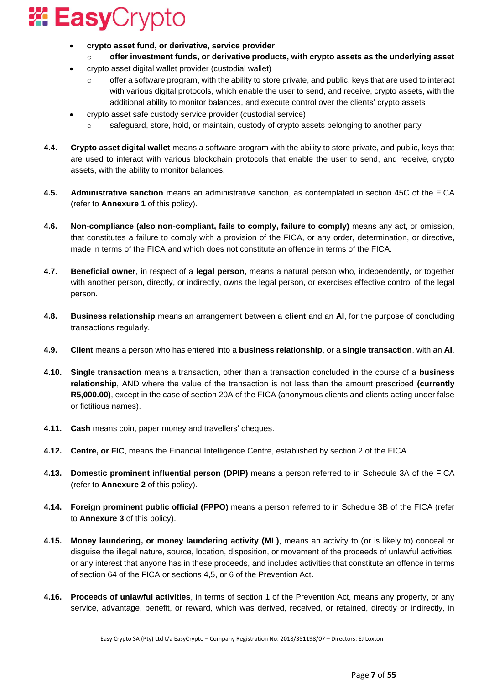

- **crypto asset fund, or derivative, service provider**
	- o **offer investment funds, or derivative products, with crypto assets as the underlying asset**
- crypto asset digital wallet provider (custodial wallet)
	- offer a software program, with the ability to store private, and public, keys that are used to interact with various digital protocols, which enable the user to send, and receive, crypto assets, with the additional ability to monitor balances, and execute control over the clients' crypto assets
- crypto asset safe custody service provider (custodial service)
	- safeguard, store, hold, or maintain, custody of crypto assets belonging to another party
- **4.4. Crypto asset digital wallet** means a software program with the ability to store private, and public, keys that are used to interact with various blockchain protocols that enable the user to send, and receive, crypto assets, with the ability to monitor balances.
- **4.5. Administrative sanction** means an administrative sanction, as contemplated in section 45C of the FICA (refer to **Annexure 1** of this policy).
- **4.6. Non-compliance (also non-compliant, fails to comply, failure to comply)** means any act, or omission, that constitutes a failure to comply with a provision of the FICA, or any order, determination, or directive, made in terms of the FICA and which does not constitute an offence in terms of the FICA.
- **4.7. Beneficial owner**, in respect of a **legal person**, means a natural person who, independently, or together with another person, directly, or indirectly, owns the legal person, or exercises effective control of the legal person.
- **4.8. Business relationship** means an arrangement between a **client** and an **AI**, for the purpose of concluding transactions regularly.
- **4.9. Client** means a person who has entered into a **business relationship**, or a **single transaction**, with an **AI**.
- **4.10. Single transaction** means a transaction, other than a transaction concluded in the course of a **business relationship**, AND where the value of the transaction is not less than the amount prescribed **(currently R5,000.00)**, except in the case of section 20A of the FICA (anonymous clients and clients acting under false or fictitious names).
- **4.11. Cash** means coin, paper money and travellers' cheques.
- **4.12. Centre, or FIC**, means the Financial Intelligence Centre, established by section 2 of the FICA.
- **4.13. Domestic prominent influential person (DPIP)** means a person referred to in Schedule 3A of the FICA (refer to **Annexure 2** of this policy).
- **4.14. Foreign prominent public official (FPPO)** means a person referred to in Schedule 3B of the FICA (refer to **Annexure 3** of this policy).
- **4.15. Money laundering, or money laundering activity (ML)**, means an activity to (or is likely to) conceal or disguise the illegal nature, source, location, disposition, or movement of the proceeds of unlawful activities, or any interest that anyone has in these proceeds, and includes activities that constitute an offence in terms of section 64 of the FICA or sections 4,5, or 6 of the Prevention Act.
- **4.16. Proceeds of unlawful activities**, in terms of section 1 of the Prevention Act, means any property, or any service, advantage, benefit, or reward, which was derived, received, or retained, directly or indirectly, in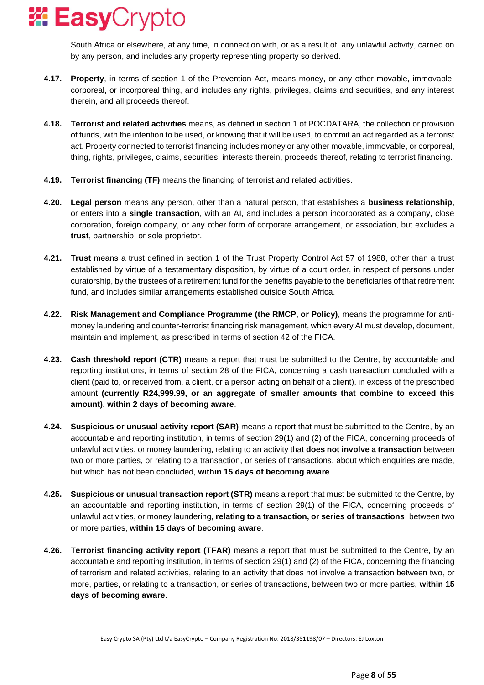

South Africa or elsewhere, at any time, in connection with, or as a result of, any unlawful activity, carried on by any person, and includes any property representing property so derived.

- **4.17. Property**, in terms of section 1 of the Prevention Act, means money, or any other movable, immovable, corporeal, or incorporeal thing, and includes any rights, privileges, claims and securities, and any interest therein, and all proceeds thereof.
- **4.18. Terrorist and related activities** means, as defined in section 1 of POCDATARA, the collection or provision of funds, with the intention to be used, or knowing that it will be used, to commit an act regarded as a terrorist act. Property connected to terrorist financing includes money or any other movable, immovable, or corporeal, thing, rights, privileges, claims, securities, interests therein, proceeds thereof, relating to terrorist financing.
- **4.19. Terrorist financing (TF)** means the financing of terrorist and related activities.
- **4.20. Legal person** means any person, other than a natural person, that establishes a **business relationship**, or enters into a **single transaction**, with an AI, and includes a person incorporated as a company, close corporation, foreign company, or any other form of corporate arrangement, or association, but excludes a **trust**, partnership, or sole proprietor.
- **4.21. Trust** means a trust defined in section 1 of the Trust Property Control Act 57 of 1988, other than a trust established by virtue of a testamentary disposition, by virtue of a court order, in respect of persons under curatorship, by the trustees of a retirement fund for the benefits payable to the beneficiaries of that retirement fund, and includes similar arrangements established outside South Africa.
- **4.22. Risk Management and Compliance Programme (the RMCP, or Policy)**, means the programme for antimoney laundering and counter-terrorist financing risk management, which every AI must develop, document, maintain and implement, as prescribed in terms of section 42 of the FICA.
- **4.23. Cash threshold report (CTR)** means a report that must be submitted to the Centre, by accountable and reporting institutions, in terms of section 28 of the FICA, concerning a cash transaction concluded with a client (paid to, or received from, a client, or a person acting on behalf of a client), in excess of the prescribed amount **(currently R24,999.99, or an aggregate of smaller amounts that combine to exceed this amount), within 2 days of becoming aware**.
- **4.24. Suspicious or unusual activity report (SAR)** means a report that must be submitted to the Centre, by an accountable and reporting institution, in terms of section 29(1) and (2) of the FICA, concerning proceeds of unlawful activities, or money laundering, relating to an activity that **does not involve a transaction** between two or more parties, or relating to a transaction, or series of transactions, about which enquiries are made, but which has not been concluded, **within 15 days of becoming aware**.
- **4.25. Suspicious or unusual transaction report (STR)** means a report that must be submitted to the Centre, by an accountable and reporting institution, in terms of section 29(1) of the FICA, concerning proceeds of unlawful activities, or money laundering, **relating to a transaction, or series of transactions**, between two or more parties, **within 15 days of becoming aware**.
- **4.26. Terrorist financing activity report (TFAR)** means a report that must be submitted to the Centre, by an accountable and reporting institution, in terms of section 29(1) and (2) of the FICA, concerning the financing of terrorism and related activities, relating to an activity that does not involve a transaction between two, or more, parties, or relating to a transaction, or series of transactions, between two or more parties, **within 15 days of becoming aware**.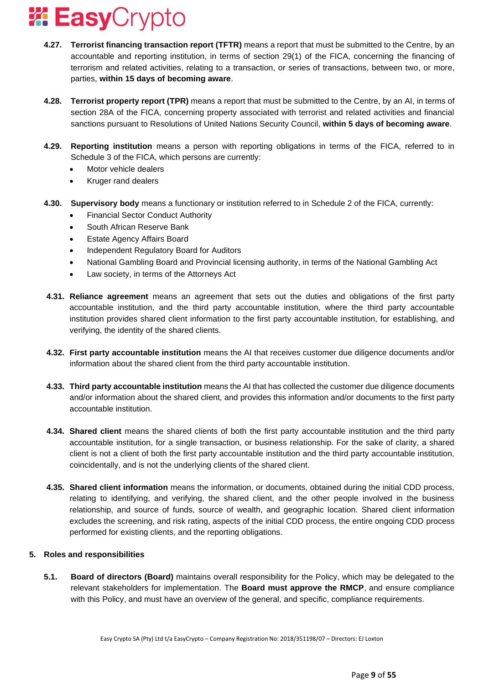- **4.27. Terrorist financing transaction report (TFTR)** means a report that must be submitted to the Centre, by an accountable and reporting institution, in terms of section 29(1) of the FICA, concerning the financing of terrorism and related activities, relating to a transaction, or series of transactions, between two, or more, parties, **within 15 days of becoming aware**.
- **4.28. Terrorist property report (TPR)** means a report that must be submitted to the Centre, by an AI, in terms of section 28A of the FICA, concerning property associated with terrorist and related activities and financial sanctions pursuant to Resolutions of United Nations Security Council, **within 5 days of becoming aware**.
- **4.29. Reporting institution** means a person with reporting obligations in terms of the FICA, referred to in Schedule 3 of the FICA, which persons are currently:
	- Motor vehicle dealers
	- Kruger rand dealers
- **4.30. Supervisory body** means a functionary or institution referred to in Schedule 2 of the FICA, currently:
	- Financial Sector Conduct Authority
	- South African Reserve Bank
	- Estate Agency Affairs Board
	- Independent Regulatory Board for Auditors
	- National Gambling Board and Provincial licensing authority, in terms of the National Gambling Act
	- Law society, in terms of the Attorneys Act
- **4.31. Reliance agreement** means an agreement that sets out the duties and obligations of the first party accountable institution, and the third party accountable institution, where the third party accountable institution provides shared client information to the first party accountable institution, for establishing, and verifying, the identity of the shared clients.
- **4.32. First party accountable institution** means the AI that receives customer due diligence documents and/or information about the shared client from the third party accountable institution.
- **4.33. Third party accountable institution** means the AI that has collected the customer due diligence documents and/or information about the shared client, and provides this information and/or documents to the first party accountable institution.
- **4.34. Shared client** means the shared clients of both the first party accountable institution and the third party accountable institution, for a single transaction, or business relationship. For the sake of clarity, a shared client is not a client of both the first party accountable institution and the third party accountable institution, coincidentally, and is not the underlying clients of the shared client.
- **4.35. Shared client information** means the information, or documents, obtained during the initial CDD process, relating to identifying, and verifying, the shared client, and the other people involved in the business relationship, and source of funds, source of wealth, and geographic location. Shared client information excludes the screening, and risk rating, aspects of the initial CDD process, the entire ongoing CDD process performed for existing clients, and the reporting obligations.

### **5. Roles and responsibilities**

**5.1. Board of directors (Board)** maintains overall responsibility for the Policy, which may be delegated to the relevant stakeholders for implementation. The **Board must approve the RMCP**, and ensure compliance with this Policy, and must have an overview of the general, and specific, compliance requirements.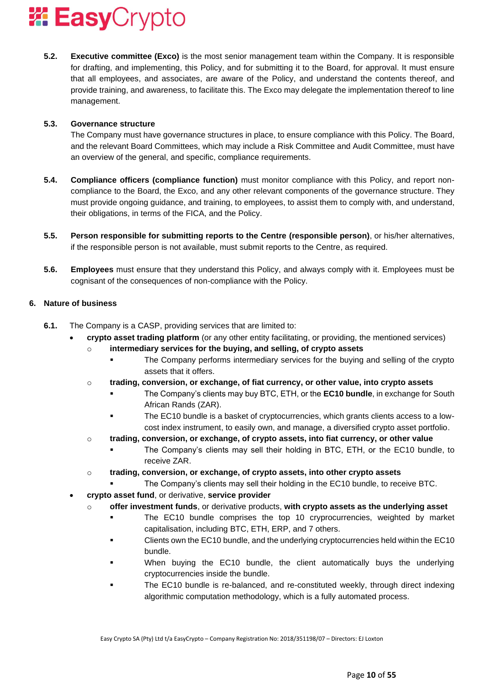

**5.2. Executive committee (Exco)** is the most senior management team within the Company. It is responsible for drafting, and implementing, this Policy, and for submitting it to the Board, for approval. It must ensure that all employees, and associates, are aware of the Policy, and understand the contents thereof, and provide training, and awareness, to facilitate this. The Exco may delegate the implementation thereof to line management.

#### **5.3. Governance structure**

The Company must have governance structures in place, to ensure compliance with this Policy. The Board, and the relevant Board Committees, which may include a Risk Committee and Audit Committee, must have an overview of the general, and specific, compliance requirements.

- **5.4. Compliance officers (compliance function)** must monitor compliance with this Policy, and report noncompliance to the Board, the Exco, and any other relevant components of the governance structure. They must provide ongoing guidance, and training, to employees, to assist them to comply with, and understand, their obligations, in terms of the FICA, and the Policy.
- **5.5. Person responsible for submitting reports to the Centre (responsible person)**, or his/her alternatives, if the responsible person is not available, must submit reports to the Centre, as required.
- **5.6. Employees** must ensure that they understand this Policy, and always comply with it. Employees must be cognisant of the consequences of non-compliance with the Policy.

#### **6. Nature of business**

- **6.1.** The Company is a CASP, providing services that are limited to:
	- **crypto asset trading platform** (or any other entity facilitating, or providing, the mentioned services)
		- o **intermediary services for the buying, and selling, of crypto assets**
			- **•** The Company performs intermediary services for the buying and selling of the crypto assets that it offers.
		- o **trading, conversion, or exchange, of fiat currency, or other value, into crypto assets**
			- The Company's clients may buy BTC, ETH, or the **EC10 bundle**, in exchange for South African Rands (ZAR).
			- The EC10 bundle is a basket of cryptocurrencies, which grants clients access to a lowcost index instrument, to easily own, and manage, a diversified crypto asset portfolio.
		- o **trading, conversion, or exchange, of crypto assets, into fiat currency, or other value**
			- The Company's clients may sell their holding in BTC, ETH, or the EC10 bundle, to receive ZAR.
		- o **trading, conversion, or exchange, of crypto assets, into other crypto assets**
			- The Company's clients may sell their holding in the EC10 bundle, to receive BTC.
	- **crypto asset fund**, or derivative, **service provider**
		- o **offer investment funds**, or derivative products, **with crypto assets as the underlying asset**
			- The EC10 bundle comprises the top 10 cryprocurrencies, weighted by market capitalisation, including BTC, ETH, ERP, and 7 others.
			- Clients own the EC10 bundle, and the underlying cryptocurrencies held within the EC10 bundle.
			- When buying the EC10 bundle, the client automatically buys the underlying cryptocurrencies inside the bundle.
			- The EC10 bundle is re-balanced, and re-constituted weekly, through direct indexing algorithmic computation methodology, which is a fully automated process.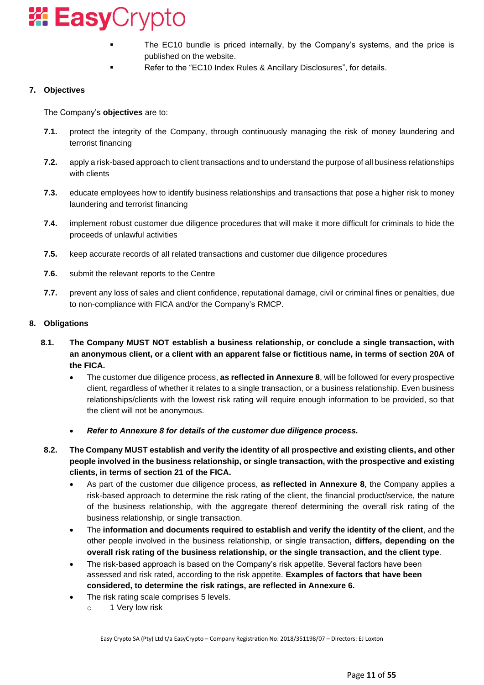

- The EC10 bundle is priced internally, by the Company's systems, and the price is published on the website.
	- Refer to the "EC10 Index Rules & Ancillary Disclosures", for details.

### **7. Objectives**

The Company's **objectives** are to:

- **7.1.** protect the integrity of the Company, through continuously managing the risk of money laundering and terrorist financing
- **7.2.** apply a risk-based approach to client transactions and to understand the purpose of all business relationships with clients
- **7.3.** educate employees how to identify business relationships and transactions that pose a higher risk to money laundering and terrorist financing
- **7.4.** implement robust customer due diligence procedures that will make it more difficult for criminals to hide the proceeds of unlawful activities
- **7.5.** keep accurate records of all related transactions and customer due diligence procedures
- **7.6.** submit the relevant reports to the Centre
- **7.7.** prevent any loss of sales and client confidence, reputational damage, civil or criminal fines or penalties, due to non-compliance with FICA and/or the Company's RMCP.

#### **8. Obligations**

- **8.1. The Company MUST NOT establish a business relationship, or conclude a single transaction, with an anonymous client, or a client with an apparent false or fictitious name, in terms of section 20A of the FICA.**
	- The customer due diligence process, **as reflected in Annexure 8**, will be followed for every prospective client, regardless of whether it relates to a single transaction, or a business relationship. Even business relationships/clients with the lowest risk rating will require enough information to be provided, so that the client will not be anonymous.
	- *Refer to Annexure 8 for details of the customer due diligence process.*
- **8.2. The Company MUST establish and verify the identity of all prospective and existing clients, and other people involved in the business relationship, or single transaction, with the prospective and existing clients, in terms of section 21 of the FICA.**
	- As part of the customer due diligence process, **as reflected in Annexure 8**, the Company applies a risk-based approach to determine the risk rating of the client, the financial product/service, the nature of the business relationship, with the aggregate thereof determining the overall risk rating of the business relationship, or single transaction.
	- The **information and documents required to establish and verify the identity of the client**, and the other people involved in the business relationship, or single transaction**, differs, depending on the overall risk rating of the business relationship, or the single transaction, and the client type**.
	- The risk-based approach is based on the Company's risk appetite. Several factors have been assessed and risk rated, according to the risk appetite. **Examples of factors that have been considered, to determine the risk ratings, are reflected in Annexure 6.**
		- The risk rating scale comprises 5 levels.
			- o 1 Very low risk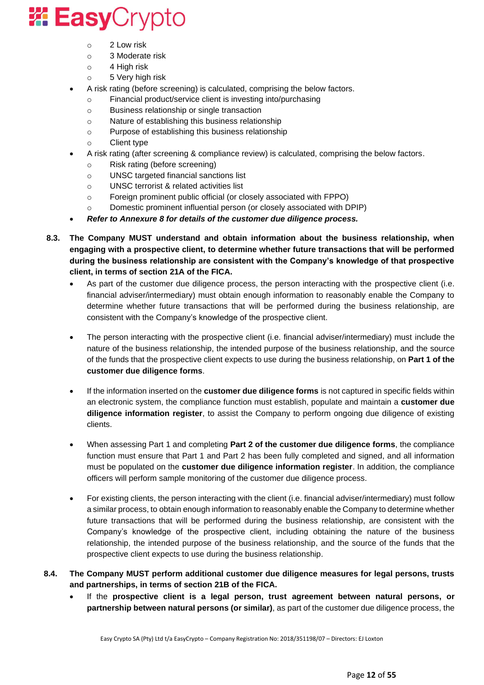- o 2 Low risk
- o 3 Moderate risk
- o 4 High risk
- o 5 Very high risk
- A risk rating (before screening) is calculated, comprising the below factors.
	- o Financial product/service client is investing into/purchasing
	- o Business relationship or single transaction
	- o Nature of establishing this business relationship
	- o Purpose of establishing this business relationship
	- o Client type
- A risk rating (after screening & compliance review) is calculated, comprising the below factors.
	- o Risk rating (before screening)
	- o UNSC targeted financial sanctions list
	- o UNSC terrorist & related activities list
	- o Foreign prominent public official (or closely associated with FPPO)
	- o Domestic prominent influential person (or closely associated with DPIP)
- *Refer to Annexure 8 for details of the customer due diligence process.*
- **8.3. The Company MUST understand and obtain information about the business relationship, when engaging with a prospective client, to determine whether future transactions that will be performed during the business relationship are consistent with the Company's knowledge of that prospective client, in terms of section 21A of the FICA.**
	- As part of the customer due diligence process, the person interacting with the prospective client (i.e. financial adviser/intermediary) must obtain enough information to reasonably enable the Company to determine whether future transactions that will be performed during the business relationship, are consistent with the Company's knowledge of the prospective client.
	- The person interacting with the prospective client (i.e. financial adviser/intermediary) must include the nature of the business relationship, the intended purpose of the business relationship, and the source of the funds that the prospective client expects to use during the business relationship, on **Part 1 of the customer due diligence forms**.
	- If the information inserted on the **customer due diligence forms** is not captured in specific fields within an electronic system, the compliance function must establish, populate and maintain a **customer due diligence information register**, to assist the Company to perform ongoing due diligence of existing clients.
	- When assessing Part 1 and completing **Part 2 of the customer due diligence forms**, the compliance function must ensure that Part 1 and Part 2 has been fully completed and signed, and all information must be populated on the **customer due diligence information register**. In addition, the compliance officers will perform sample monitoring of the customer due diligence process.
	- For existing clients, the person interacting with the client (i.e. financial adviser/intermediary) must follow a similar process, to obtain enough information to reasonably enable the Company to determine whether future transactions that will be performed during the business relationship, are consistent with the Company's knowledge of the prospective client, including obtaining the nature of the business relationship, the intended purpose of the business relationship, and the source of the funds that the prospective client expects to use during the business relationship.
- **8.4. The Company MUST perform additional customer due diligence measures for legal persons, trusts and partnerships, in terms of section 21B of the FICA.**
	- If the **prospective client is a legal person, trust agreement between natural persons, or partnership between natural persons (or similar)**, as part of the customer due diligence process, the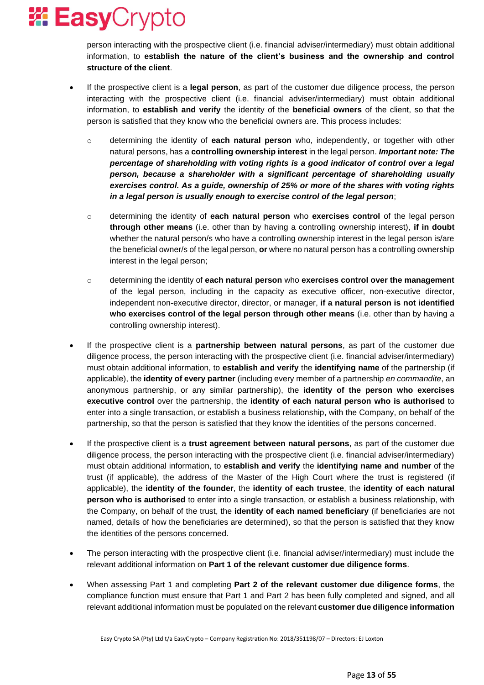person interacting with the prospective client (i.e. financial adviser/intermediary) must obtain additional information, to **establish the nature of the client's business and the ownership and control structure of the client**.

- If the prospective client is a **legal person**, as part of the customer due diligence process, the person interacting with the prospective client (i.e. financial adviser/intermediary) must obtain additional information, to **establish and verify** the identity of the **beneficial owners** of the client, so that the person is satisfied that they know who the beneficial owners are. This process includes:
	- o determining the identity of **each natural person** who, independently, or together with other natural persons, has a **controlling ownership interest** in the legal person. *Important note: The percentage of shareholding with voting rights is a good indicator of control over a legal person, because a shareholder with a significant percentage of shareholding usually exercises control. As a guide, ownership of 25% or more of the shares with voting rights in a legal person is usually enough to exercise control of the legal person*;
	- o determining the identity of **each natural person** who **exercises control** of the legal person **through other means** (i.e. other than by having a controlling ownership interest), **if in doubt** whether the natural person/s who have a controlling ownership interest in the legal person is/are the beneficial owner/s of the legal person, **or** where no natural person has a controlling ownership interest in the legal person;
	- o determining the identity of **each natural person** who **exercises control over the management** of the legal person, including in the capacity as executive officer, non-executive director, independent non-executive director, director, or manager, **if a natural person is not identified who exercises control of the legal person through other means** (i.e. other than by having a controlling ownership interest).
- If the prospective client is a **partnership between natural persons**, as part of the customer due diligence process, the person interacting with the prospective client (i.e. financial adviser/intermediary) must obtain additional information, to **establish and verify** the **identifying name** of the partnership (if applicable), the **identity of every partner** (including every member of a partnership *en commandite*, an anonymous partnership, or any similar partnership), the **identity of the person who exercises executive control** over the partnership, the **identity of each natural person who is authorised** to enter into a single transaction, or establish a business relationship, with the Company, on behalf of the partnership, so that the person is satisfied that they know the identities of the persons concerned.
- If the prospective client is a **trust agreement between natural persons**, as part of the customer due diligence process, the person interacting with the prospective client (i.e. financial adviser/intermediary) must obtain additional information, to **establish and verify** the **identifying name and number** of the trust (if applicable), the address of the Master of the High Court where the trust is registered (if applicable), the **identity of the founder**, the **identity of each trustee**, the **identity of each natural person who is authorised** to enter into a single transaction, or establish a business relationship, with the Company, on behalf of the trust, the **identity of each named beneficiary** (if beneficiaries are not named, details of how the beneficiaries are determined), so that the person is satisfied that they know the identities of the persons concerned.
- The person interacting with the prospective client (i.e. financial adviser/intermediary) must include the relevant additional information on **Part 1 of the relevant customer due diligence forms**.
- When assessing Part 1 and completing **Part 2 of the relevant customer due diligence forms**, the compliance function must ensure that Part 1 and Part 2 has been fully completed and signed, and all relevant additional information must be populated on the relevant **customer due diligence information**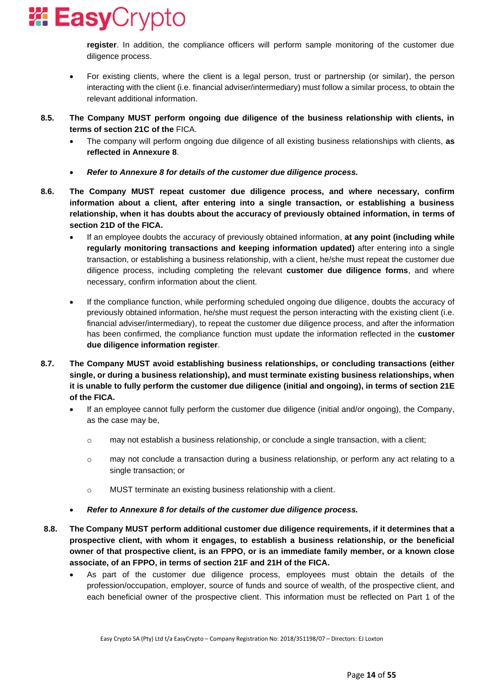

**register**. In addition, the compliance officers will perform sample monitoring of the customer due diligence process.

- For existing clients, where the client is a legal person, trust or partnership (or similar), the person interacting with the client (i.e. financial adviser/intermediary) must follow a similar process, to obtain the relevant additional information.
- **8.5. The Company MUST perform ongoing due diligence of the business relationship with clients, in terms of section 21C of the** FICA.
	- The company will perform ongoing due diligence of all existing business relationships with clients, **as reflected in Annexure 8**.
	- *Refer to Annexure 8 for details of the customer due diligence process.*
- **8.6. The Company MUST repeat customer due diligence process, and where necessary, confirm information about a client, after entering into a single transaction, or establishing a business relationship, when it has doubts about the accuracy of previously obtained information, in terms of section 21D of the FICA.**
	- If an employee doubts the accuracy of previously obtained information, **at any point (including while regularly monitoring transactions and keeping information updated)** after entering into a single transaction, or establishing a business relationship, with a client, he/she must repeat the customer due diligence process, including completing the relevant **customer due diligence forms**, and where necessary, confirm information about the client.
	- If the compliance function, while performing scheduled ongoing due diligence, doubts the accuracy of previously obtained information, he/she must request the person interacting with the existing client (i.e. financial adviser/intermediary), to repeat the customer due diligence process, and after the information has been confirmed, the compliance function must update the information reflected in the **customer due diligence information register**.
- **8.7. The Company MUST avoid establishing business relationships, or concluding transactions (either single, or during a business relationship), and must terminate existing business relationships, when it is unable to fully perform the customer due diligence (initial and ongoing), in terms of section 21E of the FICA.**
	- If an employee cannot fully perform the customer due diligence (initial and/or ongoing), the Company, as the case may be,
		- $\circ$  may not establish a business relationship, or conclude a single transaction, with a client;
		- o may not conclude a transaction during a business relationship, or perform any act relating to a single transaction; or
		- o MUST terminate an existing business relationship with a client.
	- *Refer to Annexure 8 for details of the customer due diligence process.*
- **8.8. The Company MUST perform additional customer due diligence requirements, if it determines that a prospective client, with whom it engages, to establish a business relationship, or the beneficial owner of that prospective client, is an FPPO, or is an immediate family member, or a known close associate, of an FPPO, in terms of section 21F and 21H of the FICA.**
	- As part of the customer due diligence process, employees must obtain the details of the profession/occupation, employer, source of funds and source of wealth, of the prospective client, and each beneficial owner of the prospective client. This information must be reflected on Part 1 of the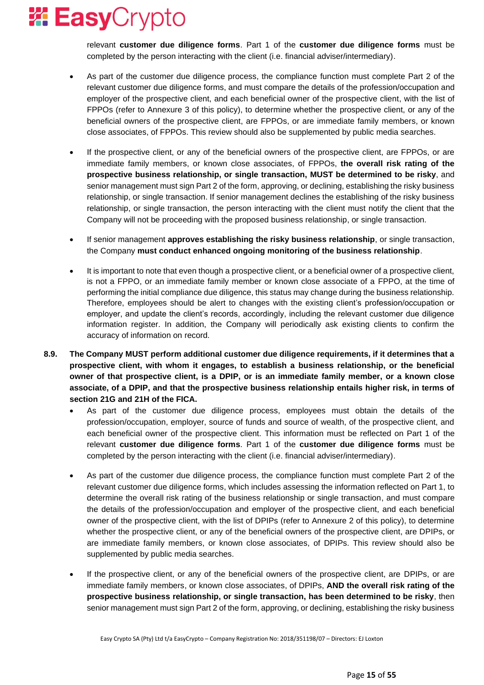relevant **customer due diligence forms**. Part 1 of the **customer due diligence forms** must be completed by the person interacting with the client (i.e. financial adviser/intermediary).

- As part of the customer due diligence process, the compliance function must complete Part 2 of the relevant customer due diligence forms, and must compare the details of the profession/occupation and employer of the prospective client, and each beneficial owner of the prospective client, with the list of FPPOs (refer to Annexure 3 of this policy), to determine whether the prospective client, or any of the beneficial owners of the prospective client, are FPPOs, or are immediate family members, or known close associates, of FPPOs. This review should also be supplemented by public media searches.
- If the prospective client, or any of the beneficial owners of the prospective client, are FPPOs, or are immediate family members, or known close associates, of FPPOs, **the overall risk rating of the prospective business relationship, or single transaction, MUST be determined to be risky**, and senior management must sign Part 2 of the form, approving, or declining, establishing the risky business relationship, or single transaction. If senior management declines the establishing of the risky business relationship, or single transaction, the person interacting with the client must notify the client that the Company will not be proceeding with the proposed business relationship, or single transaction.
- If senior management **approves establishing the risky business relationship**, or single transaction, the Company **must conduct enhanced ongoing monitoring of the business relationship**.
- It is important to note that even though a prospective client, or a beneficial owner of a prospective client, is not a FPPO, or an immediate family member or known close associate of a FPPO, at the time of performing the initial compliance due diligence, this status may change during the business relationship. Therefore, employees should be alert to changes with the existing client's profession/occupation or employer, and update the client's records, accordingly, including the relevant customer due diligence information register. In addition, the Company will periodically ask existing clients to confirm the accuracy of information on record.
- **8.9. The Company MUST perform additional customer due diligence requirements, if it determines that a prospective client, with whom it engages, to establish a business relationship, or the beneficial owner of that prospective client, is a DPIP, or is an immediate family member, or a known close associate, of a DPIP, and that the prospective business relationship entails higher risk, in terms of section 21G and 21H of the FICA.**
	- As part of the customer due diligence process, employees must obtain the details of the profession/occupation, employer, source of funds and source of wealth, of the prospective client, and each beneficial owner of the prospective client. This information must be reflected on Part 1 of the relevant **customer due diligence forms**. Part 1 of the **customer due diligence forms** must be completed by the person interacting with the client (i.e. financial adviser/intermediary).
	- As part of the customer due diligence process, the compliance function must complete Part 2 of the relevant customer due diligence forms, which includes assessing the information reflected on Part 1, to determine the overall risk rating of the business relationship or single transaction, and must compare the details of the profession/occupation and employer of the prospective client, and each beneficial owner of the prospective client, with the list of DPIPs (refer to Annexure 2 of this policy), to determine whether the prospective client, or any of the beneficial owners of the prospective client, are DPIPs, or are immediate family members, or known close associates, of DPIPs. This review should also be supplemented by public media searches.
	- If the prospective client, or any of the beneficial owners of the prospective client, are DPIPs, or are immediate family members, or known close associates, of DPIPs, **AND the overall risk rating of the prospective business relationship, or single transaction, has been determined to be risky**, then senior management must sign Part 2 of the form, approving, or declining, establishing the risky business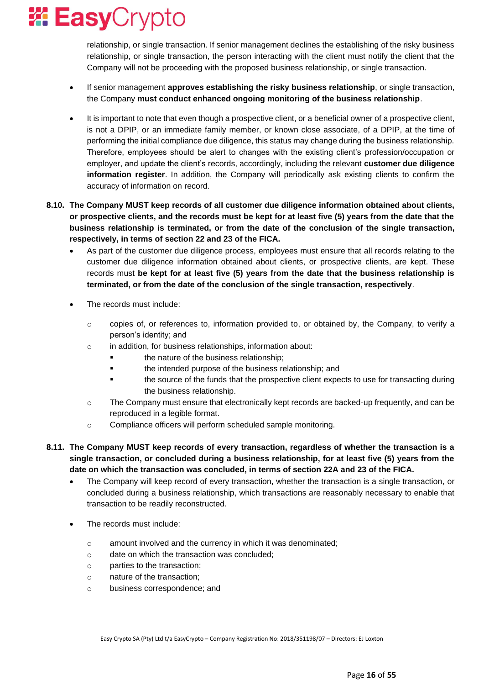

relationship, or single transaction. If senior management declines the establishing of the risky business relationship, or single transaction, the person interacting with the client must notify the client that the Company will not be proceeding with the proposed business relationship, or single transaction.

- If senior management **approves establishing the risky business relationship**, or single transaction, the Company **must conduct enhanced ongoing monitoring of the business relationship**.
- It is important to note that even though a prospective client, or a beneficial owner of a prospective client, is not a DPIP, or an immediate family member, or known close associate, of a DPIP, at the time of performing the initial compliance due diligence, this status may change during the business relationship. Therefore, employees should be alert to changes with the existing client's profession/occupation or employer, and update the client's records, accordingly, including the relevant **customer due diligence information register**. In addition, the Company will periodically ask existing clients to confirm the accuracy of information on record.
- **8.10. The Company MUST keep records of all customer due diligence information obtained about clients, or prospective clients, and the records must be kept for at least five (5) years from the date that the business relationship is terminated, or from the date of the conclusion of the single transaction, respectively, in terms of section 22 and 23 of the FICA.**
	- As part of the customer due diligence process, employees must ensure that all records relating to the customer due diligence information obtained about clients, or prospective clients, are kept. These records must **be kept for at least five (5) years from the date that the business relationship is terminated, or from the date of the conclusion of the single transaction, respectively**.
	- The records must include:
		- $\circ$  copies of, or references to, information provided to, or obtained by, the Company, to verify a person's identity; and
		- o in addition, for business relationships, information about:
			- **•** the nature of the business relationship;
			- **•** the intended purpose of the business relationship; and
			- the source of the funds that the prospective client expects to use for transacting during the business relationship.
		- $\circ$  The Company must ensure that electronically kept records are backed-up frequently, and can be reproduced in a legible format.
		- o Compliance officers will perform scheduled sample monitoring.
- **8.11. The Company MUST keep records of every transaction, regardless of whether the transaction is a single transaction, or concluded during a business relationship, for at least five (5) years from the date on which the transaction was concluded, in terms of section 22A and 23 of the FICA.**
	- The Company will keep record of every transaction, whether the transaction is a single transaction, or concluded during a business relationship, which transactions are reasonably necessary to enable that transaction to be readily reconstructed.
	- The records must include:
		- $\circ$  amount involved and the currency in which it was denominated;
		- o date on which the transaction was concluded;
		- o parties to the transaction;
		- o nature of the transaction;
		- o business correspondence; and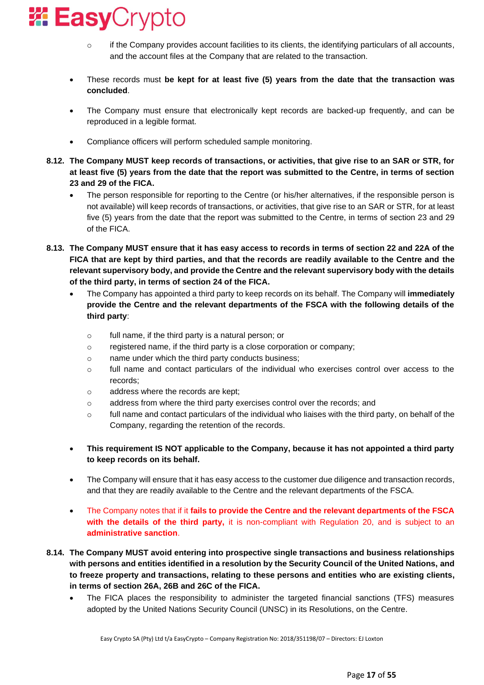

- $\circ$  if the Company provides account facilities to its clients, the identifying particulars of all accounts, and the account files at the Company that are related to the transaction.
- These records must **be kept for at least five (5) years from the date that the transaction was concluded**.
- The Company must ensure that electronically kept records are backed-up frequently, and can be reproduced in a legible format.
- Compliance officers will perform scheduled sample monitoring.
- **8.12. The Company MUST keep records of transactions, or activities, that give rise to an SAR or STR, for at least five (5) years from the date that the report was submitted to the Centre, in terms of section 23 and 29 of the FICA.**
	- The person responsible for reporting to the Centre (or his/her alternatives, if the responsible person is not available) will keep records of transactions, or activities, that give rise to an SAR or STR, for at least five (5) years from the date that the report was submitted to the Centre, in terms of section 23 and 29 of the FICA.
- **8.13. The Company MUST ensure that it has easy access to records in terms of section 22 and 22A of the FICA that are kept by third parties, and that the records are readily available to the Centre and the relevant supervisory body, and provide the Centre and the relevant supervisory body with the details of the third party, in terms of section 24 of the FICA.**
	- The Company has appointed a third party to keep records on its behalf. The Company will **immediately provide the Centre and the relevant departments of the FSCA with the following details of the third party**:
		- o full name, if the third party is a natural person; or
		- o registered name, if the third party is a close corporation or company;
		- o name under which the third party conducts business;
		- $\circ$  full name and contact particulars of the individual who exercises control over access to the records;
		- o address where the records are kept;
		- o address from where the third party exercises control over the records; and
		- $\circ$  full name and contact particulars of the individual who liaises with the third party, on behalf of the Company, regarding the retention of the records.
	- **This requirement IS NOT applicable to the Company, because it has not appointed a third party to keep records on its behalf.**
	- The Company will ensure that it has easy access to the customer due diligence and transaction records, and that they are readily available to the Centre and the relevant departments of the FSCA.
	- The Company notes that if it **fails to provide the Centre and the relevant departments of the FSCA with the details of the third party,** it is non-compliant with Regulation 20, and is subject to an **administrative sanction**.
- **8.14. The Company MUST avoid entering into prospective single transactions and business relationships with persons and entities identified in a resolution by the Security Council of the United Nations, and to freeze property and transactions, relating to these persons and entities who are existing clients, in terms of section 26A, 26B and 26C of the FICA.**
	- The FICA places the responsibility to administer the targeted financial sanctions (TFS) measures adopted by the United Nations Security Council (UNSC) in its Resolutions, on the Centre.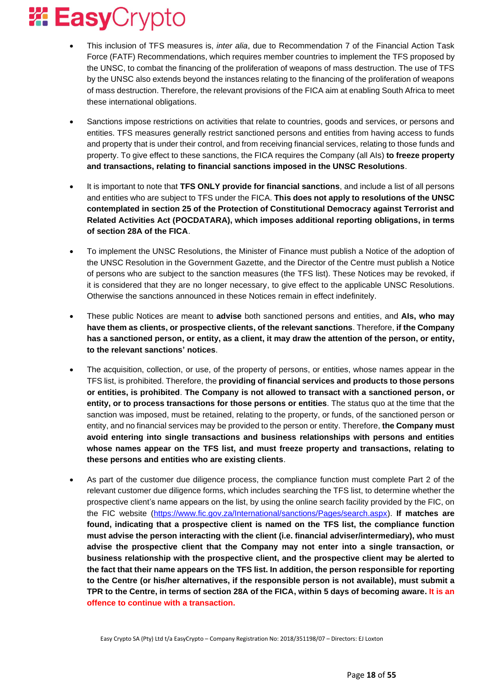

- This inclusion of TFS measures is, *inter alia*, due to Recommendation 7 of the Financial Action Task Force (FATF) Recommendations, which requires member countries to implement the TFS proposed by the UNSC, to combat the financing of the proliferation of weapons of mass destruction. The use of TFS by the UNSC also extends beyond the instances relating to the financing of the proliferation of weapons of mass destruction. Therefore, the relevant provisions of the FICA aim at enabling South Africa to meet these international obligations.
- Sanctions impose restrictions on activities that relate to countries, goods and services, or persons and entities. TFS measures generally restrict sanctioned persons and entities from having access to funds and property that is under their control, and from receiving financial services, relating to those funds and property. To give effect to these sanctions, the FICA requires the Company (all AIs) **to freeze property and transactions, relating to financial sanctions imposed in the UNSC Resolutions**.
- It is important to note that **TFS ONLY provide for financial sanctions**, and include a list of all persons and entities who are subject to TFS under the FICA. **This does not apply to resolutions of the UNSC contemplated in section 25 of the Protection of Constitutional Democracy against Terrorist and Related Activities Act (POCDATARA), which imposes additional reporting obligations, in terms of section 28A of the FICA**.
- To implement the UNSC Resolutions, the Minister of Finance must publish a Notice of the adoption of the UNSC Resolution in the Government Gazette, and the Director of the Centre must publish a Notice of persons who are subject to the sanction measures (the TFS list). These Notices may be revoked, if it is considered that they are no longer necessary, to give effect to the applicable UNSC Resolutions. Otherwise the sanctions announced in these Notices remain in effect indefinitely.
- These public Notices are meant to **advise** both sanctioned persons and entities, and **AIs, who may have them as clients, or prospective clients, of the relevant sanctions**. Therefore, **if the Company has a sanctioned person, or entity, as a client, it may draw the attention of the person, or entity, to the relevant sanctions' notices**.
- The acquisition, collection, or use, of the property of persons, or entities, whose names appear in the TFS list, is prohibited. Therefore, the **providing of financial services and products to those persons or entities, is prohibited**. **The Company is not allowed to transact with a sanctioned person, or entity, or to process transactions for those persons or entities**. The status quo at the time that the sanction was imposed, must be retained, relating to the property, or funds, of the sanctioned person or entity, and no financial services may be provided to the person or entity. Therefore, **the Company must avoid entering into single transactions and business relationships with persons and entities whose names appear on the TFS list, and must freeze property and transactions, relating to these persons and entities who are existing clients**.
- As part of the customer due diligence process, the compliance function must complete Part 2 of the relevant customer due diligence forms, which includes searching the TFS list, to determine whether the prospective client's name appears on the list, by using the online search facility provided by the FIC, on the FIC website [\(https://www.fic.gov.za/International/sanctions/Pages/search.aspx\)](https://www.fic.gov.za/International/sanctions/Pages/search.aspx). **If matches are found, indicating that a prospective client is named on the TFS list, the compliance function must advise the person interacting with the client (i.e. financial adviser/intermediary), who must advise the prospective client that the Company may not enter into a single transaction, or business relationship with the prospective client, and the prospective client may be alerted to the fact that their name appears on the TFS list. In addition, the person responsible for reporting to the Centre (or his/her alternatives, if the responsible person is not available), must submit a TPR to the Centre, in terms of section 28A of the FICA, within 5 days of becoming aware. It is an offence to continue with a transaction.**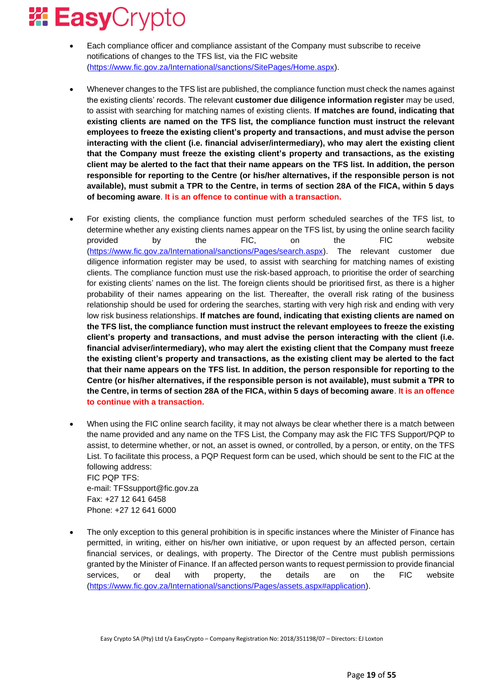- Each compliance officer and compliance assistant of the Company must subscribe to receive notifications of changes to the TFS list, via the FIC website [\(https://www.fic.gov.za/International/sanctions/SitePages/Home.aspx\)](https://www.fic.gov.za/International/sanctions/SitePages/Home.aspx).
- Whenever changes to the TFS list are published, the compliance function must check the names against the existing clients' records. The relevant **customer due diligence information register** may be used, to assist with searching for matching names of existing clients. **If matches are found, indicating that existing clients are named on the TFS list, the compliance function must instruct the relevant employees to freeze the existing client's property and transactions, and must advise the person interacting with the client (i.e. financial adviser/intermediary), who may alert the existing client that the Company must freeze the existing client's property and transactions, as the existing client may be alerted to the fact that their name appears on the TFS list. In addition, the person responsible for reporting to the Centre (or his/her alternatives, if the responsible person is not available), must submit a TPR to the Centre, in terms of section 28A of the FICA, within 5 days of becoming aware**. **It is an offence to continue with a transaction.**
- For existing clients, the compliance function must perform scheduled searches of the TFS list, to determine whether any existing clients names appear on the TFS list, by using the online search facility provided by the FIC, on the FIC website [\(https://www.fic.gov.za/International/sanctions/Pages/search.aspx\)](https://www.fic.gov.za/International/sanctions/Pages/search.aspx). The relevant customer due diligence information register may be used, to assist with searching for matching names of existing clients. The compliance function must use the risk-based approach, to prioritise the order of searching for existing clients' names on the list. The foreign clients should be prioritised first, as there is a higher probability of their names appearing on the list. Thereafter, the overall risk rating of the business relationship should be used for ordering the searches, starting with very high risk and ending with very low risk business relationships. **If matches are found, indicating that existing clients are named on the TFS list, the compliance function must instruct the relevant employees to freeze the existing client's property and transactions, and must advise the person interacting with the client (i.e. financial adviser/intermediary), who may alert the existing client that the Company must freeze the existing client's property and transactions, as the existing client may be alerted to the fact that their name appears on the TFS list. In addition, the person responsible for reporting to the Centre (or his/her alternatives, if the responsible person is not available), must submit a TPR to the Centre, in terms of section 28A of the FICA, within 5 days of becoming aware**. **It is an offence to continue with a transaction.**
- When using the FIC online search facility, it may not always be clear whether there is a match between the name provided and any name on the TFS List, the Company may ask the FIC TFS Support/PQP to assist, to determine whether, or not, an asset is owned, or controlled, by a person, or entity, on the TFS List. To facilitate this process, a PQP Request form can be used, which should be sent to the FIC at the following address: FIC PQP TFS: e-mail: TFSsupport@fic.gov.za Fax: +27 12 641 6458

Phone: +27 12 641 6000

• The only exception to this general prohibition is in specific instances where the Minister of Finance has permitted, in writing, either on his/her own initiative, or upon request by an affected person, certain financial services, or dealings, with property. The Director of the Centre must publish permissions granted by the Minister of Finance. If an affected person wants to request permission to provide financial services, or deal with property, the details are on the FIC website [\(https://www.fic.gov.za/International/sanctions/Pages/assets.aspx#application\)](https://www.fic.gov.za/International/sanctions/Pages/assets.aspx#application).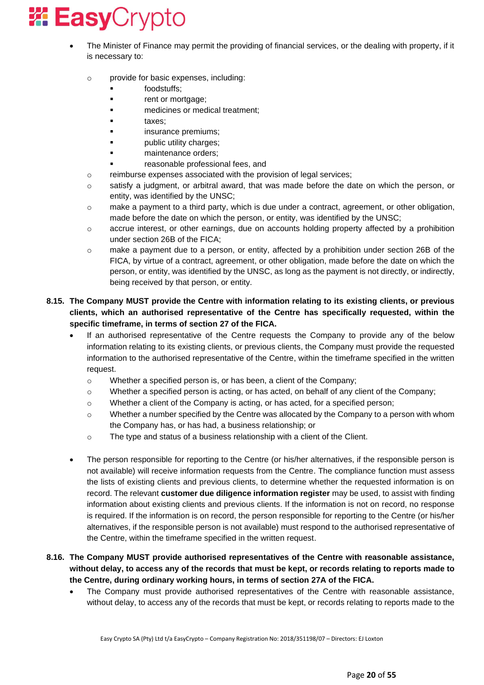- The Minister of Finance may permit the providing of financial services, or the dealing with property, if it is necessary to:
	- o provide for basic expenses, including:
		- foodstuffs;
		- rent or mortgage;
		- medicines or medical treatment;
		- taxes;
		- **■** insurance premiums;
		- public utility charges;
		- maintenance orders;
		- reasonable professional fees, and
	- o reimburse expenses associated with the provision of legal services;
	- o satisfy a judgment, or arbitral award, that was made before the date on which the person, or entity, was identified by the UNSC;
	- o make a payment to a third party, which is due under a contract, agreement, or other obligation, made before the date on which the person, or entity, was identified by the UNSC;
	- $\circ$  accrue interest, or other earnings, due on accounts holding property affected by a prohibition under section 26B of the FICA;
	- o make a payment due to a person, or entity, affected by a prohibition under section 26B of the FICA, by virtue of a contract, agreement, or other obligation, made before the date on which the person, or entity, was identified by the UNSC, as long as the payment is not directly, or indirectly, being received by that person, or entity.

### **8.15. The Company MUST provide the Centre with information relating to its existing clients, or previous clients, which an authorised representative of the Centre has specifically requested, within the specific timeframe, in terms of section 27 of the FICA.**

- If an authorised representative of the Centre requests the Company to provide any of the below information relating to its existing clients, or previous clients, the Company must provide the requested information to the authorised representative of the Centre, within the timeframe specified in the written request.
	- $\circ$  Whether a specified person is, or has been, a client of the Company:
	- o Whether a specified person is acting, or has acted, on behalf of any client of the Company;
	- $\circ$  Whether a client of the Company is acting, or has acted, for a specified person;
	- $\circ$  Whether a number specified by the Centre was allocated by the Company to a person with whom the Company has, or has had, a business relationship; or
	- o The type and status of a business relationship with a client of the Client.
- The person responsible for reporting to the Centre (or his/her alternatives, if the responsible person is not available) will receive information requests from the Centre. The compliance function must assess the lists of existing clients and previous clients, to determine whether the requested information is on record. The relevant **customer due diligence information register** may be used, to assist with finding information about existing clients and previous clients. If the information is not on record, no response is required. If the information is on record, the person responsible for reporting to the Centre (or his/her alternatives, if the responsible person is not available) must respond to the authorised representative of the Centre, within the timeframe specified in the written request.

### **8.16. The Company MUST provide authorised representatives of the Centre with reasonable assistance, without delay, to access any of the records that must be kept, or records relating to reports made to the Centre, during ordinary working hours, in terms of section 27A of the FICA.**

• The Company must provide authorised representatives of the Centre with reasonable assistance, without delay, to access any of the records that must be kept, or records relating to reports made to the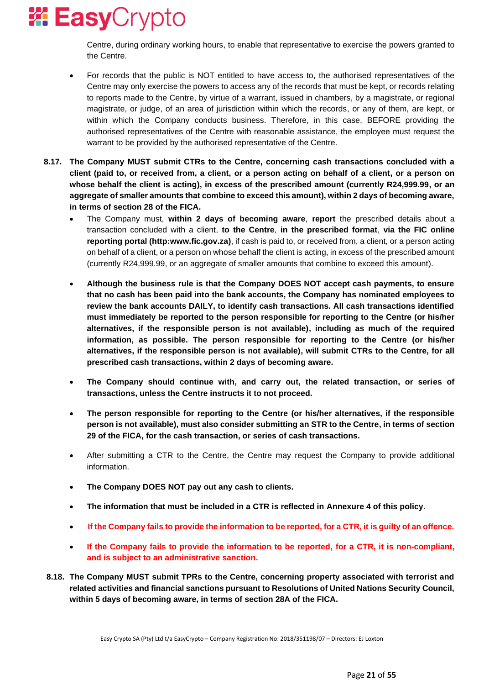Centre, during ordinary working hours, to enable that representative to exercise the powers granted to the Centre.

- For records that the public is NOT entitled to have access to, the authorised representatives of the Centre may only exercise the powers to access any of the records that must be kept, or records relating to reports made to the Centre, by virtue of a warrant, issued in chambers, by a magistrate, or regional magistrate, or judge, of an area of jurisdiction within which the records, or any of them, are kept, or within which the Company conducts business. Therefore, in this case, BEFORE providing the authorised representatives of the Centre with reasonable assistance, the employee must request the warrant to be provided by the authorised representative of the Centre.
- **8.17. The Company MUST submit CTRs to the Centre, concerning cash transactions concluded with a client (paid to, or received from, a client, or a person acting on behalf of a client, or a person on whose behalf the client is acting), in excess of the prescribed amount (currently R24,999.99, or an aggregate of smaller amounts that combine to exceed this amount), within 2 days of becoming aware, in terms of section 28 of the FICA.**
	- The Company must, **within 2 days of becoming aware**, **report** the prescribed details about a transaction concluded with a client, **to the Centre**, **in the prescribed format**, **via the FIC online reporting portal (http:www.fic.gov.za)**, if cash is paid to, or received from, a client, or a person acting on behalf of a client, or a person on whose behalf the client is acting, in excess of the prescribed amount (currently R24,999.99, or an aggregate of smaller amounts that combine to exceed this amount).
	- **Although the business rule is that the Company DOES NOT accept cash payments, to ensure that no cash has been paid into the bank accounts, the Company has nominated employees to review the bank accounts DAILY, to identify cash transactions. All cash transactions identified must immediately be reported to the person responsible for reporting to the Centre (or his/her alternatives, if the responsible person is not available), including as much of the required information, as possible. The person responsible for reporting to the Centre (or his/her alternatives, if the responsible person is not available), will submit CTRs to the Centre, for all prescribed cash transactions, within 2 days of becoming aware.**
	- **The Company should continue with, and carry out, the related transaction, or series of transactions, unless the Centre instructs it to not proceed.**
	- **The person responsible for reporting to the Centre (or his/her alternatives, if the responsible person is not available), must also consider submitting an STR to the Centre, in terms of section 29 of the FICA, for the cash transaction, or series of cash transactions.**
	- After submitting a CTR to the Centre, the Centre may request the Company to provide additional information.
	- **The Company DOES NOT pay out any cash to clients.**
	- **The information that must be included in a CTR is reflected in Annexure 4 of this policy**.
	- **If the Company fails to provide the information to be reported, for a CTR, it is guilty of an offence.**
	- **If the Company fails to provide the information to be reported, for a CTR, it is non-compliant, and is subject to an administrative sanction.**
- **8.18. The Company MUST submit TPRs to the Centre, concerning property associated with terrorist and related activities and financial sanctions pursuant to Resolutions of United Nations Security Council, within 5 days of becoming aware, in terms of section 28A of the FICA.**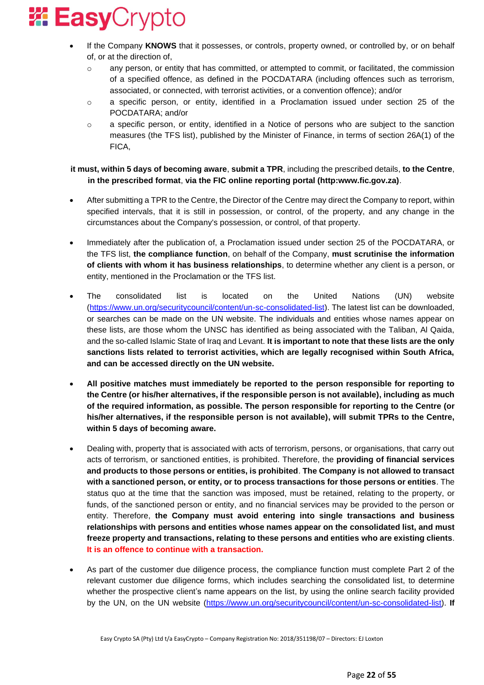

- If the Company **KNOWS** that it possesses, or controls, property owned, or controlled by, or on behalf of, or at the direction of,
	- $\circ$  any person, or entity that has committed, or attempted to commit, or facilitated, the commission of a specified offence, as defined in the POCDATARA (including offences such as terrorism, associated, or connected, with terrorist activities, or a convention offence); and/or
	- o a specific person, or entity, identified in a Proclamation issued under section 25 of the POCDATARA; and/or
	- o a specific person, or entity, identified in a Notice of persons who are subject to the sanction measures (the TFS list), published by the Minister of Finance, in terms of section 26A(1) of the FICA,

**it must, within 5 days of becoming aware**, **submit a TPR**, including the prescribed details, **to the Centre**, **in the prescribed format**, **via the FIC online reporting portal (http:www.fic.gov.za)**.

- After submitting a TPR to the Centre, the Director of the Centre may direct the Company to report, within specified intervals, that it is still in possession, or control, of the property, and any change in the circumstances about the Company's possession, or control, of that property.
- Immediately after the publication of, a Proclamation issued under section 25 of the POCDATARA, or the TFS list, **the compliance function**, on behalf of the Company, **must scrutinise the information of clients with whom it has business relationships**, to determine whether any client is a person, or entity, mentioned in the Proclamation or the TFS list.
- The consolidated list is located on the United Nations (UN) website [\(https://www.un.org/securitycouncil/content/un-sc-consolidated-list\)](https://www.un.org/securitycouncil/content/un-sc-consolidated-list). The latest list can be downloaded, or searches can be made on the UN website. The individuals and entities whose names appear on these lists, are those whom the UNSC has identified as being associated with the Taliban, Al Qaida, and the so-called Islamic State of Iraq and Levant. **It is important to note that these lists are the only sanctions lists related to terrorist activities, which are legally recognised within South Africa, and can be accessed directly on the UN website.**
- **All positive matches must immediately be reported to the person responsible for reporting to the Centre (or his/her alternatives, if the responsible person is not available), including as much of the required information, as possible. The person responsible for reporting to the Centre (or his/her alternatives, if the responsible person is not available), will submit TPRs to the Centre, within 5 days of becoming aware.**
- Dealing with, property that is associated with acts of terrorism, persons, or organisations, that carry out acts of terrorism, or sanctioned entities, is prohibited. Therefore, the **providing of financial services and products to those persons or entities, is prohibited**. **The Company is not allowed to transact with a sanctioned person, or entity, or to process transactions for those persons or entities**. The status quo at the time that the sanction was imposed, must be retained, relating to the property, or funds, of the sanctioned person or entity, and no financial services may be provided to the person or entity. Therefore, **the Company must avoid entering into single transactions and business relationships with persons and entities whose names appear on the consolidated list, and must freeze property and transactions, relating to these persons and entities who are existing clients**. **It is an offence to continue with a transaction.**
- As part of the customer due diligence process, the compliance function must complete Part 2 of the relevant customer due diligence forms, which includes searching the consolidated list, to determine whether the prospective client's name appears on the list, by using the online search facility provided by the UN, on the UN website [\(https://www.un.org/securitycouncil/content/un-sc-consolidated-list\)](https://www.un.org/securitycouncil/content/un-sc-consolidated-list). **If**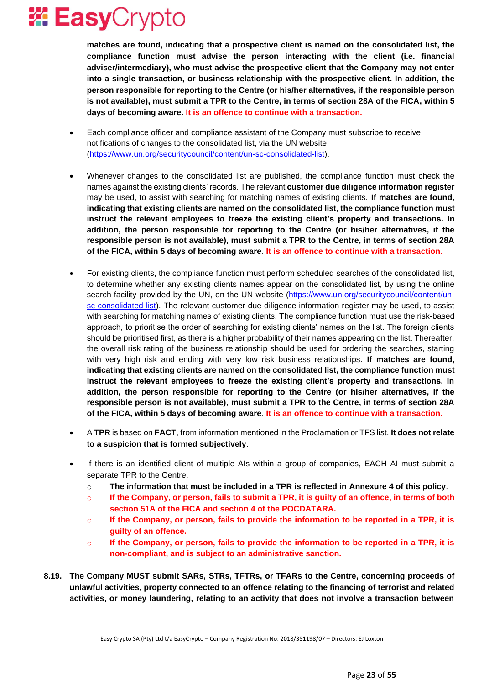

**matches are found, indicating that a prospective client is named on the consolidated list, the compliance function must advise the person interacting with the client (i.e. financial adviser/intermediary), who must advise the prospective client that the Company may not enter into a single transaction, or business relationship with the prospective client. In addition, the person responsible for reporting to the Centre (or his/her alternatives, if the responsible person is not available), must submit a TPR to the Centre, in terms of section 28A of the FICA, within 5 days of becoming aware. It is an offence to continue with a transaction.**

- Each compliance officer and compliance assistant of the Company must subscribe to receive notifications of changes to the consolidated list, via the UN website [\(https://www.un.org/securitycouncil/content/un-sc-consolidated-list\)](https://www.un.org/securitycouncil/content/un-sc-consolidated-list).
- Whenever changes to the consolidated list are published, the compliance function must check the names against the existing clients' records. The relevant **customer due diligence information register** may be used, to assist with searching for matching names of existing clients. **If matches are found, indicating that existing clients are named on the consolidated list, the compliance function must instruct the relevant employees to freeze the existing client's property and transactions. In addition, the person responsible for reporting to the Centre (or his/her alternatives, if the responsible person is not available), must submit a TPR to the Centre, in terms of section 28A of the FICA, within 5 days of becoming aware**. **It is an offence to continue with a transaction.**
- For existing clients, the compliance function must perform scheduled searches of the consolidated list, to determine whether any existing clients names appear on the consolidated list, by using the online search facility provided by the UN, on the UN website [\(https://www.un.org/securitycouncil/content/un](https://www.un.org/securitycouncil/content/un-sc-consolidated-list)[sc-consolidated-list\)](https://www.un.org/securitycouncil/content/un-sc-consolidated-list). The relevant customer due diligence information register may be used, to assist with searching for matching names of existing clients. The compliance function must use the risk-based approach, to prioritise the order of searching for existing clients' names on the list. The foreign clients should be prioritised first, as there is a higher probability of their names appearing on the list. Thereafter, the overall risk rating of the business relationship should be used for ordering the searches, starting with very high risk and ending with very low risk business relationships. **If matches are found, indicating that existing clients are named on the consolidated list, the compliance function must instruct the relevant employees to freeze the existing client's property and transactions. In addition, the person responsible for reporting to the Centre (or his/her alternatives, if the responsible person is not available), must submit a TPR to the Centre, in terms of section 28A of the FICA, within 5 days of becoming aware**. **It is an offence to continue with a transaction.**
- A **TPR** is based on **FACT**, from information mentioned in the Proclamation or TFS list. **It does not relate to a suspicion that is formed subjectively**.
- If there is an identified client of multiple AIs within a group of companies, EACH AI must submit a separate TPR to the Centre.
	- o **The information that must be included in a TPR is reflected in Annexure 4 of this policy**.
	- o **If the Company, or person, fails to submit a TPR, it is guilty of an offence, in terms of both section 51A of the FICA and section 4 of the POCDATARA.**
	- o **If the Company, or person, fails to provide the information to be reported in a TPR, it is guilty of an offence.**
	- o **If the Company, or person, fails to provide the information to be reported in a TPR, it is non-compliant, and is subject to an administrative sanction.**
- **8.19. The Company MUST submit SARs, STRs, TFTRs, or TFARs to the Centre, concerning proceeds of unlawful activities, property connected to an offence relating to the financing of terrorist and related activities, or money laundering, relating to an activity that does not involve a transaction between**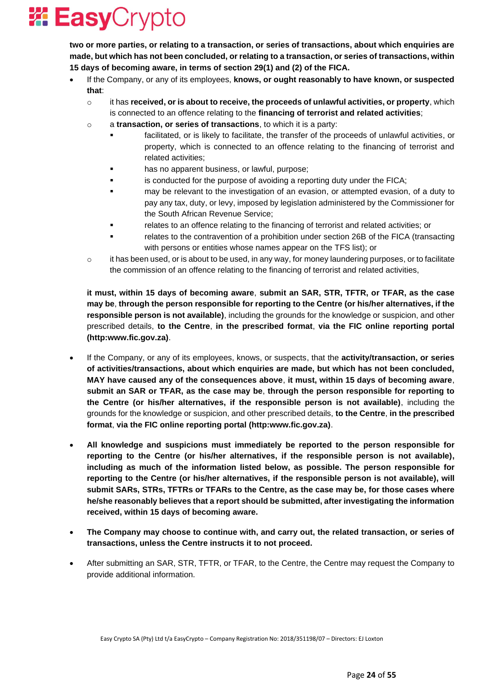

**two or more parties, or relating to a transaction, or series of transactions, about which enquiries are made, but which has not been concluded, or relating to a transaction, or series of transactions, within 15 days of becoming aware, in terms of section 29(1) and (2) of the FICA.**

- If the Company, or any of its employees, **knows, or ought reasonably to have known, or suspected that**:
	- o it has **received, or is about to receive, the proceeds of unlawful activities, or property**, which is connected to an offence relating to the **financing of terrorist and related activities**;
	- o a **transaction, or series of transactions**, to which it is a party:
		- facilitated, or is likely to facilitate, the transfer of the proceeds of unlawful activities, or property, which is connected to an offence relating to the financing of terrorist and related activities;
		- has no apparent business, or lawful, purpose;
		- is conducted for the purpose of avoiding a reporting duty under the FICA;
		- may be relevant to the investigation of an evasion, or attempted evasion, of a duty to pay any tax, duty, or levy, imposed by legislation administered by the Commissioner for the South African Revenue Service;
		- relates to an offence relating to the financing of terrorist and related activities; or
		- relates to the contravention of a prohibition under section 26B of the FICA (transacting with persons or entities whose names appear on the TFS list); or
	- $\circ$  it has been used, or is about to be used, in any way, for money laundering purposes, or to facilitate the commission of an offence relating to the financing of terrorist and related activities,

**it must, within 15 days of becoming aware**, **submit an SAR, STR, TFTR, or TFAR, as the case may be**, **through the person responsible for reporting to the Centre (or his/her alternatives, if the responsible person is not available)**, including the grounds for the knowledge or suspicion, and other prescribed details, **to the Centre**, **in the prescribed format**, **via the FIC online reporting portal (http:www.fic.gov.za)**.

- If the Company, or any of its employees, knows, or suspects, that the **activity/transaction, or series of activities/transactions, about which enquiries are made, but which has not been concluded, MAY have caused any of the consequences above**, **it must, within 15 days of becoming aware**, **submit an SAR or TFAR, as the case may be**, **through the person responsible for reporting to the Centre (or his/her alternatives, if the responsible person is not available)**, including the grounds for the knowledge or suspicion, and other prescribed details, **to the Centre**, **in the prescribed format**, **via the FIC online reporting portal (http:www.fic.gov.za)**.
- **All knowledge and suspicions must immediately be reported to the person responsible for reporting to the Centre (or his/her alternatives, if the responsible person is not available), including as much of the information listed below, as possible. The person responsible for reporting to the Centre (or his/her alternatives, if the responsible person is not available), will submit SARs, STRs, TFTRs or TFARs to the Centre, as the case may be, for those cases where he/she reasonably believes that a report should be submitted, after investigating the information received, within 15 days of becoming aware.**
- **The Company may choose to continue with, and carry out, the related transaction, or series of transactions, unless the Centre instructs it to not proceed.**
- After submitting an SAR, STR, TFTR, or TFAR, to the Centre, the Centre may request the Company to provide additional information.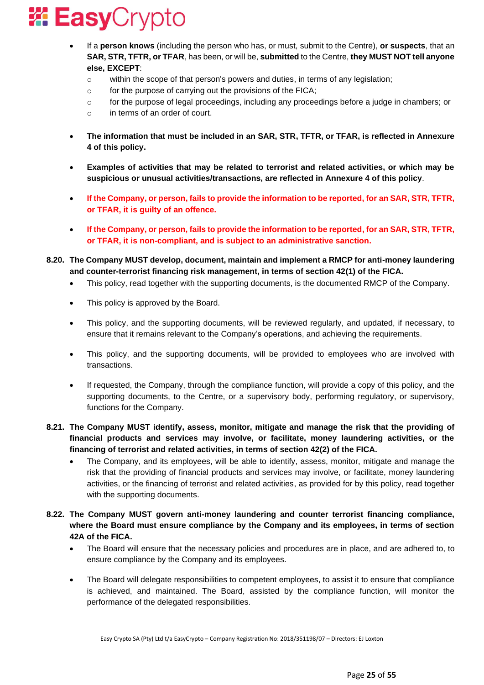

- If a **person knows** (including the person who has, or must, submit to the Centre), **or suspects**, that an **SAR, STR, TFTR, or TFAR**, has been, or will be, **submitted** to the Centre, **they MUST NOT tell anyone else, EXCEPT**:
	- $\circ$  within the scope of that person's powers and duties, in terms of any legislation;
	- $\circ$  for the purpose of carrying out the provisions of the FICA;
	- o for the purpose of legal proceedings, including any proceedings before a judge in chambers; or
	- o in terms of an order of court.
- **The information that must be included in an SAR, STR, TFTR, or TFAR, is reflected in Annexure 4 of this policy.**
- **Examples of activities that may be related to terrorist and related activities, or which may be suspicious or unusual activities/transactions, are reflected in Annexure 4 of this policy**.
- **If the Company, or person, fails to provide the information to be reported, for an SAR, STR, TFTR, or TFAR, it is guilty of an offence.**
- **If the Company, or person, fails to provide the information to be reported, for an SAR, STR, TFTR, or TFAR, it is non-compliant, and is subject to an administrative sanction.**
- **8.20. The Company MUST develop, document, maintain and implement a RMCP for anti-money laundering and counter-terrorist financing risk management, in terms of section 42(1) of the FICA.**
	- This policy, read together with the supporting documents, is the documented RMCP of the Company.
	- This policy is approved by the Board.
	- This policy, and the supporting documents, will be reviewed regularly, and updated, if necessary, to ensure that it remains relevant to the Company's operations, and achieving the requirements.
	- This policy, and the supporting documents, will be provided to employees who are involved with transactions.
	- If requested, the Company, through the compliance function, will provide a copy of this policy, and the supporting documents, to the Centre, or a supervisory body, performing regulatory, or supervisory, functions for the Company.
- **8.21. The Company MUST identify, assess, monitor, mitigate and manage the risk that the providing of financial products and services may involve, or facilitate, money laundering activities, or the financing of terrorist and related activities, in terms of section 42(2) of the FICA.**
	- The Company, and its employees, will be able to identify, assess, monitor, mitigate and manage the risk that the providing of financial products and services may involve, or facilitate, money laundering activities, or the financing of terrorist and related activities, as provided for by this policy, read together with the supporting documents.
- **8.22. The Company MUST govern anti-money laundering and counter terrorist financing compliance, where the Board must ensure compliance by the Company and its employees, in terms of section 42A of the FICA.**
	- The Board will ensure that the necessary policies and procedures are in place, and are adhered to, to ensure compliance by the Company and its employees.
	- The Board will delegate responsibilities to competent employees, to assist it to ensure that compliance is achieved, and maintained. The Board, assisted by the compliance function, will monitor the performance of the delegated responsibilities.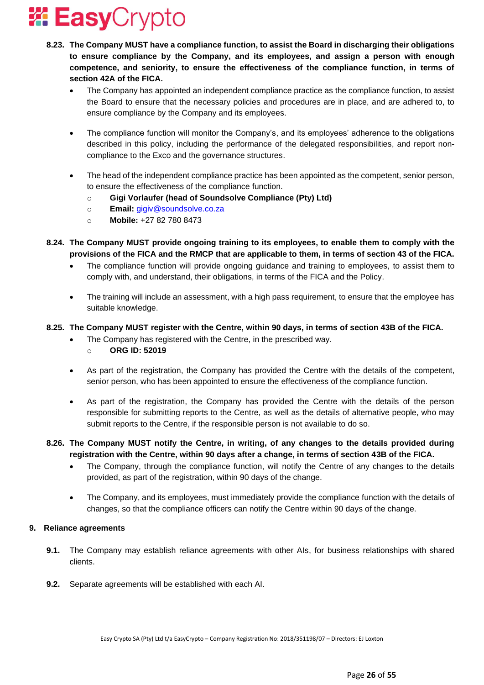

- **8.23. The Company MUST have a compliance function, to assist the Board in discharging their obligations to ensure compliance by the Company, and its employees, and assign a person with enough competence, and seniority, to ensure the effectiveness of the compliance function, in terms of section 42A of the FICA.**
	- The Company has appointed an independent compliance practice as the compliance function, to assist the Board to ensure that the necessary policies and procedures are in place, and are adhered to, to ensure compliance by the Company and its employees.
	- The compliance function will monitor the Company's, and its employees' adherence to the obligations described in this policy, including the performance of the delegated responsibilities, and report noncompliance to the Exco and the governance structures.
	- The head of the independent compliance practice has been appointed as the competent, senior person, to ensure the effectiveness of the compliance function.
		- o **Gigi Vorlaufer (head of Soundsolve Compliance (Pty) Ltd)**
		- o **Email:** [gigiv@soundsolve.co.za](mailto:gigiv@soundsolve.co.za)
		- o **Mobile:** +27 82 780 8473
- **8.24. The Company MUST provide ongoing training to its employees, to enable them to comply with the provisions of the FICA and the RMCP that are applicable to them, in terms of section 43 of the FICA.**
	- The compliance function will provide ongoing guidance and training to employees, to assist them to comply with, and understand, their obligations, in terms of the FICA and the Policy.
	- The training will include an assessment, with a high pass requirement, to ensure that the employee has suitable knowledge.
- **8.25. The Company MUST register with the Centre, within 90 days, in terms of section 43B of the FICA.**
	- The Company has registered with the Centre, in the prescribed way.
		- o **ORG ID: 52019**
	- As part of the registration, the Company has provided the Centre with the details of the competent, senior person, who has been appointed to ensure the effectiveness of the compliance function.
	- As part of the registration, the Company has provided the Centre with the details of the person responsible for submitting reports to the Centre, as well as the details of alternative people, who may submit reports to the Centre, if the responsible person is not available to do so.
- **8.26. The Company MUST notify the Centre, in writing, of any changes to the details provided during registration with the Centre, within 90 days after a change, in terms of section 43B of the FICA.**
	- The Company, through the compliance function, will notify the Centre of any changes to the details provided, as part of the registration, within 90 days of the change.
	- The Company, and its employees, must immediately provide the compliance function with the details of changes, so that the compliance officers can notify the Centre within 90 days of the change.

### **9. Reliance agreements**

- **9.1.** The Company may establish reliance agreements with other AIs, for business relationships with shared clients.
- **9.2.** Separate agreements will be established with each AI.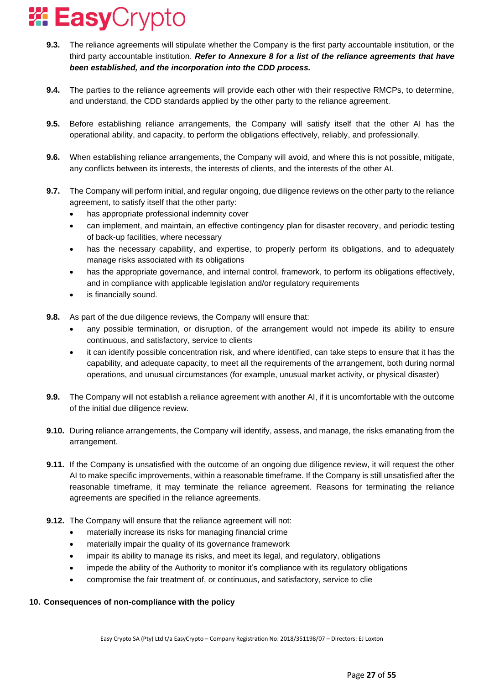

- **9.3.** The reliance agreements will stipulate whether the Company is the first party accountable institution, or the third party accountable institution. *Refer to Annexure 8 for a list of the reliance agreements that have been established, and the incorporation into the CDD process.*
- **9.4.** The parties to the reliance agreements will provide each other with their respective RMCPs, to determine, and understand, the CDD standards applied by the other party to the reliance agreement.
- **9.5.** Before establishing reliance arrangements, the Company will satisfy itself that the other AI has the operational ability, and capacity, to perform the obligations effectively, reliably, and professionally.
- **9.6.** When establishing reliance arrangements, the Company will avoid, and where this is not possible, mitigate, any conflicts between its interests, the interests of clients, and the interests of the other AI.
- **9.7.** The Company will perform initial, and regular ongoing, due diligence reviews on the other party to the reliance agreement, to satisfy itself that the other party:
	- has appropriate professional indemnity cover
	- can implement, and maintain, an effective contingency plan for disaster recovery, and periodic testing of back-up facilities, where necessary
	- has the necessary capability, and expertise, to properly perform its obligations, and to adequately manage risks associated with its obligations
	- has the appropriate governance, and internal control, framework, to perform its obligations effectively, and in compliance with applicable legislation and/or regulatory requirements
	- is financially sound.
- **9.8.** As part of the due diligence reviews, the Company will ensure that:
	- any possible termination, or disruption, of the arrangement would not impede its ability to ensure continuous, and satisfactory, service to clients
	- it can identify possible concentration risk, and where identified, can take steps to ensure that it has the capability, and adequate capacity, to meet all the requirements of the arrangement, both during normal operations, and unusual circumstances (for example, unusual market activity, or physical disaster)
- **9.9.** The Company will not establish a reliance agreement with another AI, if it is uncomfortable with the outcome of the initial due diligence review.
- **9.10.** During reliance arrangements, the Company will identify, assess, and manage, the risks emanating from the arrangement.
- **9.11.** If the Company is unsatisfied with the outcome of an ongoing due diligence review, it will request the other AI to make specific improvements, within a reasonable timeframe. If the Company is still unsatisfied after the reasonable timeframe, it may terminate the reliance agreement. Reasons for terminating the reliance agreements are specified in the reliance agreements.
- **9.12.** The Company will ensure that the reliance agreement will not:
	- materially increase its risks for managing financial crime
	- materially impair the quality of its governance framework
	- impair its ability to manage its risks, and meet its legal, and regulatory, obligations
	- impede the ability of the Authority to monitor it's compliance with its regulatory obligations
	- compromise the fair treatment of, or continuous, and satisfactory, service to clie

### **10. Consequences of non-compliance with the policy**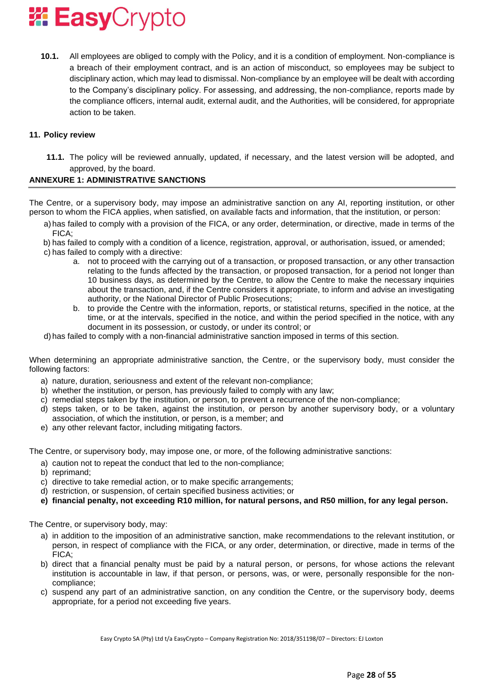

**10.1.** All employees are obliged to comply with the Policy, and it is a condition of employment. Non-compliance is a breach of their employment contract, and is an action of misconduct, so employees may be subject to disciplinary action, which may lead to dismissal. Non-compliance by an employee will be dealt with according to the Company's disciplinary policy. For assessing, and addressing, the non-compliance, reports made by the compliance officers, internal audit, external audit, and the Authorities, will be considered, for appropriate action to be taken.

#### **11. Policy review**

**11.1.** The policy will be reviewed annually, updated, if necessary, and the latest version will be adopted, and approved, by the board.

#### **ANNEXURE 1: ADMINISTRATIVE SANCTIONS**

The Centre, or a supervisory body, may impose an administrative sanction on any AI, reporting institution, or other person to whom the FICA applies, when satisfied, on available facts and information, that the institution, or person:

- a) has failed to comply with a provision of the FICA, or any order, determination, or directive, made in terms of the FICA;
- b) has failed to comply with a condition of a licence, registration, approval, or authorisation, issued, or amended;
- c) has failed to comply with a directive:
	- a. not to proceed with the carrying out of a transaction, or proposed transaction, or any other transaction relating to the funds affected by the transaction, or proposed transaction, for a period not longer than 10 business days, as determined by the Centre, to allow the Centre to make the necessary inquiries about the transaction, and, if the Centre considers it appropriate, to inform and advise an investigating authority, or the National Director of Public Prosecutions;
	- b. to provide the Centre with the information, reports, or statistical returns, specified in the notice, at the time, or at the intervals, specified in the notice, and within the period specified in the notice, with any document in its possession, or custody, or under its control; or
- d) has failed to comply with a non-financial administrative sanction imposed in terms of this section.

When determining an appropriate administrative sanction, the Centre, or the supervisory body, must consider the following factors:

- a) nature, duration, seriousness and extent of the relevant non-compliance;
- b) whether the institution, or person, has previously failed to comply with any law;
- c) remedial steps taken by the institution, or person, to prevent a recurrence of the non-compliance;
- d) steps taken, or to be taken, against the institution, or person by another supervisory body, or a voluntary association, of which the institution, or person, is a member; and
- e) any other relevant factor, including mitigating factors.

The Centre, or supervisory body, may impose one, or more, of the following administrative sanctions:

- a) caution not to repeat the conduct that led to the non-compliance;
- b) reprimand;
- c) directive to take remedial action, or to make specific arrangements;
- d) restriction, or suspension, of certain specified business activities; or
- **e) financial penalty, not exceeding R10 million, for natural persons, and R50 million, for any legal person.**

The Centre, or supervisory body, may:

- a) in addition to the imposition of an administrative sanction, make recommendations to the relevant institution, or person, in respect of compliance with the FICA, or any order, determination, or directive, made in terms of the FICA;
- b) direct that a financial penalty must be paid by a natural person, or persons, for whose actions the relevant institution is accountable in law, if that person, or persons, was, or were, personally responsible for the noncompliance;
- c) suspend any part of an administrative sanction, on any condition the Centre, or the supervisory body, deems appropriate, for a period not exceeding five years.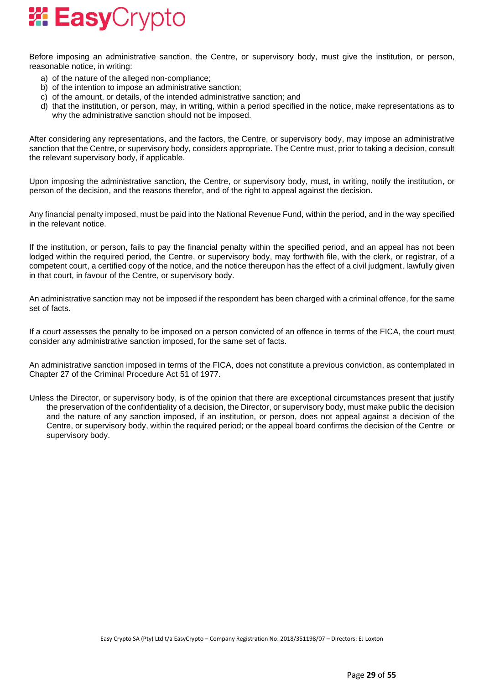

Before imposing an administrative sanction, the Centre, or supervisory body, must give the institution, or person, reasonable notice, in writing:

- a) of the nature of the alleged non-compliance;
- b) of the intention to impose an administrative sanction;
- c) of the amount, or details, of the intended administrative sanction; and
- d) that the institution, or person, may, in writing, within a period specified in the notice, make representations as to why the administrative sanction should not be imposed.

After considering any representations, and the factors, the Centre, or supervisory body, may impose an administrative sanction that the Centre, or supervisory body, considers appropriate. The Centre must, prior to taking a decision, consult the relevant supervisory body, if applicable.

Upon imposing the administrative sanction, the Centre, or supervisory body, must, in writing, notify the institution, or person of the decision, and the reasons therefor, and of the right to appeal against the decision.

Any financial penalty imposed, must be paid into the National Revenue Fund, within the period, and in the way specified in the relevant notice.

If the institution, or person, fails to pay the financial penalty within the specified period, and an appeal has not been lodged within the required period, the Centre, or supervisory body, may forthwith file, with the clerk, or registrar, of a competent court, a certified copy of the notice, and the notice thereupon has the effect of a civil judgment, lawfully given in that court, in favour of the Centre, or supervisory body.

An administrative sanction may not be imposed if the respondent has been charged with a criminal offence, for the same set of facts.

If a court assesses the penalty to be imposed on a person convicted of an offence in terms of the FICA, the court must consider any administrative sanction imposed, for the same set of facts.

An administrative sanction imposed in terms of the FICA, does not constitute a previous conviction, as contemplated in Chapter 27 of the Criminal Procedure Act 51 of 1977.

Unless the Director, or supervisory body, is of the opinion that there are exceptional circumstances present that justify the preservation of the confidentiality of a decision, the Director, or supervisory body, must make public the decision and the nature of any sanction imposed, if an institution, or person, does not appeal against a decision of the Centre, or supervisory body, within the required period; or the appeal board confirms the decision of the Centre or supervisory body.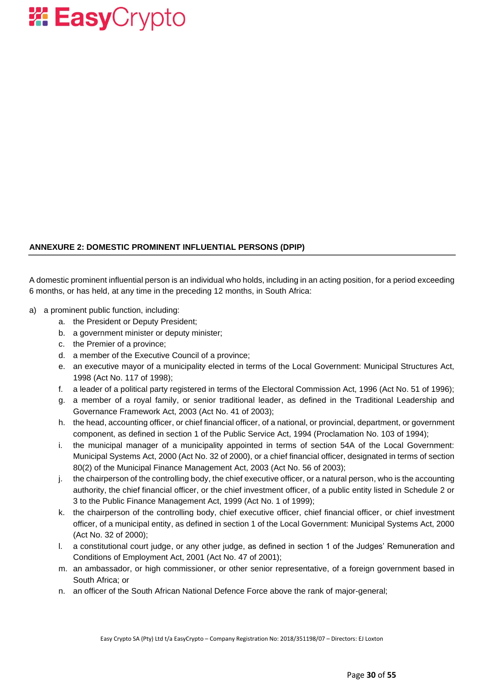

### **ANNEXURE 2: DOMESTIC PROMINENT INFLUENTIAL PERSONS (DPIP)**

A domestic prominent influential person is an individual who holds, including in an acting position, for a period exceeding 6 months, or has held, at any time in the preceding 12 months, in South Africa:

- a) a prominent public function, including:
	- a. the President or Deputy President;
	- b. a government minister or deputy minister;
	- c. the Premier of a province;
	- d. a member of the Executive Council of a province;
	- e. an executive mayor of a municipality elected in terms of the Local Government: Municipal Structures Act, 1998 (Act No. 117 of 1998);
	- f. a leader of a political party registered in terms of the Electoral Commission Act, 1996 (Act No. 51 of 1996);
	- g. a member of a royal family, or senior traditional leader, as defined in the Traditional Leadership and Governance Framework Act, 2003 (Act No. 41 of 2003);
	- h. the head, accounting officer, or chief financial officer, of a national, or provincial, department, or government component, as defined in section 1 of the Public Service Act, 1994 (Proclamation No. 103 of 1994);
	- i. the municipal manager of a municipality appointed in terms of section 54A of the Local Government: Municipal Systems Act, 2000 (Act No. 32 of 2000), or a chief financial officer, designated in terms of section 80(2) of the Municipal Finance Management Act, 2003 (Act No. 56 of 2003);
	- j. the chairperson of the controlling body, the chief executive officer, or a natural person, who is the accounting authority, the chief financial officer, or the chief investment officer, of a public entity listed in Schedule 2 or 3 to the Public Finance Management Act, 1999 (Act No. 1 of 1999);
	- k. the chairperson of the controlling body, chief executive officer, chief financial officer, or chief investment officer, of a municipal entity, as defined in section 1 of the Local Government: Municipal Systems Act, 2000 (Act No. 32 of 2000);
	- l. a constitutional court judge, or any other judge, as defined in section 1 of the Judges' Remuneration and Conditions of Employment Act, 2001 (Act No. 47 of 2001);
	- m. an ambassador, or high commissioner, or other senior representative, of a foreign government based in South Africa; or
	- n. an officer of the South African National Defence Force above the rank of major-general;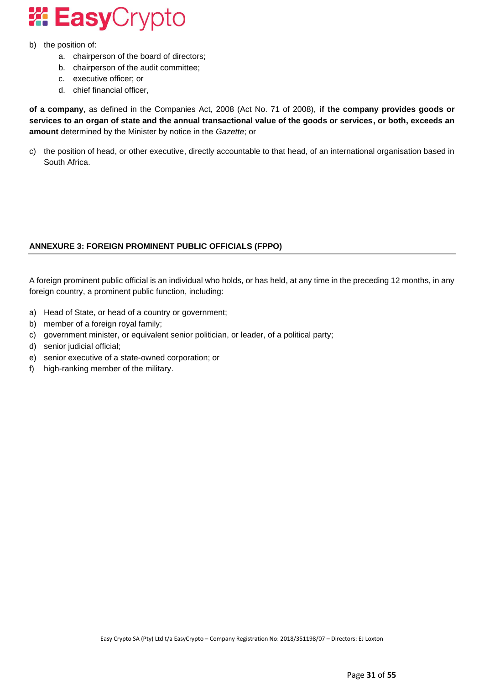

- b) the position of:
	- a. chairperson of the board of directors;
	- b. chairperson of the audit committee;
	- c. executive officer; or
	- d. chief financial officer,

**of a company**, as defined in the Companies Act, 2008 (Act No. 71 of 2008), **if the company provides goods or services to an organ of state and the annual transactional value of the goods or services, or both, exceeds an amount** determined by the Minister by notice in the *Gazette*; or

c) the position of head, or other executive, directly accountable to that head, of an international organisation based in South Africa.

### **ANNEXURE 3: FOREIGN PROMINENT PUBLIC OFFICIALS (FPPO)**

A foreign prominent public official is an individual who holds, or has held, at any time in the preceding 12 months, in any foreign country, a prominent public function, including:

- a) Head of State, or head of a country or government;
- b) member of a foreign royal family;
- c) government minister, or equivalent senior politician, or leader, of a political party;
- d) senior judicial official;
- e) senior executive of a state-owned corporation; or
- f) high-ranking member of the military.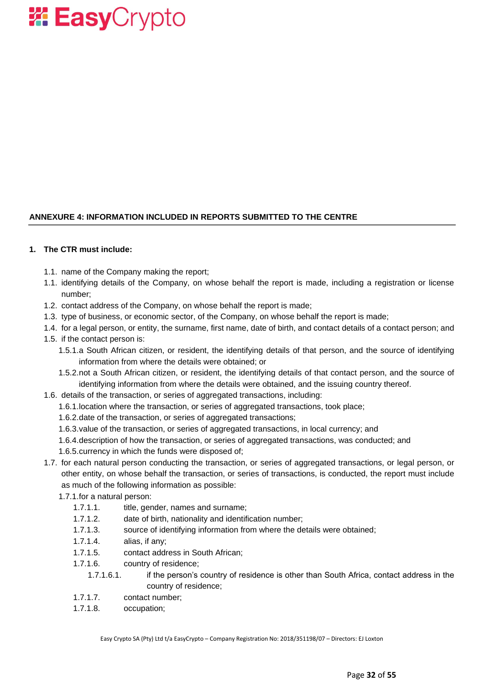

### **ANNEXURE 4: INFORMATION INCLUDED IN REPORTS SUBMITTED TO THE CENTRE**

#### **1. The CTR must include:**

- 1.1. name of the Company making the report;
- 1.1. identifying details of the Company, on whose behalf the report is made, including a registration or license number;
- 1.2. contact address of the Company, on whose behalf the report is made;
- 1.3. type of business, or economic sector, of the Company, on whose behalf the report is made;
- 1.4. for a legal person, or entity, the surname, first name, date of birth, and contact details of a contact person; and
- 1.5. if the contact person is:
	- 1.5.1.a South African citizen, or resident, the identifying details of that person, and the source of identifying information from where the details were obtained; or
	- 1.5.2.not a South African citizen, or resident, the identifying details of that contact person, and the source of identifying information from where the details were obtained, and the issuing country thereof.
- 1.6. details of the transaction, or series of aggregated transactions, including:
	- 1.6.1.location where the transaction, or series of aggregated transactions, took place;
	- 1.6.2.date of the transaction, or series of aggregated transactions;
	- 1.6.3.value of the transaction, or series of aggregated transactions, in local currency; and
	- 1.6.4.description of how the transaction, or series of aggregated transactions, was conducted; and
	- 1.6.5.currency in which the funds were disposed of;
- 1.7. for each natural person conducting the transaction, or series of aggregated transactions, or legal person, or other entity, on whose behalf the transaction, or series of transactions, is conducted, the report must include as much of the following information as possible:
	- 1.7.1.for a natural person:
		- 1.7.1.1. title, gender, names and surname;
		- 1.7.1.2. date of birth, nationality and identification number;
		- 1.7.1.3. source of identifying information from where the details were obtained;
		- 1.7.1.4. alias, if any;
		- 1.7.1.5. contact address in South African;
		- 1.7.1.6. country of residence;
			- 1.7.1.6.1. if the person's country of residence is other than South Africa, contact address in the country of residence;
		- 1.7.1.7. contact number;
		- 1.7.1.8. occupation;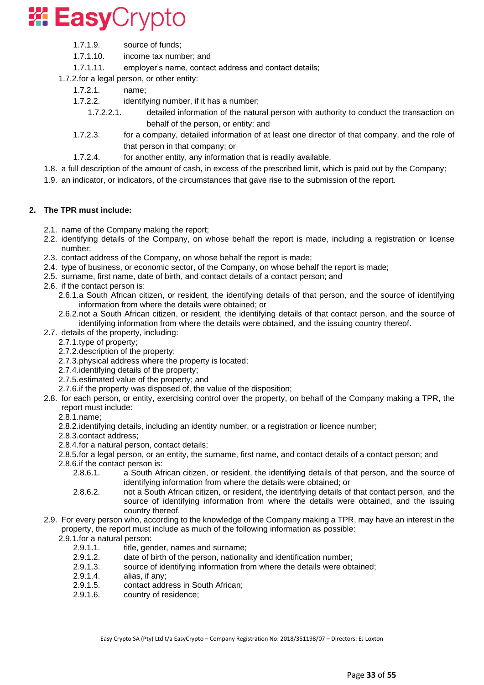

- 1.7.1.9. source of funds;
- 1.7.1.10. income tax number; and
- 1.7.1.11. employer's name, contact address and contact details;

1.7.2.for a legal person, or other entity:

- 1.7.2.1. name;
- 1.7.2.2. identifying number, if it has a number;
	- 1.7.2.2.1. detailed information of the natural person with authority to conduct the transaction on behalf of the person, or entity; and
- 1.7.2.3. for a company, detailed information of at least one director of that company, and the role of that person in that company; or
- 1.7.2.4. for another entity, any information that is readily available.
- 1.8. a full description of the amount of cash, in excess of the prescribed limit, which is paid out by the Company;
- 1.9. an indicator, or indicators, of the circumstances that gave rise to the submission of the report.

#### **2. The TPR must include:**

- 2.1. name of the Company making the report;
- 2.2. identifying details of the Company, on whose behalf the report is made, including a registration or license number;
- 2.3. contact address of the Company, on whose behalf the report is made;
- 2.4. type of business, or economic sector, of the Company, on whose behalf the report is made;
- 2.5. surname, first name, date of birth, and contact details of a contact person; and
- 2.6. if the contact person is:
	- 2.6.1.a South African citizen, or resident, the identifying details of that person, and the source of identifying information from where the details were obtained; or
	- 2.6.2.not a South African citizen, or resident, the identifying details of that contact person, and the source of identifying information from where the details were obtained, and the issuing country thereof.
- 2.7. details of the property, including:
	- 2.7.1.type of property;
	- 2.7.2.description of the property;
	- 2.7.3.physical address where the property is located;
	- 2.7.4.identifying details of the property;
	- 2.7.5.estimated value of the property; and
	- 2.7.6.if the property was disposed of, the value of the disposition;
- 2.8. for each person, or entity, exercising control over the property, on behalf of the Company making a TPR, the report must include:
	- 2.8.1.name;
	- 2.8.2.identifying details, including an identity number, or a registration or licence number;
	- 2.8.3.contact address;
	- 2.8.4.for a natural person, contact details;
	- 2.8.5.for a legal person, or an entity, the surname, first name, and contact details of a contact person; and
	- 2.8.6.if the contact person is:
		- 2.8.6.1. a South African citizen, or resident, the identifying details of that person, and the source of identifying information from where the details were obtained; or
		- 2.8.6.2. not a South African citizen, or resident, the identifying details of that contact person, and the source of identifying information from where the details were obtained, and the issuing country thereof.
- 2.9. For every person who, according to the knowledge of the Company making a TPR, may have an interest in the property, the report must include as much of the following information as possible:
	- 2.9.1.for a natural person:
		- 2.9.1.1. title, gender, names and surname;
		- 2.9.1.2. date of birth of the person, nationality and identification number;
		- 2.9.1.3. source of identifying information from where the details were obtained;<br>2.9.1.4. alias. if anv:
		- alias, if any;
		- 2.9.1.5. contact address in South African;
		- 2.9.1.6. country of residence;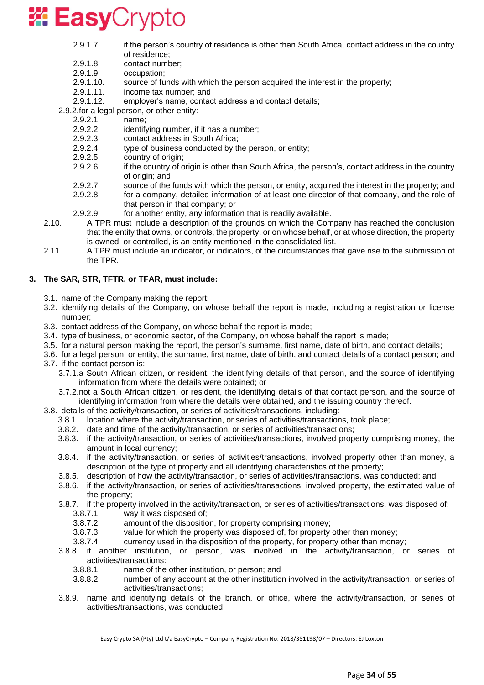

- 2.9.1.7. if the person's country of residence is other than South Africa, contact address in the country of residence;
- 2.9.1.8. contact number;
- 2.9.1.9. occupation;
- 2.9.1.10. source of funds with which the person acquired the interest in the property;
- 2.9.1.11. income tax number; and
- 2.9.1.12. employer's name, contact address and contact details;
- 2.9.2.for a legal person, or other entity:
	- 2.9.2.1. name;
	- 2.9.2.2. identifying number, if it has a number;
	- 2.9.2.3. contact address in South Africa;
	- 2.9.2.4. type of business conducted by the person, or entity;
	- 2.9.2.5. country of origin;
	- 2.9.2.6. if the country of origin is other than South Africa, the person's, contact address in the country of origin; and
	- 2.9.2.7. source of the funds with which the person, or entity, acquired the interest in the property; and
	- 2.9.2.8. for a company, detailed information of at least one director of that company, and the role of
		- that person in that company; or
- 2.9.2.9. for another entity, any information that is readily available.
- 2.10. A TPR must include a description of the grounds on which the Company has reached the conclusion that the entity that owns, or controls, the property, or on whose behalf, or at whose direction, the property is owned, or controlled, is an entity mentioned in the consolidated list.
- 2.11. A TPR must include an indicator, or indicators, of the circumstances that gave rise to the submission of the TPR.

### **3. The SAR, STR, TFTR, or TFAR, must include:**

- 3.1. name of the Company making the report;
- 3.2. identifying details of the Company, on whose behalf the report is made, including a registration or license number;
- 3.3. contact address of the Company, on whose behalf the report is made;
- 3.4. type of business, or economic sector, of the Company, on whose behalf the report is made;
- 3.5. for a natural person making the report, the person's surname, first name, date of birth, and contact details;
- 3.6. for a legal person, or entity, the surname, first name, date of birth, and contact details of a contact person; and 3.7. if the contact person is:
	- 3.7.1.a South African citizen, or resident, the identifying details of that person, and the source of identifying information from where the details were obtained; or
	- 3.7.2.not a South African citizen, or resident, the identifying details of that contact person, and the source of identifying information from where the details were obtained, and the issuing country thereof.
- 3.8. details of the activity/transaction, or series of activities/transactions, including:
	- 3.8.1. location where the activity/transaction, or series of activities/transactions, took place;
	- 3.8.2. date and time of the activity/transaction, or series of activities/transactions;
	- 3.8.3. if the activity/transaction, or series of activities/transactions, involved property comprising money, the amount in local currency;
	- 3.8.4. if the activity/transaction, or series of activities/transactions, involved property other than money, a description of the type of property and all identifying characteristics of the property;
	- 3.8.5. description of how the activity/transaction, or series of activities/transactions, was conducted; and
	- 3.8.6. if the activity/transaction, or series of activities/transactions, involved property, the estimated value of the property;
	- 3.8.7. if the property involved in the activity/transaction, or series of activities/transactions, was disposed of: 3.8.7.1. way it was disposed of;
		-
		- 3.8.7.2. amount of the disposition, for property comprising money;
		- 3.8.7.3. value for which the property was disposed of, for property other than money;
		- 3.8.7.4. currency used in the disposition of the property, for property other than money;
	- 3.8.8. if another institution, or person, was involved in the activity/transaction, or series of activities/transactions:
		- 3.8.8.1. name of the other institution, or person; and
		- 3.8.8.2. number of any account at the other institution involved in the activity/transaction, or series of activities/transactions;
	- 3.8.9. name and identifying details of the branch, or office, where the activity/transaction, or series of activities/transactions, was conducted;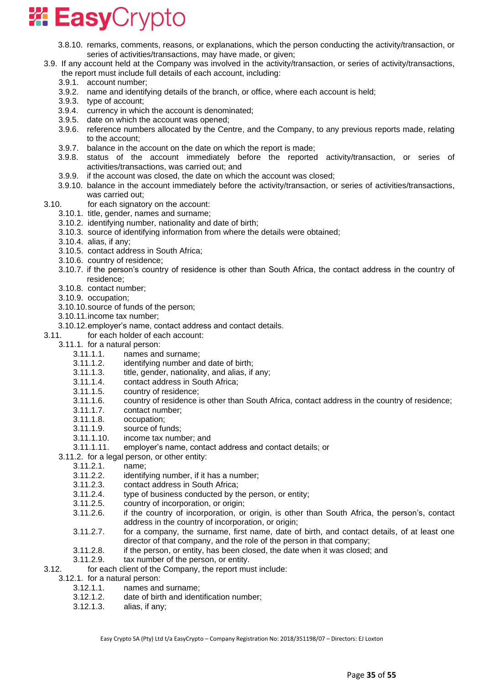- 3.8.10. remarks, comments, reasons, or explanations, which the person conducting the activity/transaction, or series of activities/transactions, may have made, or given;
- 3.9. If any account held at the Company was involved in the activity/transaction, or series of activity/transactions, the report must include full details of each account, including:
	- 3.9.1. account number;
	- 3.9.2. name and identifying details of the branch, or office, where each account is held;
	- 3.9.3. type of account;
	- 3.9.4. currency in which the account is denominated;
	- 3.9.5. date on which the account was opened;
	- 3.9.6. reference numbers allocated by the Centre, and the Company, to any previous reports made, relating to the account;
	- 3.9.7. balance in the account on the date on which the report is made;
	- 3.9.8. status of the account immediately before the reported activity/transaction, or series of activities/transactions, was carried out; and
	- 3.9.9. if the account was closed, the date on which the account was closed;
	- 3.9.10. balance in the account immediately before the activity/transaction, or series of activities/transactions, was carried out;
- 3.10. for each signatory on the account:
	- 3.10.1. title, gender, names and surname;
	- 3.10.2. identifying number, nationality and date of birth;
	- 3.10.3. source of identifying information from where the details were obtained;
	- 3.10.4. alias, if any;
	- 3.10.5. contact address in South Africa;
	- 3.10.6. country of residence;
	- 3.10.7. if the person's country of residence is other than South Africa, the contact address in the country of residence;
	- 3.10.8. contact number;
	- 3.10.9. occupation;
	- 3.10.10.source of funds of the person;
	- 3.10.11.income tax number;
	- 3.10.12.employer's name, contact address and contact details.
- 3.11. for each holder of each account:
	- 3.11.1. for a natural person:
		- 3.11.1.1. names and surname;
		- 3.11.1.2. identifying number and date of birth;
		- 3.11.1.3. title, gender, nationality, and alias, if any;
		- 3.11.1.4. contact address in South Africa;
		- 3.11.1.5. country of residence;
		- 3.11.1.6. country of residence is other than South Africa, contact address in the country of residence;
		- 3.11.1.7. contact number;
		- 3.11.1.8. occupation;
		- 3.11.1.9. source of funds;
		- 3.11.1.10. income tax number; and
		- 3.11.1.11. employer's name, contact address and contact details; or
	- 3.11.2. for a legal person, or other entity:
		- 3.11.2.1. name;
		- 3.11.2.2. identifying number, if it has a number;
		- 3.11.2.3. contact address in South Africa;
		- 3.11.2.4. type of business conducted by the person, or entity;
		- 3.11.2.5. country of incorporation, or origin;
		- 3.11.2.6. if the country of incorporation, or origin, is other than South Africa, the person's, contact address in the country of incorporation, or origin;
		- 3.11.2.7. for a company, the surname, first name, date of birth, and contact details, of at least one director of that company, and the role of the person in that company;
		- 3.11.2.8. if the person, or entity, has been closed, the date when it was closed; and
		- 3.11.2.9. tax number of the person, or entity.
- 3.12. for each client of the Company, the report must include:
- 3.12.1. for a natural person:
	- 3.12.1.1. names and surname;
	- 3.12.1.2. date of birth and identification number;
	- 3.12.1.3. alias, if any;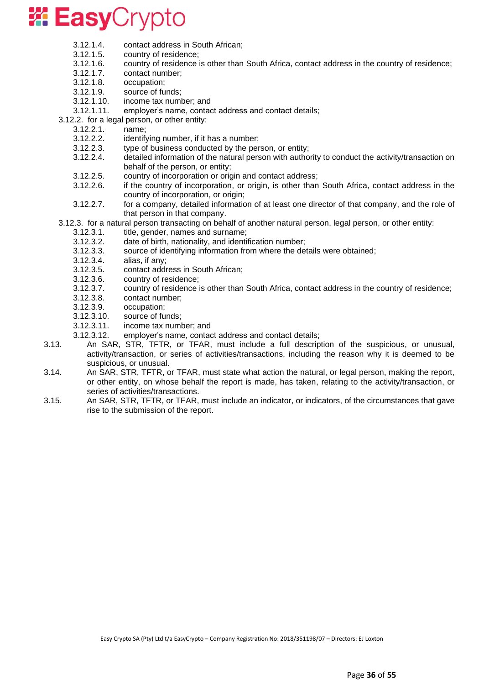

- 3.12.1.4. contact address in South African;
- 3.12.1.5. country of residence;
- 3.12.1.6. country of residence is other than South Africa, contact address in the country of residence;
- 3.12.1.7. contact number;
- 3.12.1.8. occupation;
- 3.12.1.9. source of funds;
- 3.12.1.10. income tax number; and
- 3.12.1.11. employer's name, contact address and contact details;
- 3.12.2. for a legal person, or other entity:
	- 3.12.2.1. name;
	- 3.12.2.2. identifying number, if it has a number;
	- 3.12.2.3. type of business conducted by the person, or entity;
	- 3.12.2.4. detailed information of the natural person with authority to conduct the activity/transaction on behalf of the person, or entity;
	- 3.12.2.5. country of incorporation or origin and contact address;
	- 3.12.2.6. if the country of incorporation, or origin, is other than South Africa, contact address in the country of incorporation, or origin;
	- 3.12.2.7. for a company, detailed information of at least one director of that company, and the role of that person in that company.
- 3.12.3. for a natural person transacting on behalf of another natural person, legal person, or other entity:
	- 3.12.3.1. title, gender, names and surname;
	- 3.12.3.2. date of birth, nationality, and identification number;
	- 3.12.3.3. source of identifying information from where the details were obtained;
	- 3.12.3.4. alias, if any;
	- 3.12.3.5. contact address in South African;
	- 3.12.3.6. country of residence;
	- 3.12.3.7. country of residence is other than South Africa, contact address in the country of residence;
	- 3.12.3.8. contact number;
	- 3.12.3.9. occupation;
	- 3.12.3.10. source of funds;
	- 3.12.3.11. income tax number; and
	- 3.12.3.12. employer's name, contact address and contact details;
- 3.13. An SAR, STR, TFTR, or TFAR, must include a full description of the suspicious, or unusual, activity/transaction, or series of activities/transactions, including the reason why it is deemed to be suspicious, or unusual.
- 3.14. An SAR, STR, TFTR, or TFAR, must state what action the natural, or legal person, making the report, or other entity, on whose behalf the report is made, has taken, relating to the activity/transaction, or series of activities/transactions.
- 3.15. An SAR, STR, TFTR, or TFAR, must include an indicator, or indicators, of the circumstances that gave rise to the submission of the report.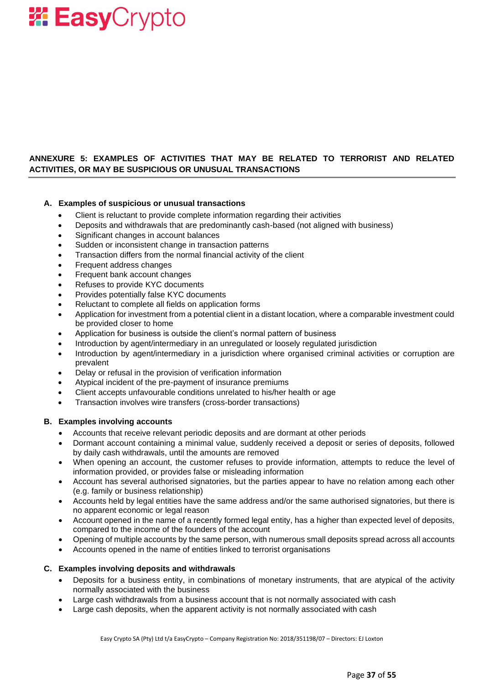### **ANNEXURE 5: EXAMPLES OF ACTIVITIES THAT MAY BE RELATED TO TERRORIST AND RELATED ACTIVITIES, OR MAY BE SUSPICIOUS OR UNUSUAL TRANSACTIONS**

### **A. Examples of suspicious or unusual transactions**

- Client is reluctant to provide complete information regarding their activities
- Deposits and withdrawals that are predominantly cash-based (not aligned with business)
- Significant changes in account balances
- Sudden or inconsistent change in transaction patterns
- Transaction differs from the normal financial activity of the client
- Frequent address changes
- Frequent bank account changes
- Refuses to provide KYC documents
- Provides potentially false KYC documents
- Reluctant to complete all fields on application forms
- Application for investment from a potential client in a distant location, where a comparable investment could be provided closer to home
- Application for business is outside the client's normal pattern of business
- Introduction by agent/intermediary in an unregulated or loosely regulated jurisdiction
- Introduction by agent/intermediary in a jurisdiction where organised criminal activities or corruption are prevalent
- Delay or refusal in the provision of verification information
- Atypical incident of the pre-payment of insurance premiums
- Client accepts unfavourable conditions unrelated to his/her health or age
- Transaction involves wire transfers (cross-border transactions)

#### **B. Examples involving accounts**

- Accounts that receive relevant periodic deposits and are dormant at other periods
- Dormant account containing a minimal value, suddenly received a deposit or series of deposits, followed by daily cash withdrawals, until the amounts are removed
- When opening an account, the customer refuses to provide information, attempts to reduce the level of information provided, or provides false or misleading information
- Account has several authorised signatories, but the parties appear to have no relation among each other (e.g. family or business relationship)
- Accounts held by legal entities have the same address and/or the same authorised signatories, but there is no apparent economic or legal reason
- Account opened in the name of a recently formed legal entity, has a higher than expected level of deposits, compared to the income of the founders of the account
- Opening of multiple accounts by the same person, with numerous small deposits spread across all accounts
- Accounts opened in the name of entities linked to terrorist organisations

### **C. Examples involving deposits and withdrawals**

- Deposits for a business entity, in combinations of monetary instruments, that are atypical of the activity normally associated with the business
- Large cash withdrawals from a business account that is not normally associated with cash
- Large cash deposits, when the apparent activity is not normally associated with cash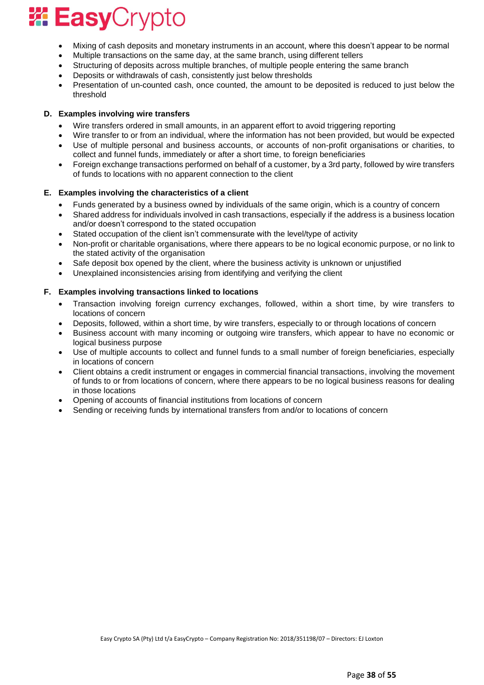- Mixing of cash deposits and monetary instruments in an account, where this doesn't appear to be normal
- Multiple transactions on the same day, at the same branch, using different tellers
- Structuring of deposits across multiple branches, of multiple people entering the same branch
- Deposits or withdrawals of cash, consistently just below thresholds
- Presentation of un-counted cash, once counted, the amount to be deposited is reduced to just below the threshold

### **D. Examples involving wire transfers**

- Wire transfers ordered in small amounts, in an apparent effort to avoid triggering reporting
- Wire transfer to or from an individual, where the information has not been provided, but would be expected
- Use of multiple personal and business accounts, or accounts of non-profit organisations or charities, to collect and funnel funds, immediately or after a short time, to foreign beneficiaries
- Foreign exchange transactions performed on behalf of a customer, by a 3rd party, followed by wire transfers of funds to locations with no apparent connection to the client

### **E. Examples involving the characteristics of a client**

- Funds generated by a business owned by individuals of the same origin, which is a country of concern
- Shared address for individuals involved in cash transactions, especially if the address is a business location and/or doesn't correspond to the stated occupation
- Stated occupation of the client isn't commensurate with the level/type of activity
- Non-profit or charitable organisations, where there appears to be no logical economic purpose, or no link to the stated activity of the organisation
- Safe deposit box opened by the client, where the business activity is unknown or unjustified
- Unexplained inconsistencies arising from identifying and verifying the client

### **F. Examples involving transactions linked to locations**

- Transaction involving foreign currency exchanges, followed, within a short time, by wire transfers to locations of concern
- Deposits, followed, within a short time, by wire transfers, especially to or through locations of concern
- Business account with many incoming or outgoing wire transfers, which appear to have no economic or logical business purpose
- Use of multiple accounts to collect and funnel funds to a small number of foreign beneficiaries, especially in locations of concern
- Client obtains a credit instrument or engages in commercial financial transactions, involving the movement of funds to or from locations of concern, where there appears to be no logical business reasons for dealing in those locations
- Opening of accounts of financial institutions from locations of concern
- Sending or receiving funds by international transfers from and/or to locations of concern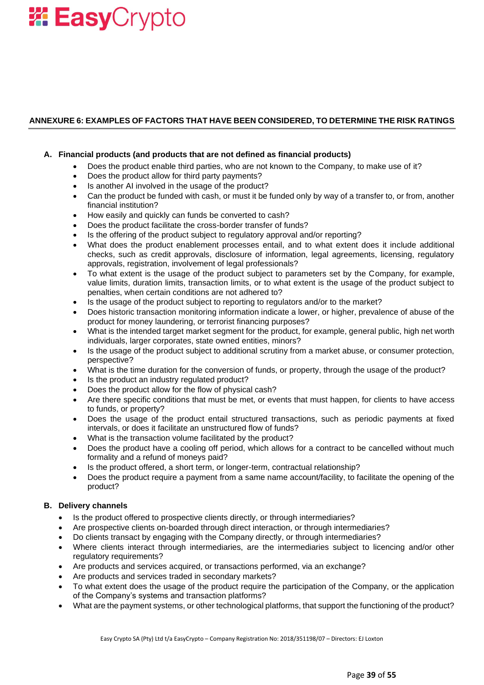### **ANNEXURE 6: EXAMPLES OF FACTORS THAT HAVE BEEN CONSIDERED, TO DETERMINE THE RISK RATINGS**

#### **A. Financial products (and products that are not defined as financial products)**

- Does the product enable third parties, who are not known to the Company, to make use of it?
- Does the product allow for third party payments?
- Is another AI involved in the usage of the product?
- Can the product be funded with cash, or must it be funded only by way of a transfer to, or from, another financial institution?
- How easily and quickly can funds be converted to cash?
- Does the product facilitate the cross-border transfer of funds?
- Is the offering of the product subject to regulatory approval and/or reporting?
- What does the product enablement processes entail, and to what extent does it include additional checks, such as credit approvals, disclosure of information, legal agreements, licensing, regulatory approvals, registration, involvement of legal professionals?
- To what extent is the usage of the product subject to parameters set by the Company, for example, value limits, duration limits, transaction limits, or to what extent is the usage of the product subject to penalties, when certain conditions are not adhered to?
- Is the usage of the product subject to reporting to regulators and/or to the market?
- Does historic transaction monitoring information indicate a lower, or higher, prevalence of abuse of the product for money laundering, or terrorist financing purposes?
- What is the intended target market segment for the product, for example, general public, high net worth individuals, larger corporates, state owned entities, minors?
- Is the usage of the product subject to additional scrutiny from a market abuse, or consumer protection, perspective?
- What is the time duration for the conversion of funds, or property, through the usage of the product?
- Is the product an industry regulated product?
- Does the product allow for the flow of physical cash?
- Are there specific conditions that must be met, or events that must happen, for clients to have access to funds, or property?
- Does the usage of the product entail structured transactions, such as periodic payments at fixed intervals, or does it facilitate an unstructured flow of funds?
- What is the transaction volume facilitated by the product?
- Does the product have a cooling off period, which allows for a contract to be cancelled without much formality and a refund of moneys paid?
- Is the product offered, a short term, or longer-term, contractual relationship?
- Does the product require a payment from a same name account/facility, to facilitate the opening of the product?

### **B. Delivery channels**

- Is the product offered to prospective clients directly, or through intermediaries?
- Are prospective clients on-boarded through direct interaction, or through intermediaries?
- Do clients transact by engaging with the Company directly, or through intermediaries?
- Where clients interact through intermediaries, are the intermediaries subject to licencing and/or other regulatory requirements?
- Are products and services acquired, or transactions performed, via an exchange?
- Are products and services traded in secondary markets?
- To what extent does the usage of the product require the participation of the Company, or the application of the Company's systems and transaction platforms?
- What are the payment systems, or other technological platforms, that support the functioning of the product?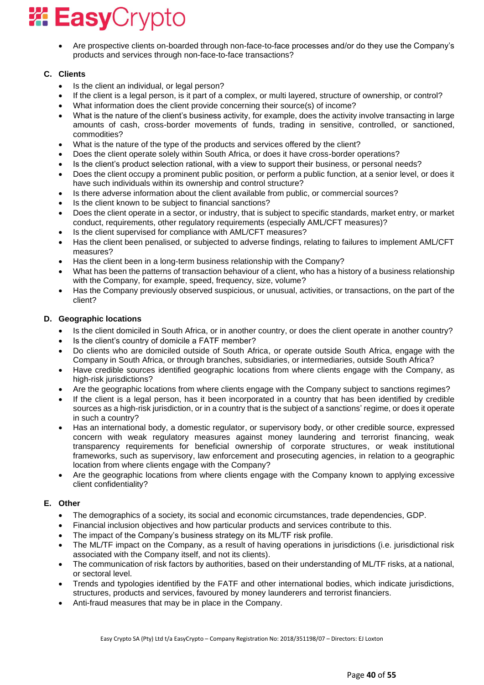• Are prospective clients on-boarded through non-face-to-face processes and/or do they use the Company's products and services through non-face-to-face transactions?

### **C. Clients**

- Is the client an individual, or legal person?
- If the client is a legal person, is it part of a complex, or multi layered, structure of ownership, or control?
- What information does the client provide concerning their source(s) of income?
- What is the nature of the client's business activity, for example, does the activity involve transacting in large amounts of cash, cross-border movements of funds, trading in sensitive, controlled, or sanctioned, commodities?
- What is the nature of the type of the products and services offered by the client?
- Does the client operate solely within South Africa, or does it have cross-border operations?
- Is the client's product selection rational, with a view to support their business, or personal needs?
- Does the client occupy a prominent public position, or perform a public function, at a senior level, or does it have such individuals within its ownership and control structure?
- Is there adverse information about the client available from public, or commercial sources?
- Is the client known to be subject to financial sanctions?
- Does the client operate in a sector, or industry, that is subject to specific standards, market entry, or market conduct, requirements, other regulatory requirements (especially AML/CFT measures)?
- Is the client supervised for compliance with AML/CFT measures?
- Has the client been penalised, or subjected to adverse findings, relating to failures to implement AML/CFT measures?
- Has the client been in a long-term business relationship with the Company?
- What has been the patterns of transaction behaviour of a client, who has a history of a business relationship with the Company, for example, speed, frequency, size, volume?
- Has the Company previously observed suspicious, or unusual, activities, or transactions, on the part of the client?

### **D. Geographic locations**

- Is the client domiciled in South Africa, or in another country, or does the client operate in another country?
- Is the client's country of domicile a FATF member?
- Do clients who are domiciled outside of South Africa, or operate outside South Africa, engage with the Company in South Africa, or through branches, subsidiaries, or intermediaries, outside South Africa?
- Have credible sources identified geographic locations from where clients engage with the Company, as high-risk jurisdictions?
- Are the geographic locations from where clients engage with the Company subject to sanctions regimes?
- If the client is a legal person, has it been incorporated in a country that has been identified by credible sources as a high-risk jurisdiction, or in a country that is the subject of a sanctions' regime, or does it operate in such a country?
- Has an international body, a domestic regulator, or supervisory body, or other credible source, expressed concern with weak regulatory measures against money laundering and terrorist financing, weak transparency requirements for beneficial ownership of corporate structures, or weak institutional frameworks, such as supervisory, law enforcement and prosecuting agencies, in relation to a geographic location from where clients engage with the Company?
- Are the geographic locations from where clients engage with the Company known to applying excessive client confidentiality?

### **E. Other**

- The demographics of a society, its social and economic circumstances, trade dependencies, GDP.
- Financial inclusion objectives and how particular products and services contribute to this.
- The impact of the Company's business strategy on its ML/TF risk profile.
- The ML/TF impact on the Company, as a result of having operations in jurisdictions (i.e. jurisdictional risk associated with the Company itself, and not its clients).
- The communication of risk factors by authorities, based on their understanding of ML/TF risks, at a national, or sectoral level.
- Trends and typologies identified by the FATF and other international bodies, which indicate jurisdictions, structures, products and services, favoured by money launderers and terrorist financiers.
- Anti-fraud measures that may be in place in the Company.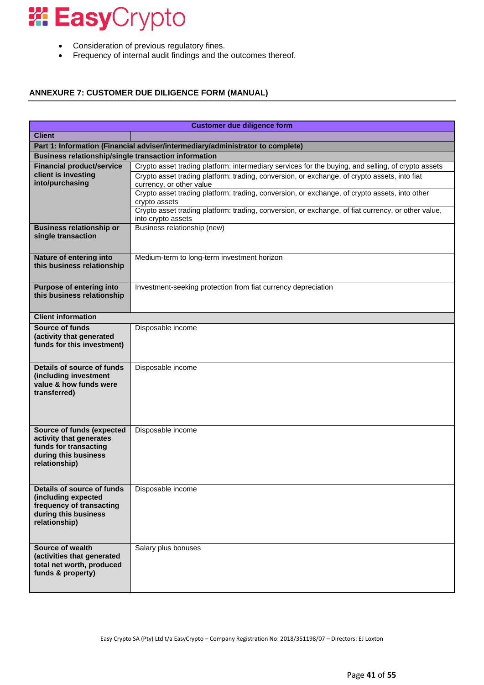- Consideration of previous regulatory fines.
- Frequency of internal audit findings and the outcomes thereof.

### **ANNEXURE 7: CUSTOMER DUE DILIGENCE FORM (MANUAL)**

|                                                                                | <b>Customer due diligence form</b>                                                                                  |  |  |  |
|--------------------------------------------------------------------------------|---------------------------------------------------------------------------------------------------------------------|--|--|--|
| <b>Client</b>                                                                  |                                                                                                                     |  |  |  |
| Part 1: Information (Financial adviser/intermediary/administrator to complete) |                                                                                                                     |  |  |  |
| <b>Business relationship/single transaction information</b>                    |                                                                                                                     |  |  |  |
| <b>Financial product/service</b>                                               | Crypto asset trading platform: intermediary services for the buying, and selling, of crypto assets                  |  |  |  |
| client is investing                                                            | Crypto asset trading platform: trading, conversion, or exchange, of crypto assets, into fiat                        |  |  |  |
| into/purchasing                                                                | currency, or other value                                                                                            |  |  |  |
|                                                                                | Crypto asset trading platform: trading, conversion, or exchange, of crypto assets, into other                       |  |  |  |
|                                                                                | crypto assets<br>Crypto asset trading platform: trading, conversion, or exchange, of fiat currency, or other value, |  |  |  |
|                                                                                | into crypto assets                                                                                                  |  |  |  |
| <b>Business relationship or</b>                                                | Business relationship (new)                                                                                         |  |  |  |
| single transaction                                                             |                                                                                                                     |  |  |  |
|                                                                                |                                                                                                                     |  |  |  |
| Nature of entering into                                                        | Medium-term to long-term investment horizon                                                                         |  |  |  |
| this business relationship                                                     |                                                                                                                     |  |  |  |
|                                                                                |                                                                                                                     |  |  |  |
| <b>Purpose of entering into</b>                                                | Investment-seeking protection from fiat currency depreciation                                                       |  |  |  |
| this business relationship                                                     |                                                                                                                     |  |  |  |
|                                                                                |                                                                                                                     |  |  |  |
| <b>Client information</b>                                                      |                                                                                                                     |  |  |  |
| <b>Source of funds</b>                                                         | Disposable income                                                                                                   |  |  |  |
| (activity that generated                                                       |                                                                                                                     |  |  |  |
| funds for this investment)                                                     |                                                                                                                     |  |  |  |
|                                                                                |                                                                                                                     |  |  |  |
| Details of source of funds                                                     | Disposable income                                                                                                   |  |  |  |
| (including investment<br>value & how funds were                                |                                                                                                                     |  |  |  |
| transferred)                                                                   |                                                                                                                     |  |  |  |
|                                                                                |                                                                                                                     |  |  |  |
|                                                                                |                                                                                                                     |  |  |  |
|                                                                                |                                                                                                                     |  |  |  |
| <b>Source of funds (expected</b>                                               | Disposable income                                                                                                   |  |  |  |
| activity that generates                                                        |                                                                                                                     |  |  |  |
| funds for transacting<br>during this business                                  |                                                                                                                     |  |  |  |
| relationship)                                                                  |                                                                                                                     |  |  |  |
|                                                                                |                                                                                                                     |  |  |  |
|                                                                                |                                                                                                                     |  |  |  |
| Details of source of funds                                                     | Disposable income                                                                                                   |  |  |  |
| (including expected<br>frequency of transacting                                |                                                                                                                     |  |  |  |
| during this business                                                           |                                                                                                                     |  |  |  |
| relationship)                                                                  |                                                                                                                     |  |  |  |
|                                                                                |                                                                                                                     |  |  |  |
|                                                                                |                                                                                                                     |  |  |  |
| Source of wealth<br>(activities that generated                                 | Salary plus bonuses                                                                                                 |  |  |  |
| total net worth, produced                                                      |                                                                                                                     |  |  |  |
| funds & property)                                                              |                                                                                                                     |  |  |  |
|                                                                                |                                                                                                                     |  |  |  |
|                                                                                |                                                                                                                     |  |  |  |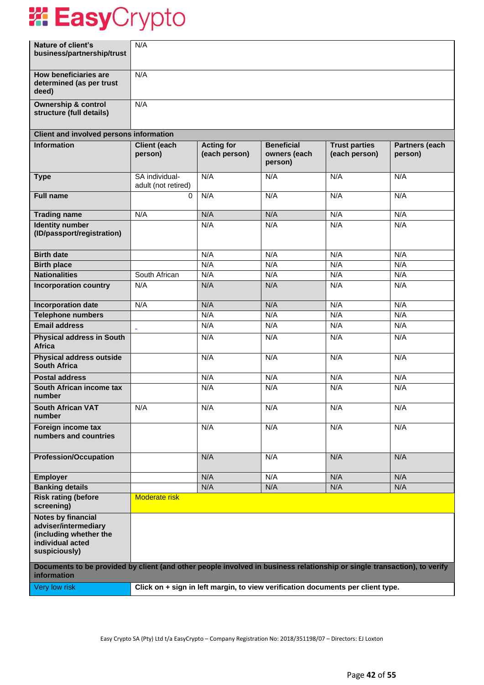| Nature of client's<br>business/partnership/trust                                                                                        | N/A                                   |                                    |                                              |                                                                                 |                           |
|-----------------------------------------------------------------------------------------------------------------------------------------|---------------------------------------|------------------------------------|----------------------------------------------|---------------------------------------------------------------------------------|---------------------------|
| How beneficiaries are<br>determined (as per trust<br>deed)                                                                              | N/A                                   |                                    |                                              |                                                                                 |                           |
| <b>Ownership &amp; control</b><br>structure (full details)                                                                              | N/A                                   |                                    |                                              |                                                                                 |                           |
| <b>Client and involved persons information</b>                                                                                          |                                       |                                    |                                              |                                                                                 |                           |
| <b>Information</b>                                                                                                                      | <b>Client (each</b><br>person)        | <b>Acting for</b><br>(each person) | <b>Beneficial</b><br>owners (each<br>person) | <b>Trust parties</b><br>(each person)                                           | Partners (each<br>person) |
| <b>Type</b>                                                                                                                             | SA individual-<br>adult (not retired) | N/A                                | N/A                                          | N/A                                                                             | N/A                       |
| <b>Full name</b>                                                                                                                        | $\Omega$                              | N/A                                | N/A                                          | N/A                                                                             | N/A                       |
| <b>Trading name</b>                                                                                                                     | N/A                                   | N/A                                | N/A                                          | N/A                                                                             | N/A                       |
| <b>Identity number</b><br>(ID/passport/registration)                                                                                    |                                       | N/A                                | N/A                                          | N/A                                                                             | N/A                       |
| <b>Birth date</b>                                                                                                                       |                                       | N/A                                | N/A                                          | N/A                                                                             | N/A                       |
| <b>Birth place</b>                                                                                                                      |                                       | N/A                                | N/A                                          | N/A                                                                             | N/A                       |
| <b>Nationalities</b>                                                                                                                    | South African                         | N/A                                | N/A                                          | N/A                                                                             | N/A                       |
| <b>Incorporation country</b>                                                                                                            | N/A                                   | N/A                                | N/A                                          | N/A                                                                             | N/A                       |
| <b>Incorporation date</b>                                                                                                               | N/A                                   | N/A                                | N/A                                          | N/A                                                                             | N/A                       |
| <b>Telephone numbers</b>                                                                                                                |                                       | N/A                                | N/A                                          | N/A                                                                             | N/A                       |
| <b>Email address</b>                                                                                                                    | $\blacksquare$                        | N/A                                | N/A                                          | N/A                                                                             | N/A                       |
| <b>Physical address in South</b><br><b>Africa</b>                                                                                       |                                       | N/A                                | N/A                                          | N/A                                                                             | N/A                       |
| <b>Physical address outside</b><br><b>South Africa</b>                                                                                  |                                       | N/A                                | N/A                                          | N/A                                                                             | N/A                       |
| <b>Postal address</b>                                                                                                                   |                                       | N/A                                | N/A                                          | N/A                                                                             | N/A                       |
| South African income tax<br>number                                                                                                      |                                       | N/A                                | N/A                                          | N/A                                                                             | N/A                       |
| <b>South African VAT</b><br>number                                                                                                      | N/A                                   | N/A                                | N/A                                          | N/A                                                                             | N/A                       |
| Foreign income tax<br>numbers and countries                                                                                             |                                       | N/A                                | N/A                                          | N/A                                                                             | N/A                       |
| <b>Profession/Occupation</b>                                                                                                            |                                       | N/A                                | N/A                                          | N/A                                                                             | N/A                       |
| Employer                                                                                                                                |                                       | N/A                                | N/A                                          | N/A                                                                             | N/A                       |
| <b>Banking details</b>                                                                                                                  |                                       | N/A                                | N/A                                          | N/A                                                                             | N/A                       |
| <b>Risk rating (before</b><br>screening)                                                                                                | Moderate risk                         |                                    |                                              |                                                                                 |                           |
| Notes by financial<br>adviser/intermediary<br>(including whether the<br>individual acted<br>suspiciously)                               |                                       |                                    |                                              |                                                                                 |                           |
| Documents to be provided by client (and other people involved in business relationship or single transaction), to verify<br>information |                                       |                                    |                                              |                                                                                 |                           |
| Very low risk                                                                                                                           |                                       |                                    |                                              | Click on + sign in left margin, to view verification documents per client type. |                           |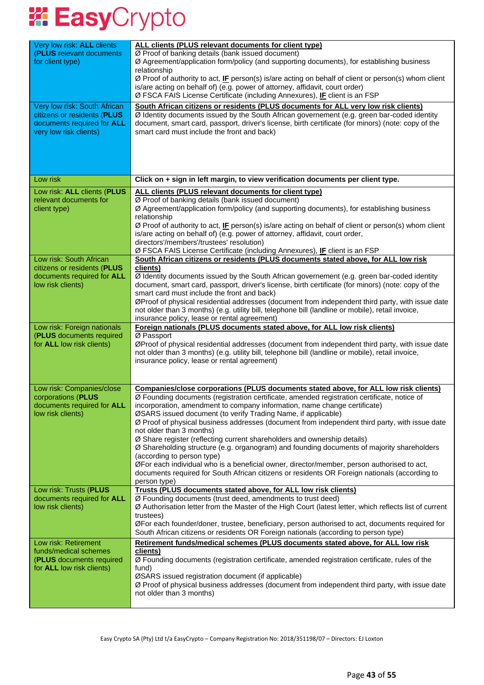| Very low risk: ALL clients<br>(PLUS relevant documents<br>for client type)                                          | ALL clients (PLUS relevant documents for client type)<br>Ø Proof of banking details (bank issued document)<br>Ø Agreement/application form/policy (and supporting documents), for establishing business<br>relationship<br>Ø Proof of authority to act, IF person(s) is/are acting on behalf of client or person(s) whom client<br>is/are acting on behalf of) (e.g. power of attorney, affidavit, court order)<br>Ø FSCA FAIS License Certificate (including Annexures), IF client is an FSP                                                                                                                                                                                                                                                                                                                                                                                                 |
|---------------------------------------------------------------------------------------------------------------------|-----------------------------------------------------------------------------------------------------------------------------------------------------------------------------------------------------------------------------------------------------------------------------------------------------------------------------------------------------------------------------------------------------------------------------------------------------------------------------------------------------------------------------------------------------------------------------------------------------------------------------------------------------------------------------------------------------------------------------------------------------------------------------------------------------------------------------------------------------------------------------------------------|
| Very low risk: South African<br>citizens or residents (PLUS<br>documents required for ALL<br>very low risk clients) | South African citizens or residents (PLUS documents for ALL very low risk clients)<br>Ø Identity documents issued by the South African governement (e.g. green bar-coded identity<br>document, smart card, passport, driver's license, birth certificate (for minors) (note: copy of the<br>smart card must include the front and back)                                                                                                                                                                                                                                                                                                                                                                                                                                                                                                                                                       |
| Low risk                                                                                                            | Click on + sign in left margin, to view verification documents per client type.                                                                                                                                                                                                                                                                                                                                                                                                                                                                                                                                                                                                                                                                                                                                                                                                               |
| Low risk: ALL clients (PLUS<br>relevant documents for<br>client type)                                               | ALL clients (PLUS relevant documents for client type)<br>Ø Proof of banking details (bank issued document)<br>Ø Agreement/application form/policy (and supporting documents), for establishing business<br>relationship<br>Ø Proof of authority to act, IF person(s) is/are acting on behalf of client or person(s) whom client<br>is/are acting on behalf of) (e.g. power of attorney, affidavit, court order,<br>directors'/members'/trustees' resolution)<br>Ø FSCA FAIS License Certificate (including Annexures), IF client is an FSP                                                                                                                                                                                                                                                                                                                                                    |
| Low risk: South African<br>citizens or residents (PLUS<br>documents required for ALL<br>low risk clients)           | South African citizens or residents (PLUS documents stated above, for ALL low risk<br>clients)<br>Ø Identity documents issued by the South African governement (e.g. green bar-coded identity<br>document, smart card, passport, driver's license, birth certificate (for minors) (note: copy of the<br>smart card must include the front and back)<br>ØProof of physical residential addresses (document from independent third party, with issue date<br>not older than 3 months) (e.g. utility bill, telephone bill (landline or mobile), retail invoice,<br>insurance policy, lease or rental agreement)                                                                                                                                                                                                                                                                                  |
| Low risk: Foreign nationals<br>(PLUS documents required<br>for ALL low risk clients)                                | Foreign nationals (PLUS documents stated above, for ALL low risk clients)<br>Ø Passport<br>ØProof of physical residential addresses (document from independent third party, with issue date<br>not older than 3 months) (e.g. utility bill, telephone bill (landline or mobile), retail invoice,<br>insurance policy, lease or rental agreement)                                                                                                                                                                                                                                                                                                                                                                                                                                                                                                                                              |
| Low risk: Companies/close<br>corporations (PLUS<br>documents required for ALL<br>low risk clients)                  | <b>Companies/close corporations (PLUS documents stated above, for ALL low risk clients)</b><br>Ø Founding documents (registration certificate, amended registration certificate, notice of<br>incorporation, amendment to company information, name change certificate)<br>ØSARS issued document (to verify Trading Name, if applicable)<br>Ø Proof of physical business addresses (document from independent third party, with issue date<br>not older than 3 months)<br>Ø Share register (reflecting current shareholders and ownership details)<br>Ø Shareholding structure (e.g. organogram) and founding documents of majority shareholders<br>(according to person type)<br>ØFor each individual who is a beneficial owner, director/member, person authorised to act,<br>documents required for South African citizens or residents OR Foreign nationals (according to<br>person type) |
| Low risk: Trusts (PLUS<br>documents required for ALL<br>low risk clients)                                           | Trusts (PLUS documents stated above, for ALL low risk clients)<br>Ø Founding documents (trust deed, amendments to trust deed)<br>Ø Authorisation letter from the Master of the High Court (latest letter, which reflects list of current<br>trustees)<br>ØFor each founder/doner, trustee, beneficiary, person authorised to act, documents required for<br>South African citizens or residents OR Foreign nationals (according to person type)                                                                                                                                                                                                                                                                                                                                                                                                                                               |
| Low risk: Retirement<br>funds/medical schemes<br>(PLUS documents required<br>for <b>ALL</b> low risk clients)       | Retirement funds/medical schemes (PLUS documents stated above, for ALL low risk<br>clients)<br>Ø Founding documents (registration certificate, amended registration certificate, rules of the<br>fund)<br>ØSARS issued registration document (if applicable)<br>Ø Proof of physical business addresses (document from independent third party, with issue date<br>not older than 3 months)                                                                                                                                                                                                                                                                                                                                                                                                                                                                                                    |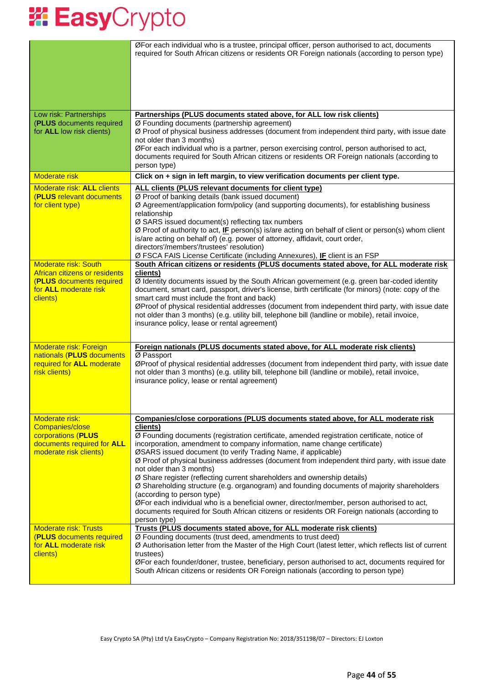|                                                                                                                                      | ØFor each individual who is a trustee, principal officer, person authorised to act, documents<br>required for South African citizens or residents OR Foreign nationals (according to person type)                                                                                                                                                                                                                                                                                                                                                                                                                                                                                                                                                                                                                                                                              |
|--------------------------------------------------------------------------------------------------------------------------------------|--------------------------------------------------------------------------------------------------------------------------------------------------------------------------------------------------------------------------------------------------------------------------------------------------------------------------------------------------------------------------------------------------------------------------------------------------------------------------------------------------------------------------------------------------------------------------------------------------------------------------------------------------------------------------------------------------------------------------------------------------------------------------------------------------------------------------------------------------------------------------------|
| Low risk: Partnerships<br>(PLUS documents required<br>for ALL low risk clients)                                                      | Partnerships (PLUS documents stated above, for ALL low risk clients)<br>Ø Founding documents (partnership agreement)<br>Ø Proof of physical business addresses (document from independent third party, with issue date<br>not older than 3 months)<br>ØFor each individual who is a partner, person exercising control, person authorised to act,<br>documents required for South African citizens or residents OR Foreign nationals (according to<br>person type)                                                                                                                                                                                                                                                                                                                                                                                                             |
| <b>Moderate risk</b>                                                                                                                 | Click on + sign in left margin, to view verification documents per client type.                                                                                                                                                                                                                                                                                                                                                                                                                                                                                                                                                                                                                                                                                                                                                                                                |
| <b>Moderate risk: ALL clients</b><br><b>(PLUS relevant documents)</b><br>for client type)                                            | ALL clients (PLUS relevant documents for client type)<br>Ø Proof of banking details (bank issued document)<br>Ø Agreement/application form/policy (and supporting documents), for establishing business<br>relationship<br>Ø SARS issued document(s) reflecting tax numbers<br>Ø Proof of authority to act, IF person(s) is/are acting on behalf of client or person(s) whom client<br>is/are acting on behalf of) (e.g. power of attorney, affidavit, court order,<br>directors'/members'/trustees' resolution)<br>Ø FSCA FAIS License Certificate (including Annexures), IF client is an FSP                                                                                                                                                                                                                                                                                 |
| <b>Moderate risk: South</b><br>African citizens or residents<br>(PLUS documents required<br>for <b>ALL</b> moderate risk<br>clients) | South African citizens or residents (PLUS documents stated above, for ALL moderate risk<br>clients)<br>$\overline{\emptyset}$ Identity documents issued by the South African governement (e.g. green bar-coded identity<br>document, smart card, passport, driver's license, birth certificate (for minors) (note: copy of the<br>smart card must include the front and back)<br>ØProof of physical residential addresses (document from independent third party, with issue date<br>not older than 3 months) (e.g. utility bill, telephone bill (landline or mobile), retail invoice,<br>insurance policy, lease or rental agreement)                                                                                                                                                                                                                                         |
| <b>Moderate risk: Foreign</b><br>nationals (PLUS documents<br>required for ALL moderate<br>risk clients)                             | <b>Foreign nationals (PLUS documents stated above, for ALL moderate risk clients)</b><br>Ø Passport<br>ØProof of physical residential addresses (document from independent third party, with issue date<br>not older than 3 months) (e.g. utility bill, telephone bill (landline or mobile), retail invoice,<br>insurance policy, lease or rental agreement)                                                                                                                                                                                                                                                                                                                                                                                                                                                                                                                   |
| Moderate risk:<br>Companies/close<br>corporations (PLUS<br>documents required for ALL<br>moderate risk clients)                      | Companies/close corporations (PLUS documents stated above, for ALL moderate risk<br>clients)<br>Ø Founding documents (registration certificate, amended registration certificate, notice of<br>incorporation, amendment to company information, name change certificate)<br>ØSARS issued document (to verify Trading Name, if applicable)<br>Ø Proof of physical business addresses (document from independent third party, with issue date<br>not older than 3 months)<br>Ø Share register (reflecting current shareholders and ownership details)<br>Ø Shareholding structure (e.g. organogram) and founding documents of majority shareholders<br>(according to person type)<br>ØFor each individual who is a beneficial owner, director/member, person authorised to act,<br>documents required for South African citizens or residents OR Foreign nationals (according to |
| <b>Moderate risk: Trusts</b><br><b>(PLUS documents required)</b><br>for <b>ALL</b> moderate risk<br>clients)                         | person type)<br>Trusts (PLUS documents stated above, for ALL moderate risk clients)<br>Ø Founding documents (trust deed, amendments to trust deed)<br>Ø Authorisation letter from the Master of the High Court (latest letter, which reflects list of current<br>trustees)<br>ØFor each founder/doner, trustee, beneficiary, person authorised to act, documents required for<br>South African citizens or residents OR Foreign nationals (according to person type)                                                                                                                                                                                                                                                                                                                                                                                                           |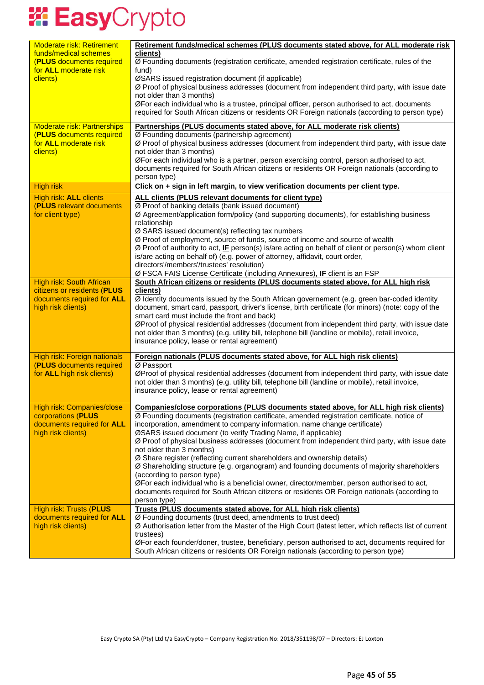| <b>Moderate risk: Retirement</b>                               | Retirement funds/medical schemes (PLUS documents stated above, for ALL moderate risk                                                                                                         |
|----------------------------------------------------------------|----------------------------------------------------------------------------------------------------------------------------------------------------------------------------------------------|
| funds/medical schemes<br>(PLUS documents required              | clients)<br>Ø Founding documents (registration certificate, amended registration certificate, rules of the                                                                                   |
| for ALL moderate risk<br>clients)                              | fund)<br>ØSARS issued registration document (if applicable)                                                                                                                                  |
|                                                                | Ø Proof of physical business addresses (document from independent third party, with issue date                                                                                               |
|                                                                | not older than 3 months)<br>ØFor each individual who is a trustee, principal officer, person authorised to act, documents                                                                    |
|                                                                | required for South African citizens or residents OR Foreign nationals (according to person type)                                                                                             |
| <b>Moderate risk: Partnerships</b>                             | Partnerships (PLUS documents stated above, for ALL moderate risk clients)                                                                                                                    |
| <b>(PLUS documents required)</b><br>for ALL moderate risk      | Ø Founding documents (partnership agreement)<br>Ø Proof of physical business addresses (document from independent third party, with issue date                                               |
| clients)                                                       | not older than 3 months)                                                                                                                                                                     |
|                                                                | ØFor each individual who is a partner, person exercising control, person authorised to act,<br>documents required for South African citizens or residents OR Foreign nationals (according to |
|                                                                | person type)                                                                                                                                                                                 |
| <b>High risk</b>                                               | Click on + sign in left margin, to view verification documents per client type.                                                                                                              |
| High risk: ALL clients<br>(PLUS relevant documents             | ALL clients (PLUS relevant documents for client type)<br>Ø Proof of banking details (bank issued document)                                                                                   |
| for client type)                                               | Ø Agreement/application form/policy (and supporting documents), for establishing business                                                                                                    |
|                                                                | relationship                                                                                                                                                                                 |
|                                                                | $Ø$ SARS issued document(s) reflecting tax numbers<br>Ø Proof of employment, source of funds, source of income and source of wealth                                                          |
|                                                                | Ø Proof of authority to act, IF person(s) is/are acting on behalf of client or person(s) whom client                                                                                         |
|                                                                | is/are acting on behalf of) (e.g. power of attorney, affidavit, court order,<br>directors'/members'/trustees' resolution)                                                                    |
|                                                                | Ø FSCA FAIS License Certificate (including Annexures), IF client is an FSP                                                                                                                   |
| <b>High risk: South African</b><br>citizens or residents (PLUS | South African citizens or residents (PLUS documents stated above, for ALL high risk<br>clients)                                                                                              |
| documents required for ALL                                     | Ø Identity documents issued by the South African governement (e.g. green bar-coded identity                                                                                                  |
| high risk clients)                                             | document, smart card, passport, driver's license, birth certificate (for minors) (note: copy of the<br>smart card must include the front and back)                                           |
|                                                                | ØProof of physical residential addresses (document from independent third party, with issue date                                                                                             |
|                                                                | not older than 3 months) (e.g. utility bill, telephone bill (landline or mobile), retail invoice,<br>insurance policy, lease or rental agreement)                                            |
|                                                                |                                                                                                                                                                                              |
| High risk: Foreign nationals<br>(PLUS documents required       | Foreign nationals (PLUS documents stated above, for ALL high risk clients)<br>Ø Passport                                                                                                     |
| for ALL high risk clients)                                     | ØProof of physical residential addresses (document from independent third party, with issue date                                                                                             |
|                                                                | not older than 3 months) (e.g. utility bill, telephone bill (landline or mobile), retail invoice,<br>insurance policy, lease or rental agreement)                                            |
|                                                                |                                                                                                                                                                                              |
| High risk: Companies/close<br>corporations (PLUS               | <b>Companies/close corporations (PLUS documents stated above, for ALL high risk clients)</b><br>Ø Founding documents (registration certificate, amended registration certificate, notice of  |
| documents required for ALL                                     | incorporation, amendment to company information, name change certificate)                                                                                                                    |
| high risk clients)                                             | ØSARS issued document (to verify Trading Name, if applicable)                                                                                                                                |
|                                                                | Ø Proof of physical business addresses (document from independent third party, with issue date<br>not older than 3 months)                                                                   |
|                                                                | Ø Share register (reflecting current shareholders and ownership details)                                                                                                                     |
|                                                                | Ø Shareholding structure (e.g. organogram) and founding documents of majority shareholders<br>(according to person type)                                                                     |
|                                                                | ØFor each individual who is a beneficial owner, director/member, person authorised to act,                                                                                                   |
|                                                                | documents required for South African citizens or residents OR Foreign nationals (according to<br>person type)                                                                                |
| <b>High risk: Trusts (PLUS</b>                                 | Trusts (PLUS documents stated above, for ALL high risk clients)                                                                                                                              |
| documents required for ALL<br>high risk clients)               | Ø Founding documents (trust deed, amendments to trust deed)<br>Ø Authorisation letter from the Master of the High Court (latest letter, which reflects list of current                       |
|                                                                | trustees)                                                                                                                                                                                    |
|                                                                | ØFor each founder/doner, trustee, beneficiary, person authorised to act, documents required for                                                                                              |
|                                                                | South African citizens or residents OR Foreign nationals (according to person type)                                                                                                          |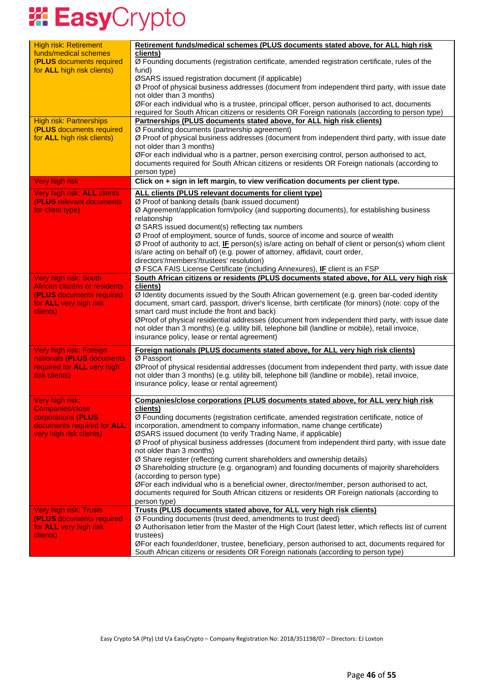| <b>High risk: Retirement</b>       | Retirement funds/medical schemes (PLUS documents stated above, for ALL high risk                        |
|------------------------------------|---------------------------------------------------------------------------------------------------------|
| funds/medical schemes              | clients)                                                                                                |
| (PLUS documents required           | Ø Founding documents (registration certificate, amended registration certificate, rules of the          |
| for ALL high risk clients)         | fund)                                                                                                   |
|                                    | ØSARS issued registration document (if applicable)                                                      |
|                                    | Ø Proof of physical business addresses (document from independent third party, with issue date          |
|                                    |                                                                                                         |
|                                    | not older than 3 months)                                                                                |
|                                    | ØFor each individual who is a trustee, principal officer, person authorised to act, documents           |
|                                    | required for South African citizens or residents OR Foreign nationals (according to person type)        |
| <b>High risk: Partnerships</b>     | Partnerships (PLUS documents stated above, for ALL high risk clients)                                   |
| (PLUS documents required           | Ø Founding documents (partnership agreement)                                                            |
| for ALL high risk clients)         | Ø Proof of physical business addresses (document from independent third party, with issue date          |
|                                    | not older than 3 months)                                                                                |
|                                    | ØFor each individual who is a partner, person exercising control, person authorised to act,             |
|                                    | documents required for South African citizens or residents OR Foreign nationals (according to           |
|                                    | person type)                                                                                            |
| Very high risk                     | Click on + sign in left margin, to view verification documents per client type.                         |
|                                    |                                                                                                         |
| Very high risk: ALL clients        | ALL clients (PLUS relevant documents for client type)                                                   |
| (PLUS relevant documents           | Ø Proof of banking details (bank issued document)                                                       |
| for client type)                   | Ø Agreement/application form/policy (and supporting documents), for establishing business               |
|                                    | relationship                                                                                            |
|                                    | Ø SARS issued document(s) reflecting tax numbers                                                        |
|                                    | Ø Proof of employment, source of funds, source of income and source of wealth                           |
|                                    | Ø Proof of authority to act, IE person(s) is/are acting on behalf of client or person(s) whom client    |
|                                    | is/are acting on behalf of) (e.g. power of attorney, affidavit, court order,                            |
|                                    | directors'/members'/trustees' resolution)                                                               |
|                                    | Ø FSCA FAIS License Certificate (including Annexures), IF client is an FSP                              |
|                                    |                                                                                                         |
| <b>Very high risk: South</b>       | South African citizens or residents (PLUS documents stated above, for ALL very high risk                |
| African citizens or residents      | clients)                                                                                                |
| (PLUS documents required           | Ø Identity documents issued by the South African governement (e.g. green bar-coded identity             |
| for ALL very high risk             | document, smart card, passport, driver's license, birth certificate (for minors) (note: copy of the     |
| clients)                           | smart card must include the front and back)                                                             |
|                                    | ØProof of physical residential addresses (document from independent third party, with issue date        |
|                                    | not older than 3 months) (e.g. utility bill, telephone bill (landline or mobile), retail invoice,       |
|                                    | insurance policy, lease or rental agreement)                                                            |
| Very high risk: Foreign            | <b>Foreign nationals (PLUS documents stated above, for ALL very high risk clients)</b>                  |
| nationals (PLUS documents          | Ø Passport                                                                                              |
| required for ALL very high         | ØProof of physical residential addresses (document from independent third party, with issue date        |
|                                    |                                                                                                         |
| risk clients)                      | not older than 3 months) (e.g. utility bill, telephone bill (landline or mobile), retail invoice,       |
|                                    | insurance policy, lease or rental agreement)                                                            |
|                                    |                                                                                                         |
| Very high risk:<br>Companies/close | Companies/close corporations (PLUS documents stated above, for ALL very high risk<br>clients)           |
|                                    |                                                                                                         |
| corporations (PLUS                 | Ø Founding documents (registration certificate, amended registration certificate, notice of             |
| documents required for ALL         | incorporation, amendment to company information, name change certificate)                               |
| very high risk clients)            | ØSARS issued document (to verify Trading Name, if applicable)                                           |
|                                    | Ø Proof of physical business addresses (document from independent third party, with issue date          |
|                                    | not older than 3 months)                                                                                |
|                                    | Ø Share register (reflecting current shareholders and ownership details)                                |
|                                    | Ø Shareholding structure (e.g. organogram) and founding documents of majority shareholders              |
|                                    | (according to person type)                                                                              |
|                                    | ØFor each individual who is a beneficial owner, director/member, person authorised to act,              |
|                                    | documents required for South African citizens or residents OR Foreign nationals (according to           |
|                                    | person type)                                                                                            |
| <b>Very high risk: Trusts</b>      | Trusts (PLUS documents stated above, for ALL very high risk clients)                                    |
| (PLUS documents required           | Ø Founding documents (trust deed, amendments to trust deed)                                             |
| for ALL very high risk             | Ø Authorisation letter from the Master of the High Court (latest letter, which reflects list of current |
| clients)                           | trustees)                                                                                               |
|                                    | ØFor each founder/doner, trustee, beneficiary, person authorised to act, documents required for         |
|                                    | South African citizens or residents OR Foreign nationals (according to person type)                     |
|                                    |                                                                                                         |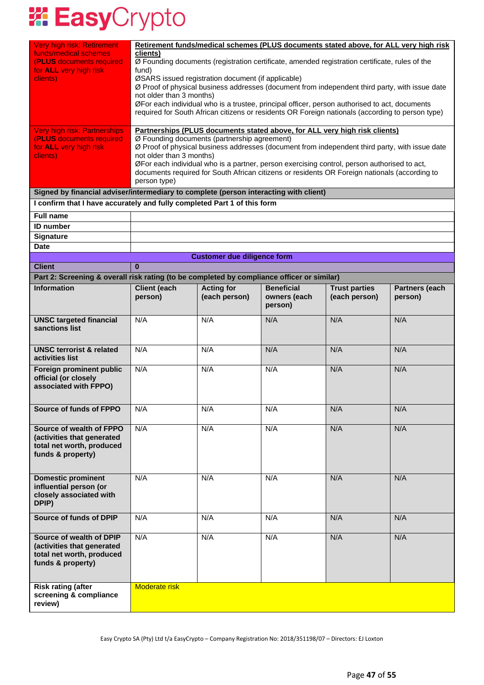| Very high risk: Retirement<br>funds/medical schemes<br>(PLUS documents required<br>for ALL very high risk<br>clients)<br>Very high risk: Partnerships<br>(PLUS documents required<br>for ALL very high risk<br>clients) | Retirement funds/medical schemes (PLUS documents stated above, for ALL very high risk<br>clients)<br>Ø Founding documents (registration certificate, amended registration certificate, rules of the<br>fund)<br>ØSARS issued registration document (if applicable)<br>Ø Proof of physical business addresses (document from independent third party, with issue date<br>not older than 3 months)<br>ØFor each individual who is a trustee, principal officer, person authorised to act, documents<br>required for South African citizens or residents OR Foreign nationals (according to person type)<br>Partnerships (PLUS documents stated above, for ALL very high risk clients)<br>Ø Founding documents (partnership agreement)<br>Ø Proof of physical business addresses (document from independent third party, with issue date<br>not older than 3 months)<br>ØFor each individual who is a partner, person exercising control, person authorised to act,<br>documents required for South African citizens or residents OR Foreign nationals (according to<br>person type) |                                    |                                              |                                       |                           |
|-------------------------------------------------------------------------------------------------------------------------------------------------------------------------------------------------------------------------|-----------------------------------------------------------------------------------------------------------------------------------------------------------------------------------------------------------------------------------------------------------------------------------------------------------------------------------------------------------------------------------------------------------------------------------------------------------------------------------------------------------------------------------------------------------------------------------------------------------------------------------------------------------------------------------------------------------------------------------------------------------------------------------------------------------------------------------------------------------------------------------------------------------------------------------------------------------------------------------------------------------------------------------------------------------------------------------|------------------------------------|----------------------------------------------|---------------------------------------|---------------------------|
| Signed by financial adviser/intermediary to complete (person interacting with client)<br>I confirm that I have accurately and fully completed Part 1 of this form                                                       |                                                                                                                                                                                                                                                                                                                                                                                                                                                                                                                                                                                                                                                                                                                                                                                                                                                                                                                                                                                                                                                                                   |                                    |                                              |                                       |                           |
| <b>Full name</b>                                                                                                                                                                                                        |                                                                                                                                                                                                                                                                                                                                                                                                                                                                                                                                                                                                                                                                                                                                                                                                                                                                                                                                                                                                                                                                                   |                                    |                                              |                                       |                           |
| <b>ID</b> number                                                                                                                                                                                                        |                                                                                                                                                                                                                                                                                                                                                                                                                                                                                                                                                                                                                                                                                                                                                                                                                                                                                                                                                                                                                                                                                   |                                    |                                              |                                       |                           |
| <b>Signature</b>                                                                                                                                                                                                        |                                                                                                                                                                                                                                                                                                                                                                                                                                                                                                                                                                                                                                                                                                                                                                                                                                                                                                                                                                                                                                                                                   |                                    |                                              |                                       |                           |
| <b>Date</b>                                                                                                                                                                                                             |                                                                                                                                                                                                                                                                                                                                                                                                                                                                                                                                                                                                                                                                                                                                                                                                                                                                                                                                                                                                                                                                                   |                                    |                                              |                                       |                           |
|                                                                                                                                                                                                                         |                                                                                                                                                                                                                                                                                                                                                                                                                                                                                                                                                                                                                                                                                                                                                                                                                                                                                                                                                                                                                                                                                   | <b>Customer due diligence form</b> |                                              |                                       |                           |
| <b>Client</b>                                                                                                                                                                                                           | $\bf{0}$                                                                                                                                                                                                                                                                                                                                                                                                                                                                                                                                                                                                                                                                                                                                                                                                                                                                                                                                                                                                                                                                          |                                    |                                              |                                       |                           |
| Part 2: Screening & overall risk rating (to be completed by compliance officer or similar)                                                                                                                              |                                                                                                                                                                                                                                                                                                                                                                                                                                                                                                                                                                                                                                                                                                                                                                                                                                                                                                                                                                                                                                                                                   |                                    |                                              |                                       |                           |
| <b>Information</b>                                                                                                                                                                                                      | <b>Client (each</b><br>person)                                                                                                                                                                                                                                                                                                                                                                                                                                                                                                                                                                                                                                                                                                                                                                                                                                                                                                                                                                                                                                                    | <b>Acting for</b><br>(each person) | <b>Beneficial</b><br>owners (each<br>person) | <b>Trust parties</b><br>(each person) | Partners (each<br>person) |
| <b>UNSC targeted financial</b><br>sanctions list                                                                                                                                                                        | N/A                                                                                                                                                                                                                                                                                                                                                                                                                                                                                                                                                                                                                                                                                                                                                                                                                                                                                                                                                                                                                                                                               | N/A                                | N/A                                          | N/A                                   | N/A                       |
| <b>UNSC terrorist &amp; related</b><br>activities list                                                                                                                                                                  | N/A                                                                                                                                                                                                                                                                                                                                                                                                                                                                                                                                                                                                                                                                                                                                                                                                                                                                                                                                                                                                                                                                               | N/A                                | N/A                                          | N/A                                   | N/A                       |
| <b>Foreign prominent public</b><br>official (or closely<br>associated with FPPO)                                                                                                                                        | N/A                                                                                                                                                                                                                                                                                                                                                                                                                                                                                                                                                                                                                                                                                                                                                                                                                                                                                                                                                                                                                                                                               | N/A                                | N/A                                          | N/A                                   | N/A                       |
| Source of funds of FPPO                                                                                                                                                                                                 | N/A                                                                                                                                                                                                                                                                                                                                                                                                                                                                                                                                                                                                                                                                                                                                                                                                                                                                                                                                                                                                                                                                               | N/A                                | N/A                                          | N/A                                   | N/A                       |
| Source of wealth of FPPO<br>(activities that generated<br>total net worth, produced<br>funds & property)                                                                                                                | N/A                                                                                                                                                                                                                                                                                                                                                                                                                                                                                                                                                                                                                                                                                                                                                                                                                                                                                                                                                                                                                                                                               | N/A                                | N/A                                          | N/A                                   | N/A                       |
| <b>Domestic prominent</b><br>influential person (or<br>closely associated with<br>DPIP)                                                                                                                                 | N/A                                                                                                                                                                                                                                                                                                                                                                                                                                                                                                                                                                                                                                                                                                                                                                                                                                                                                                                                                                                                                                                                               | N/A                                | N/A                                          | N/A                                   | N/A                       |
| <b>Source of funds of DPIP</b>                                                                                                                                                                                          | N/A                                                                                                                                                                                                                                                                                                                                                                                                                                                                                                                                                                                                                                                                                                                                                                                                                                                                                                                                                                                                                                                                               | N/A                                | N/A                                          | N/A                                   | N/A                       |
| Source of wealth of DPIP<br>(activities that generated<br>total net worth, produced<br>funds & property)                                                                                                                | N/A                                                                                                                                                                                                                                                                                                                                                                                                                                                                                                                                                                                                                                                                                                                                                                                                                                                                                                                                                                                                                                                                               | N/A                                | N/A                                          | N/A                                   | N/A                       |
| <b>Risk rating (after</b><br>screening & compliance<br>review)                                                                                                                                                          | <b>Moderate risk</b>                                                                                                                                                                                                                                                                                                                                                                                                                                                                                                                                                                                                                                                                                                                                                                                                                                                                                                                                                                                                                                                              |                                    |                                              |                                       |                           |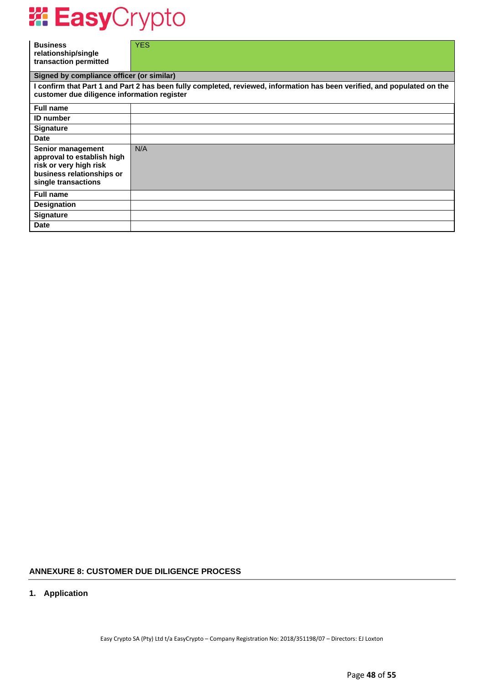| <b>Business</b><br>relationship/single<br>transaction permitted                                                               | <b>YES</b>                                                                                                               |
|-------------------------------------------------------------------------------------------------------------------------------|--------------------------------------------------------------------------------------------------------------------------|
| Signed by compliance officer (or similar)                                                                                     |                                                                                                                          |
| customer due diligence information register                                                                                   | I confirm that Part 1 and Part 2 has been fully completed, reviewed, information has been verified, and populated on the |
| <b>Full name</b>                                                                                                              |                                                                                                                          |
| <b>ID</b> number                                                                                                              |                                                                                                                          |
| <b>Signature</b>                                                                                                              |                                                                                                                          |
| <b>Date</b>                                                                                                                   |                                                                                                                          |
| Senior management<br>approval to establish high<br>risk or very high risk<br>business relationships or<br>single transactions | N/A                                                                                                                      |
| <b>Full name</b>                                                                                                              |                                                                                                                          |
| <b>Designation</b>                                                                                                            |                                                                                                                          |
| <b>Signature</b>                                                                                                              |                                                                                                                          |
| <b>Date</b>                                                                                                                   |                                                                                                                          |

### **ANNEXURE 8: CUSTOMER DUE DILIGENCE PROCESS**

### **1. Application**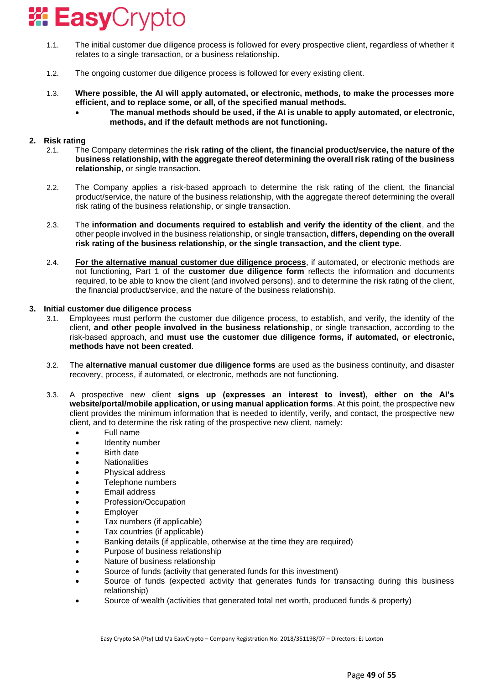- 1.1. The initial customer due diligence process is followed for every prospective client, regardless of whether it relates to a single transaction, or a business relationship.
- 1.2. The ongoing customer due diligence process is followed for every existing client.
- 1.3. **Where possible, the AI will apply automated, or electronic, methods, to make the processes more efficient, and to replace some, or all, of the specified manual methods.**
	- **The manual methods should be used, if the AI is unable to apply automated, or electronic, methods, and if the default methods are not functioning.**

### **2. Risk rating**

- 2.1. The Company determines the **risk rating of the client, the financial product/service, the nature of the business relationship, with the aggregate thereof determining the overall risk rating of the business relationship**, or single transaction.
- 2.2. The Company applies a risk-based approach to determine the risk rating of the client, the financial product/service, the nature of the business relationship, with the aggregate thereof determining the overall risk rating of the business relationship, or single transaction.
- 2.3. The **information and documents required to establish and verify the identity of the client**, and the other people involved in the business relationship, or single transaction**, differs, depending on the overall risk rating of the business relationship, or the single transaction, and the client type**.
- 2.4. **For the alternative manual customer due diligence process**, if automated, or electronic methods are not functioning, Part 1 of the **customer due diligence form** reflects the information and documents required, to be able to know the client (and involved persons), and to determine the risk rating of the client, the financial product/service, and the nature of the business relationship.

#### **3. Initial customer due diligence process**

- 3.1. Employees must perform the customer due diligence process, to establish, and verify, the identity of the client, **and other people involved in the business relationship**, or single transaction, according to the risk-based approach, and **must use the customer due diligence forms, if automated, or electronic, methods have not been created**.
- 3.2. The **alternative manual customer due diligence forms** are used as the business continuity, and disaster recovery, process, if automated, or electronic, methods are not functioning.
- 3.3. A prospective new client **signs up (expresses an interest to invest), either on the AI's website/portal/mobile application, or using manual application forms**. At this point, the prospective new client provides the minimum information that is needed to identify, verify, and contact, the prospective new client, and to determine the risk rating of the prospective new client, namely:
	- Full name
	- Identity number
	- Birth date
	- Nationalities
	- Physical address
	- Telephone numbers
	- Email address
	- Profession/Occupation
	- **Employer**
	- Tax numbers (if applicable)
	- Tax countries (if applicable)
	- Banking details (if applicable, otherwise at the time they are required)
	- Purpose of business relationship
	- Nature of business relationship
	- Source of funds (activity that generated funds for this investment)
	- Source of funds (expected activity that generates funds for transacting during this business relationship)
	- Source of wealth (activities that generated total net worth, produced funds & property)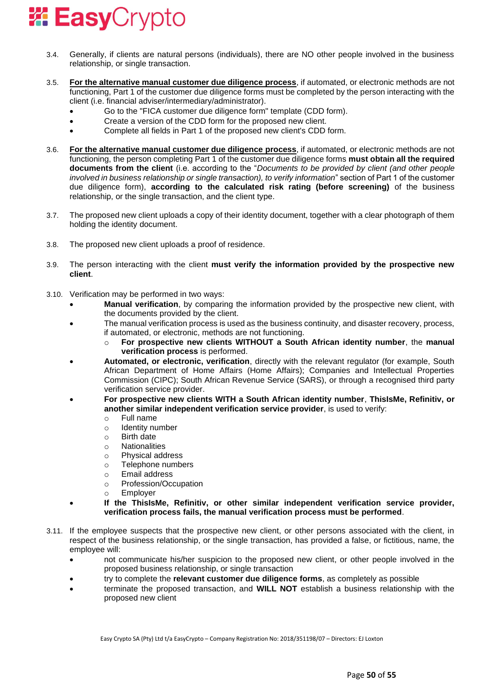

- 3.4. Generally, if clients are natural persons (individuals), there are NO other people involved in the business relationship, or single transaction.
- 3.5. **For the alternative manual customer due diligence process**, if automated, or electronic methods are not functioning, Part 1 of the customer due diligence forms must be completed by the person interacting with the client (i.e. financial adviser/intermediary/administrator).
	- Go to the "FICA customer due diligence form" template (CDD form).
	- Create a version of the CDD form for the proposed new client.
	- Complete all fields in Part 1 of the proposed new client's CDD form.
- 3.6. **For the alternative manual customer due diligence process**, if automated, or electronic methods are not functioning, the person completing Part 1 of the customer due diligence forms **must obtain all the required documents from the client** (i.e. according to the "*Documents to be provided by client (and other people involved in business relationship or single transaction), to verify information*" section of Part 1 of the customer due diligence form), **according to the calculated risk rating (before screening)** of the business relationship, or the single transaction, and the client type.
- 3.7. The proposed new client uploads a copy of their identity document, together with a clear photograph of them holding the identity document.
- 3.8. The proposed new client uploads a proof of residence.
- 3.9. The person interacting with the client **must verify the information provided by the prospective new client**.
- 3.10. Verification may be performed in two ways:
	- **Manual verification**, by comparing the information provided by the prospective new client, with the documents provided by the client.
	- The manual verification process is used as the business continuity, and disaster recovery, process, if automated, or electronic, methods are not functioning.
		- o **For prospective new clients WITHOUT a South African identity number**, the **manual verification process** is performed.
	- **Automated, or electronic, verification**, directly with the relevant regulator (for example, South African Department of Home Affairs (Home Affairs); Companies and Intellectual Properties Commission (CIPC); South African Revenue Service (SARS), or through a recognised third party verification service provider.
	- **For prospective new clients WITH a South African identity number**, **ThisIsMe, Refinitiv, or another similar independent verification service provider**, is used to verify:
		- o Full name
		- o Identity number
		- o Birth date
		- o Nationalities
		- o Physical address
		- o Telephone numbers
		- o Email address
		- o Profession/Occupation
		- o Employer
	- **If the ThisIsMe, Refinitiv, or other similar independent verification service provider, verification process fails, the manual verification process must be performed**.
- 3.11. If the employee suspects that the prospective new client, or other persons associated with the client, in respect of the business relationship, or the single transaction, has provided a false, or fictitious, name, the employee will:
	- not communicate his/her suspicion to the proposed new client, or other people involved in the proposed business relationship, or single transaction
	- try to complete the **relevant customer due diligence forms**, as completely as possible
	- terminate the proposed transaction, and **WILL NOT** establish a business relationship with the proposed new client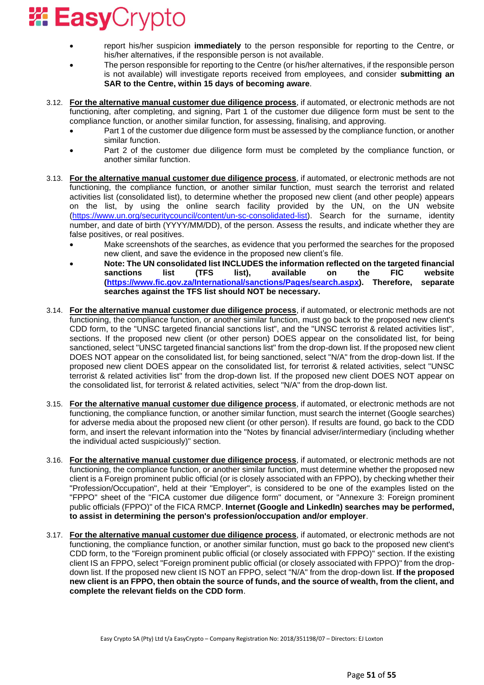- report his/her suspicion **immediately** to the person responsible for reporting to the Centre, or his/her alternatives, if the responsible person is not available.
- The person responsible for reporting to the Centre (or his/her alternatives, if the responsible person is not available) will investigate reports received from employees, and consider **submitting an SAR to the Centre, within 15 days of becoming aware**.
- 3.12. **For the alternative manual customer due diligence process**, if automated, or electronic methods are not functioning, after completing, and signing, Part 1 of the customer due diligence form must be sent to the compliance function, or another similar function, for assessing, finalising, and approving.
	- Part 1 of the customer due diligence form must be assessed by the compliance function, or another similar function.
	- Part 2 of the customer due diligence form must be completed by the compliance function, or another similar function.
- 3.13. **For the alternative manual customer due diligence process**, if automated, or electronic methods are not functioning, the compliance function, or another similar function, must search the terrorist and related activities list (consolidated list), to determine whether the proposed new client (and other people) appears on the list, by using the online search facility provided by the UN, on the UN website [\(https://www.un.org/securitycouncil/content/un-sc-consolidated-list\)](https://www.un.org/securitycouncil/content/un-sc-consolidated-list). Search for the surname, identity number, and date of birth (YYYY/MM/DD), of the person. Assess the results, and indicate whether they are false positives, or real positives.
	- Make screenshots of the searches, as evidence that you performed the searches for the proposed new client, and save the evidence in the proposed new client's file.
	- **Note: The UN consolidated list INCLUDES the information reflected on the targeted financial sanctions list (TFS list), available on the FIC website [\(https://www.fic.gov.za/International/sanctions/Pages/search.aspx\)](https://www.fic.gov.za/International/sanctions/Pages/search.aspx). Therefore, separate searches against the TFS list should NOT be necessary.**
- 3.14. **For the alternative manual customer due diligence process**, if automated, or electronic methods are not functioning, the compliance function, or another similar function, must go back to the proposed new client's CDD form, to the "UNSC targeted financial sanctions list", and the "UNSC terrorist & related activities list", sections. If the proposed new client (or other person) DOES appear on the consolidated list, for being sanctioned, select "UNSC targeted financial sanctions list" from the drop-down list. If the proposed new client DOES NOT appear on the consolidated list, for being sanctioned, select "N/A" from the drop-down list. If the proposed new client DOES appear on the consolidated list, for terrorist & related activities, select "UNSC terrorist & related activities list" from the drop-down list. If the proposed new client DOES NOT appear on the consolidated list, for terrorist & related activities, select "N/A" from the drop-down list.
- 3.15. **For the alternative manual customer due diligence process**, if automated, or electronic methods are not functioning, the compliance function, or another similar function, must search the internet (Google searches) for adverse media about the proposed new client (or other person). If results are found, go back to the CDD form, and insert the relevant information into the "Notes by financial adviser/intermediary (including whether the individual acted suspiciously)" section.
- 3.16. **For the alternative manual customer due diligence process**, if automated, or electronic methods are not functioning, the compliance function, or another similar function, must determine whether the proposed new client is a Foreign prominent public official (or is closely associated with an FPPO), by checking whether their "Profession/Occupation", held at their "Employer", is considered to be one of the examples listed on the "FPPO" sheet of the "FICA customer due diligence form" document, or "Annexure 3: Foreign prominent public officials (FPPO)" of the FICA RMCP. **Internet (Google and LinkedIn) searches may be performed, to assist in determining the person's profession/occupation and/or employer**.
- 3.17. **For the alternative manual customer due diligence process**, if automated, or electronic methods are not functioning, the compliance function, or another similar function, must go back to the proposed new client's CDD form, to the "Foreign prominent public official (or closely associated with FPPO)" section. If the existing client IS an FPPO, select "Foreign prominent public official (or closely associated with FPPO)" from the dropdown list. If the proposed new client IS NOT an FPPO, select "N/A" from the drop-down list. **If the proposed new client is an FPPO, then obtain the source of funds, and the source of wealth, from the client, and complete the relevant fields on the CDD form**.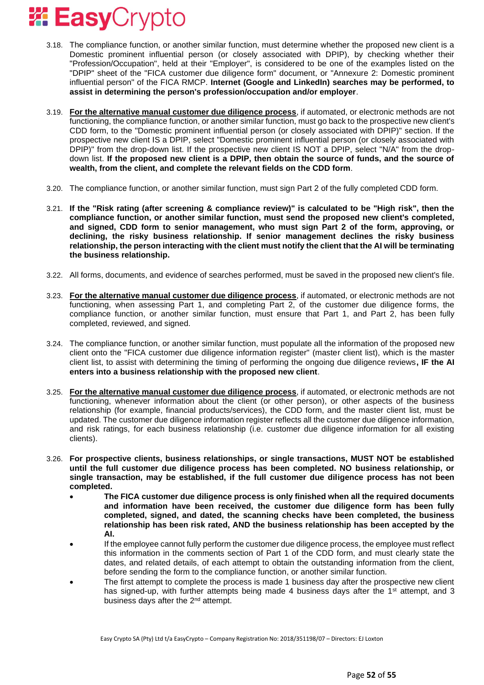- 3.18. The compliance function, or another similar function, must determine whether the proposed new client is a Domestic prominent influential person (or closely associated with DPIP), by checking whether their "Profession/Occupation", held at their "Employer", is considered to be one of the examples listed on the "DPIP" sheet of the "FICA customer due diligence form" document, or "Annexure 2: Domestic prominent influential person" of the FICA RMCP. **Internet (Google and LinkedIn) searches may be performed, to assist in determining the person's profession/occupation and/or employer**.
- 3.19. **For the alternative manual customer due diligence process**, if automated, or electronic methods are not functioning, the compliance function, or another similar function, must go back to the prospective new client's CDD form, to the "Domestic prominent influential person (or closely associated with DPIP)" section. If the prospective new client IS a DPIP, select "Domestic prominent influential person (or closely associated with DPIP)" from the drop-down list. If the prospective new client IS NOT a DPIP, select "N/A" from the dropdown list. **If the proposed new client is a DPIP, then obtain the source of funds, and the source of wealth, from the client, and complete the relevant fields on the CDD form**.
- 3.20. The compliance function, or another similar function, must sign Part 2 of the fully completed CDD form.
- 3.21. **If the "Risk rating (after screening & compliance review)" is calculated to be "High risk", then the compliance function, or another similar function, must send the proposed new client's completed, and signed, CDD form to senior management, who must sign Part 2 of the form, approving, or declining, the risky business relationship. If senior management declines the risky business relationship, the person interacting with the client must notify the client that the AI will be terminating the business relationship.**
- 3.22. All forms, documents, and evidence of searches performed, must be saved in the proposed new client's file.
- 3.23. **For the alternative manual customer due diligence process**, if automated, or electronic methods are not functioning, when assessing Part 1, and completing Part 2, of the customer due diligence forms, the compliance function, or another similar function, must ensure that Part 1, and Part 2, has been fully completed, reviewed, and signed.
- 3.24. The compliance function, or another similar function, must populate all the information of the proposed new client onto the "FICA customer due diligence information register" (master client list), which is the master client list, to assist with determining the timing of performing the ongoing due diligence reviews**, IF the AI enters into a business relationship with the proposed new client**.
- 3.25. **For the alternative manual customer due diligence process**, if automated, or electronic methods are not functioning, whenever information about the client (or other person), or other aspects of the business relationship (for example, financial products/services), the CDD form, and the master client list, must be updated. The customer due diligence information register reflects all the customer due diligence information, and risk ratings, for each business relationship (i.e. customer due diligence information for all existing clients).
- 3.26. **For prospective clients, business relationships, or single transactions, MUST NOT be established until the full customer due diligence process has been completed. NO business relationship, or single transaction, may be established, if the full customer due diligence process has not been completed.**
	- **The FICA customer due diligence process is only finished when all the required documents and information have been received, the customer due diligence form has been fully completed, signed, and dated, the scanning checks have been completed, the business relationship has been risk rated, AND the business relationship has been accepted by the AI.**
	- If the employee cannot fully perform the customer due diligence process, the employee must reflect this information in the comments section of Part 1 of the CDD form, and must clearly state the dates, and related details, of each attempt to obtain the outstanding information from the client, before sending the form to the compliance function, or another similar function.
	- The first attempt to complete the process is made 1 business day after the prospective new client has signed-up, with further attempts being made 4 business days after the 1<sup>st</sup> attempt, and 3 business days after the 2<sup>nd</sup> attempt.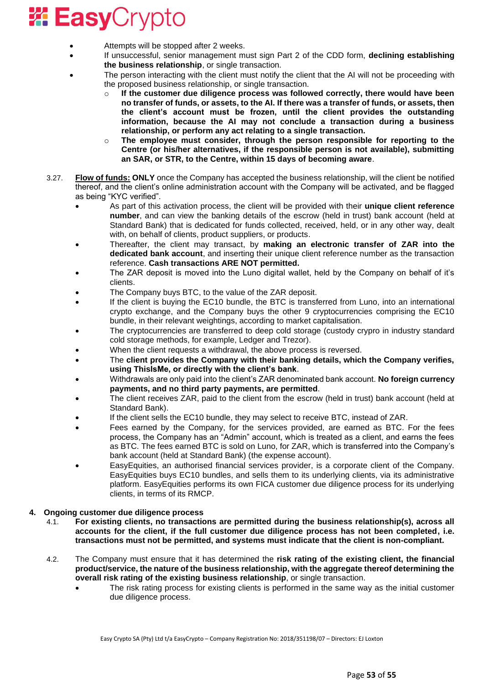- Attempts will be stopped after 2 weeks.
- If unsuccessful, senior management must sign Part 2 of the CDD form, **declining establishing the business relationship**, or single transaction.
- The person interacting with the client must notify the client that the AI will not be proceeding with the proposed business relationship, or single transaction.
	- o **If the customer due diligence process was followed correctly, there would have been no transfer of funds, or assets, to the AI. If there was a transfer of funds, or assets, then the client's account must be frozen, until the client provides the outstanding information, because the AI may not conclude a transaction during a business relationship, or perform any act relating to a single transaction.**
	- o **The employee must consider, through the person responsible for reporting to the Centre (or his/her alternatives, if the responsible person is not available), submitting an SAR, or STR, to the Centre, within 15 days of becoming aware**.
- 3.27. **Flow of funds: ONLY** once the Company has accepted the business relationship, will the client be notified thereof, and the client's online administration account with the Company will be activated, and be flagged as being "KYC verified".
	- As part of this activation process, the client will be provided with their **unique client reference number**, and can view the banking details of the escrow (held in trust) bank account (held at Standard Bank) that is dedicated for funds collected, received, held, or in any other way, dealt with, on behalf of clients, product suppliers, or products.
	- Thereafter, the client may transact, by **making an electronic transfer of ZAR into the dedicated bank account**, and inserting their unique client reference number as the transaction reference. **Cash transactions ARE NOT permitted.**
	- The ZAR deposit is moved into the Luno digital wallet, held by the Company on behalf of it's clients.
	- The Company buys BTC, to the value of the ZAR deposit.
	- If the client is buying the EC10 bundle, the BTC is transferred from Luno, into an international crypto exchange, and the Company buys the other 9 cryptocurrencies comprising the EC10 bundle, in their relevant weightings, according to market capitalisation.
	- The cryptocurrencies are transferred to deep cold storage (custody crypro in industry standard cold storage methods, for example, Ledger and Trezor).
	- When the client requests a withdrawal, the above process is reversed.
	- The **client provides the Company with their banking details, which the Company verifies, using ThisIsMe, or directly with the client's bank**.
	- Withdrawals are only paid into the client's ZAR denominated bank account. **No foreign currency payments, and no third party payments, are permitted**.
	- The client receives ZAR, paid to the client from the escrow (held in trust) bank account (held at Standard Bank).
	- If the client sells the EC10 bundle, they may select to receive BTC, instead of ZAR.
	- Fees earned by the Company, for the services provided, are earned as BTC. For the fees process, the Company has an "Admin" account, which is treated as a client, and earns the fees as BTC. The fees earned BTC is sold on Luno, for ZAR, which is transferred into the Company's bank account (held at Standard Bank) (the expense account).
	- EasyEquities, an authorised financial services provider, is a corporate client of the Company. EasyEquities buys EC10 bundles, and sells them to its underlying clients, via its administrative platform. EasyEquities performs its own FICA customer due diligence process for its underlying clients, in terms of its RMCP.

### **4. Ongoing customer due diligence process**

- 4.1. **For existing clients, no transactions are permitted during the business relationship(s), across all accounts for the client, if the full customer due diligence process has not been completed, i.e. transactions must not be permitted, and systems must indicate that the client is non-compliant.**
- 4.2. The Company must ensure that it has determined the **risk rating of the existing client, the financial product/service, the nature of the business relationship, with the aggregate thereof determining the overall risk rating of the existing business relationship**, or single transaction.
	- The risk rating process for existing clients is performed in the same way as the initial customer due diligence process.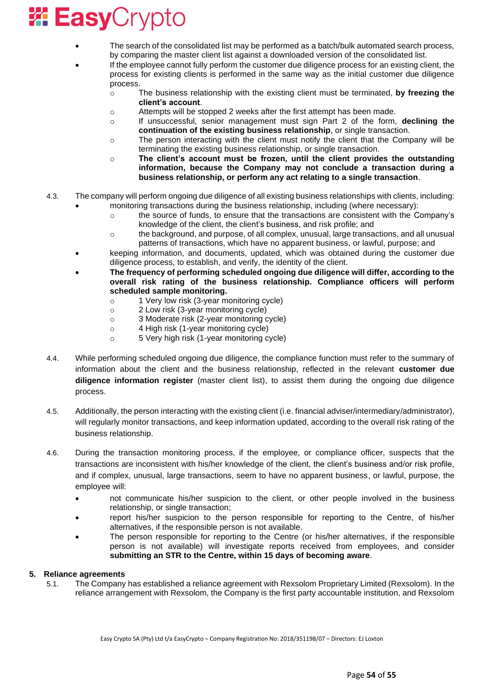- The search of the consolidated list may be performed as a batch/bulk automated search process, by comparing the master client list against a downloaded version of the consolidated list.
- If the employee cannot fully perform the customer due diligence process for an existing client, the process for existing clients is performed in the same way as the initial customer due diligence process.
	- o The business relationship with the existing client must be terminated, **by freezing the client's account**.
	- o Attempts will be stopped 2 weeks after the first attempt has been made.
	- o If unsuccessful, senior management must sign Part 2 of the form, **declining the continuation of the existing business relationship**, or single transaction.
	- $\circ$  The person interacting with the client must notify the client that the Company will be terminating the existing business relationship, or single transaction.
	- o **The client's account must be frozen, until the client provides the outstanding information, because the Company may not conclude a transaction during a business relationship, or perform any act relating to a single transaction**.
- 4.3. The company will perform ongoing due diligence of all existing business relationships with clients, including:
	- monitoring transactions during the business relationship, including (where necessary): o the source of funds, to ensure that the transactions are consistent with the Company's
		- knowledge of the client, the client's business, and risk profile; and
		- o the background, and purpose, of all complex, unusual, large transactions, and all unusual patterns of transactions, which have no apparent business, or lawful, purpose; and
	- keeping information, and documents, updated, which was obtained during the customer due diligence process, to establish, and verify, the identity of the client.
	- **The frequency of performing scheduled ongoing due diligence will differ, according to the overall risk rating of the business relationship. Compliance officers will perform scheduled sample monitoring.**
		- o 1 Very low risk (3-year monitoring cycle)
		- o 2 Low risk (3-year monitoring cycle)
		- o 3 Moderate risk (2-year monitoring cycle)
		- o 4 High risk (1-year monitoring cycle)
		- o 5 Very high risk (1-year monitoring cycle)
- 4.4. While performing scheduled ongoing due diligence, the compliance function must refer to the summary of information about the client and the business relationship, reflected in the relevant **customer due diligence information register** (master client list), to assist them during the ongoing due diligence process.
- 4.5. Additionally, the person interacting with the existing client (i.e. financial adviser/intermediary/administrator), will regularly monitor transactions, and keep information updated, according to the overall risk rating of the business relationship.
- 4.6. During the transaction monitoring process, if the employee, or compliance officer, suspects that the transactions are inconsistent with his/her knowledge of the client, the client's business and/or risk profile, and if complex, unusual, large transactions, seem to have no apparent business, or lawful, purpose, the employee will:
	- not communicate his/her suspicion to the client, or other people involved in the business relationship, or single transaction;
	- report his/her suspicion to the person responsible for reporting to the Centre, of his/her alternatives, if the responsible person is not available.
	- The person responsible for reporting to the Centre (or his/her alternatives, if the responsible person is not available) will investigate reports received from employees, and consider **submitting an STR to the Centre, within 15 days of becoming aware**.

### **5. Reliance agreements**

5.1. The Company has established a reliance agreement with Rexsolom Proprietary Limited (Rexsolom). In the reliance arrangement with Rexsolom, the Company is the first party accountable institution, and Rexsolom